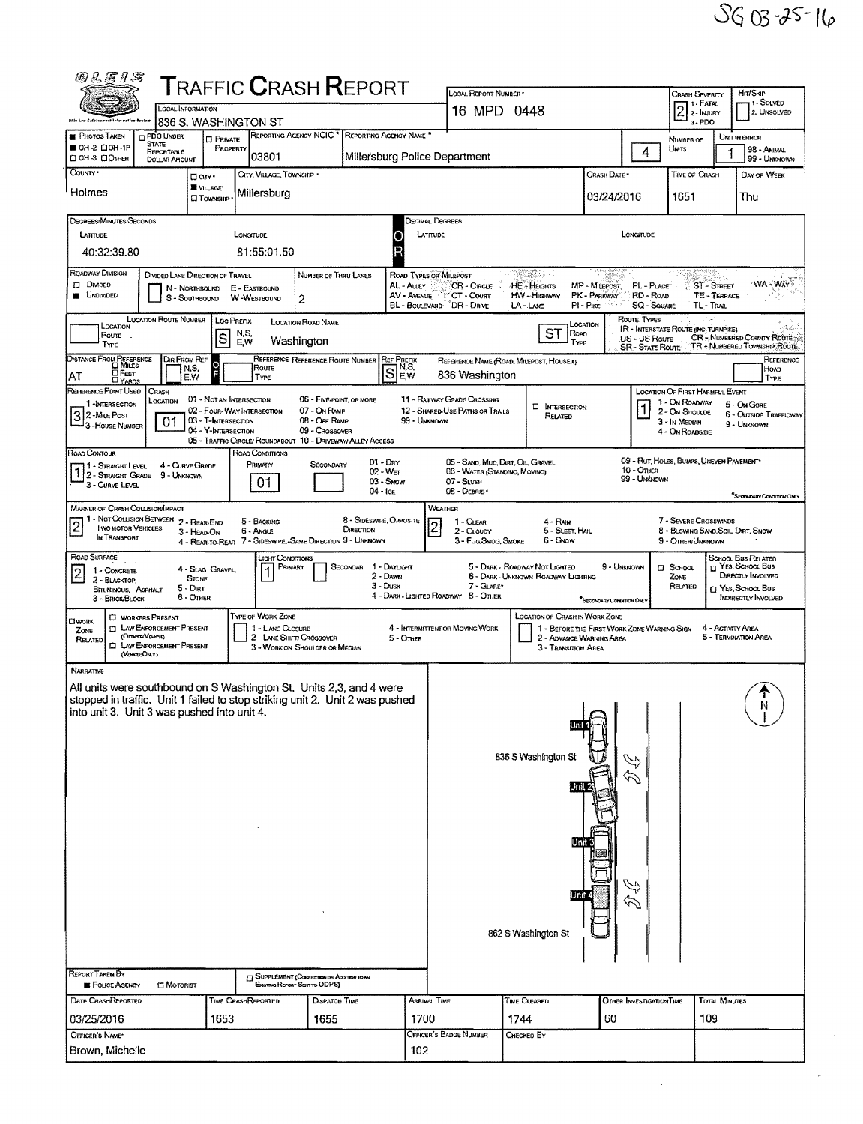Ŷ,

| <b>@LEIS</b>                                                                                                                                                                                         |                                                                                                      |                                                                          |                                                                    | <b>T</b> RAFFIC <b>C</b> RASH <b>R</b> EPORT                                                  |                                           |                                                     | LOCAL REPORT NUMBER *                                              |                                                                                          |                                             |                                                       | CRASH SEVERITY                                                                   |                      | Hrt/Skip                                                                                                         |
|------------------------------------------------------------------------------------------------------------------------------------------------------------------------------------------------------|------------------------------------------------------------------------------------------------------|--------------------------------------------------------------------------|--------------------------------------------------------------------|-----------------------------------------------------------------------------------------------|-------------------------------------------|-----------------------------------------------------|--------------------------------------------------------------------|------------------------------------------------------------------------------------------|---------------------------------------------|-------------------------------------------------------|----------------------------------------------------------------------------------|----------------------|------------------------------------------------------------------------------------------------------------------|
|                                                                                                                                                                                                      | LOCAL INFORMATION                                                                                    |                                                                          |                                                                    |                                                                                               |                                           |                                                     | 16 MPD 0448                                                        |                                                                                          |                                             |                                                       | 1 - FATAL<br>$\overline{2}$<br>2 - INJURY                                        |                      | 1-SOLVED<br>2. UNSOLVED                                                                                          |
| <b>PHOTOS TAKEN</b>                                                                                                                                                                                  | 836 S. WASHINGTON ST<br>PDO UNDER                                                                    | <b>D</b> PRIVATE                                                         |                                                                    | REPORTING AGENCY NCIC <sup>*</sup> REPORTING AGENCY NAME <sup>*</sup>                         |                                           |                                                     |                                                                    |                                                                                          |                                             |                                                       | 3-PDO                                                                            |                      | UNIT IN ERROR                                                                                                    |
| ■ OH-2 □ OH-1P<br><b>Q OH 3 QOTHER</b>                                                                                                                                                               | <b>STATE</b><br>REPORTABLE<br><b>DOLLAR AMOUNT</b>                                                   | PROPERTY                                                                 | 03801                                                              |                                                                                               |                                           |                                                     | Millersburg Police Department                                      |                                                                                          |                                             | 4                                                     | NUMBER OF<br>UNITS                                                               |                      | 98 - ANIMAL<br>99 - UNKNOWN                                                                                      |
| COUNTY <sup>*</sup><br>Holmes                                                                                                                                                                        | Darr.                                                                                                | WILAGE*                                                                  | CITY, VILLAGE, TOWNSHIP .                                          |                                                                                               |                                           |                                                     |                                                                    |                                                                                          | CRASH DATE*                                 |                                                       | TIME OF CRASH                                                                    |                      | DAY OF WEEK                                                                                                      |
|                                                                                                                                                                                                      |                                                                                                      | <b>CI TOWNSHIP</b>                                                       | Millersburg                                                        |                                                                                               |                                           |                                                     |                                                                    |                                                                                          | 03/24/2016                                  |                                                       | 1651                                                                             |                      | Thu                                                                                                              |
| DEGREES/MINUTES/SECONDS<br>LATTRUDE                                                                                                                                                                  |                                                                                                      | LONGTUDE                                                                 |                                                                    |                                                                                               |                                           | DECIMAL DEGREES<br>LATITUDE                         |                                                                    |                                                                                          |                                             | LONGITUDE                                             |                                                                                  |                      |                                                                                                                  |
| 40:32:39.80                                                                                                                                                                                          |                                                                                                      |                                                                          | 81:55:01.50                                                        |                                                                                               | R                                         |                                                     |                                                                    |                                                                                          |                                             |                                                       |                                                                                  |                      |                                                                                                                  |
| ROADWAY DIVISION<br><b>Divided</b><br><b>UNDIVIDED</b>                                                                                                                                               | DIVIDED LANE DIRECTION OF TRAVEL<br>N - NORTHBOUND<br>S - SouthBound                                 |                                                                          | E - EASTBOUND<br>W-WESTBOUND<br>2                                  | NUMBER OF THRU LANES                                                                          |                                           | ROAD TYPES OR MILEPOST<br>AL - ALLEY<br>AV - AVENUE | CR - CIRCLE<br>CT - Courr<br>BL - BOULEVARD DR - DRIVE             | An Maria<br>HE - Hacarrs<br>HW -- Hiceiway<br>LA-LANE                                    | MP - Milepost<br>PK - PARKWAY<br>PI - PIKE  | PL - PLACE<br>RD - ROAD<br><b>SQ - SOUARE</b>         | <b>ST-STREET</b><br>TL - TRAIL                                                   | TE - TERRACE         | WA - WAY                                                                                                         |
| LOCATION<br>Route<br>TYPE                                                                                                                                                                            | <b>LOCATION ROUTE NUMBER</b>                                                                         | LOC PREFIX<br>N.S.<br>$\vert$ S<br>E,W                                   | Washington                                                         | <b>LOCATION ROAD NAME</b>                                                                     |                                           |                                                     |                                                                    | ST<br>ROAD<br>TYPE                                                                       | LOCATION                                    | Route Types<br>US - US Route<br><b>SR-STATE ROUTE</b> | <b>IR - INTERSTATE ROUTE (INC. TURNPIKE)</b>                                     |                      | CR - NUMBERED COUNTY ROUTE<br>TR - NUMBERED TOWNSHIP ROUTE.                                                      |
| DISTANCE FROM REFERENCE                                                                                                                                                                              | DIR FROM REF<br>N.S,                                                                                 | E                                                                        | Roure                                                              | REFERENCE REFERENCE ROUTE NUMBER                                                              | <b>REF PREFIX</b><br>Se.w                 |                                                     | 836 Washington                                                     | REFERENCE NAME (ROAD, MILEPOST, HOUSE #)                                                 |                                             |                                                       |                                                                                  |                      | REFERENCE<br>ROAD                                                                                                |
| <b>E</b> FEET<br>AT<br>REFERENCE POINT USED                                                                                                                                                          | E.W<br>CRASH                                                                                         | 01 - NOT AN INTERSECTION                                                 | TYPE                                                               | 06 - FIVE-POINT, OR MORE                                                                      |                                           |                                                     | <b>11 - RAILWAY GRADE CROSSING</b>                                 |                                                                                          |                                             |                                                       | LOCATION OF FIRST HARMFUL EVENT                                                  |                      | TYPE                                                                                                             |
| 1-INTERSECTION<br>3 2 - Mille Post<br>- 3-House Number                                                                                                                                               | Location<br>01                                                                                       | 02 - Four-WAY INTERSECTION<br>03 - T-INTERSECTION<br>04 - Y-INTERSECTION |                                                                    | 07 - On RAMP<br>08 - Off RAMP<br>09 - CROSSOVER                                               |                                           | 99 - UNKNOWN                                        | 12 - SHARED-USE PATHS OR TRAILS                                    | <b>D</b> INTERSECTION<br>RELATED                                                         |                                             |                                                       | 1 - On ROADWAY<br>2 - ON SHOULDE<br>3 - In MEDIAN<br>4 - On ROADSIDE             |                      | 5 - ON GORE<br><b>6 - OUTSIDE TRAFFICWAY</b><br>9 - UNKNOWN                                                      |
| ROAD CONTOUR<br>11 - Straight Level<br>$1/2$ - Straight Grade $9$ - Unknown                                                                                                                          | 4 - CURVE GRADE                                                                                      |                                                                          | ROAD CONDITIONS<br>PRIMARY                                         | 05 - TRAFFIC CIRCLE/ ROUNDABOUT 10 - DRIVEWAY/ ALLEY ACCESS<br>SECONDARY                      | $01 - \text{Dar}$<br>$02 - Wer$           |                                                     | 05 - SAND, MUD, DART, OIL, GRAVEL<br>06 - WATER (STANDING, MOVING) |                                                                                          |                                             | 10 - OTHER                                            | 09 - RUT, HOLES, BUMPS, UNEVEN PAVEMENT*                                         |                      |                                                                                                                  |
| 3 - CURVE LEVEL                                                                                                                                                                                      |                                                                                                      |                                                                          | 01                                                                 |                                                                                               | 03 - Snow<br>$04 -$ ICE                   |                                                     | 07 - SLUSH<br>08 - DEBRIS                                          |                                                                                          |                                             | 99 - UNKNOWN                                          |                                                                                  |                      | <sup>4</sup> SecondARy Concertors Dist.Y                                                                         |
| <b>MANNER OF CRASH COLLISION/IMPACT</b><br>$\overline{c}$<br><b>TWO MOTOR VEHICLES</b><br>IN TRANSPORT                                                                                               | 1 - NOT COLLISION BETWEEN 2 - REAR-END<br>3 - HEAD-ON                                                |                                                                          | 5 - BACKING<br>6 - Angle                                           | <b><i><u>DIRECTION</u></i></b><br>4 - REAR-TO-REAR 7 - SIDESWIPE, -SAME DIRECTION 9 - UNKNOWN | 8 - SIDESWIPE, OPPOSITE                   | WEATHER<br>$\overline{c}$                           | 1 - CLEAR<br>2 - CLOUDY<br>3 - Fog, Smog, Smoke                    | 4 - RAN<br>5 - SLEET, HAIL<br>6 - Snow                                                   |                                             |                                                       | 7 - SEVERE CROSSWINDS<br>8 - BLOWING SAND, SOIL, DIRT, SNOW<br>9 - OTHER/UNKNOWN |                      |                                                                                                                  |
| ROAD SURFACE<br>1 - CONCRETE<br>$\vert$ 2<br>2 - BLACKTOP.<br><b>BITUMINOUS, ASPHALT</b><br>3 - BRICK/BLOCK                                                                                          | <b>STOME</b><br>$5 - Diff$<br>6 - Other                                                              | 4 - SLAG, GRAVEL,                                                        | JGHT CONDITIONS<br>PRIMARY                                         | SECONDAR                                                                                      | 1 - DAYLIGHT<br>$2 -$ Dawn<br>$3 - D$ usk |                                                     | 7 - GLARE*<br>4 - DARK LIGHTED ROADWAY 8 - OTHER                   | 5 - DARK - ROADWAY NOT LIGHTED<br>6 - DARK - UNKNOWN ROADWAY LIGHTING                    | 9 - UNKNOWN<br>"SECONDARY COMMON ONLY       |                                                       | <b>El School</b><br>ZONE<br>RELATED                                              |                      | SCHOOL BUS RELATED<br>T YES, SCHOOL BUS<br>DIRECTLY INVOLVED<br><b>CI YES, SCHOOL BUS</b><br>INDIRECTLY INVOLVED |
| OWORK<br>ZONE<br>(OFFICER VENELE)<br>RELATED                                                                                                                                                         | <b>CI WORKERS PRESENT</b><br><b>[7] LAW ENFORCEMENT PRESENT</b><br><b>CI LAW ENFORCEMENT PRESENT</b> |                                                                          | TYPE OF WORK ZONE<br>1 - LANE CLOSURE<br>2 - LANE SHIFT/ CROSSOVER | 3 - WORK ON SHOULDER OR MEDIAN                                                                | 5 - Omen                                  |                                                     | 4 - INTERMITTENT OR MOVING WORK                                    | <b>LOCATION OF CRASH IN WORK ZONE</b><br>2 - ADVANCE WARNING AREA<br>3 - Transition Area | 1 - BEFORE THE FIRST WORK ZONE WARNING SIGN |                                                       |                                                                                  | 4 - ACTIVITY AREA    | 5 - TERMINATION AREA                                                                                             |
| (VEICLEOIAY)<br>NARRATIVE                                                                                                                                                                            |                                                                                                      |                                                                          |                                                                    |                                                                                               |                                           |                                                     |                                                                    |                                                                                          |                                             |                                                       |                                                                                  |                      |                                                                                                                  |
| All units were southbound on S Washington St. Units 2,3, and 4 were<br>stopped in traffic. Unit 1 failed to stop striking unit 2. Unit 2 was pushed<br>  into unit 3. Unit 3 was pushed into unit 4. |                                                                                                      |                                                                          |                                                                    |                                                                                               |                                           |                                                     |                                                                    | 836 S Washington St                                                                      | $\mathbb{R}$                                | $\mathbf{H}$                                          |                                                                                  |                      |                                                                                                                  |
| <b>REPORT TAKEN BY</b><br>POLICE AGENCY                                                                                                                                                              | <b>CI MOTORIST</b>                                                                                   |                                                                          | Existing Report Sent to ODPS)                                      | <b>J SUPPLEMENT (CORRESPONDR ADDITION TO AN</b>                                               |                                           |                                                     |                                                                    | 862 S Washington St                                                                      |                                             |                                                       |                                                                                  |                      |                                                                                                                  |
| DATE CRASHPLEPORTED                                                                                                                                                                                  |                                                                                                      | <b>TIME CRASHREPORTED</b>                                                |                                                                    | DISPATCH TIME                                                                                 |                                           | ARRIVAL TIME                                        |                                                                    | Time Cleared                                                                             |                                             | OTHER INVESTIGATION TIME                              |                                                                                  | <b>TOTAL MINUTES</b> |                                                                                                                  |
| 03/25/2016                                                                                                                                                                                           |                                                                                                      | 1653                                                                     |                                                                    | 1655                                                                                          |                                           | 1700                                                |                                                                    | 1744                                                                                     | 60                                          |                                                       | 109                                                                              |                      |                                                                                                                  |
| OFFICER'S NAME*<br>Brown, Michelle                                                                                                                                                                   |                                                                                                      |                                                                          |                                                                    |                                                                                               |                                           | 102                                                 | Officer's Badge Number                                             | CHECKED BY                                                                               |                                             |                                                       |                                                                                  |                      |                                                                                                                  |
|                                                                                                                                                                                                      |                                                                                                      |                                                                          |                                                                    |                                                                                               |                                           |                                                     |                                                                    |                                                                                          |                                             |                                                       |                                                                                  |                      |                                                                                                                  |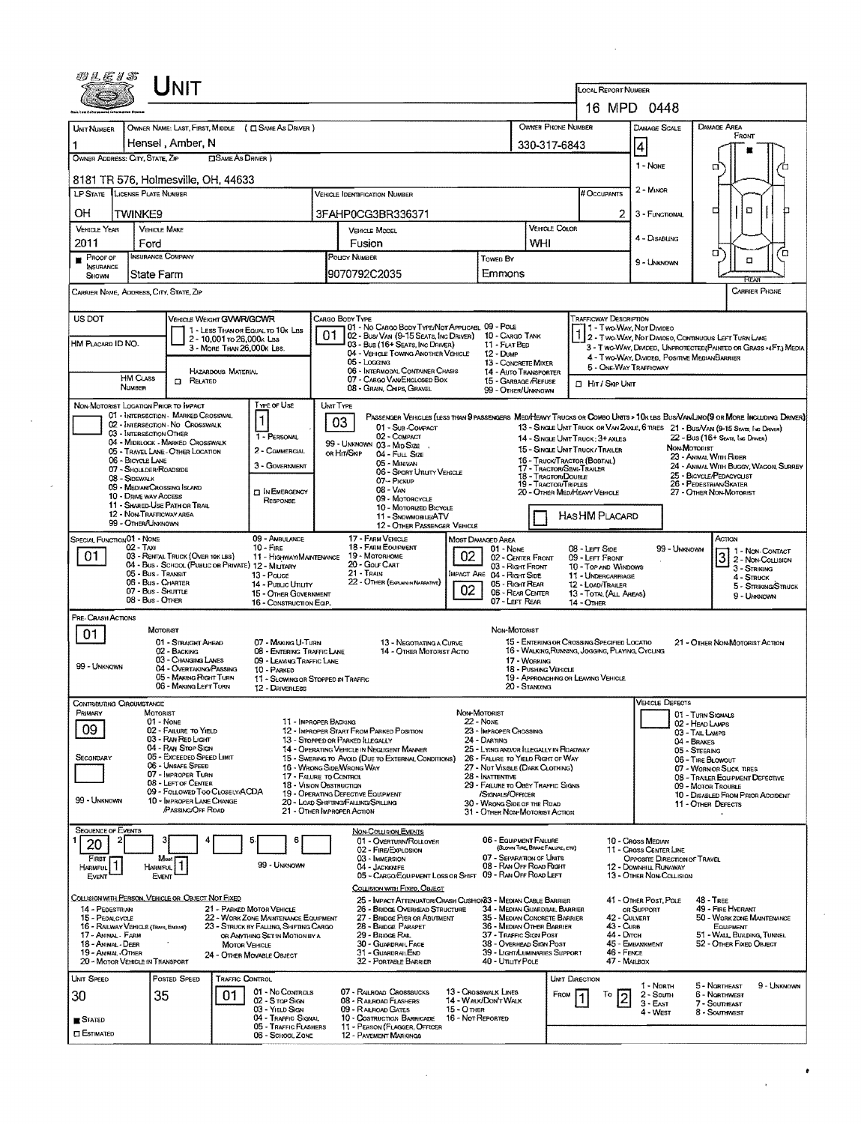|                                          | JNIT                                                                                                                                      |                                                                                                                  |                                                                                                           |                                                                                                               |                                                               | <b>LOCAL REPORT NUMBER</b>                                                                              | 16 MPD 0448                                                                 |                                                                                                                                                                                                                    |
|------------------------------------------|-------------------------------------------------------------------------------------------------------------------------------------------|------------------------------------------------------------------------------------------------------------------|-----------------------------------------------------------------------------------------------------------|---------------------------------------------------------------------------------------------------------------|---------------------------------------------------------------|---------------------------------------------------------------------------------------------------------|-----------------------------------------------------------------------------|--------------------------------------------------------------------------------------------------------------------------------------------------------------------------------------------------------------------|
| <b>UNIT NUMBER</b>                       | OWNER NAME: LAST, FIRST, MIDDLE ( C SAME AS DRIVER )                                                                                      |                                                                                                                  |                                                                                                           |                                                                                                               | OWNER PHONE NUMBER                                            |                                                                                                         | DAMAGE SCALE                                                                | <b>DAMAGE AREA</b>                                                                                                                                                                                                 |
| OWNER ADDRESS: CITY, STATE, ZIP          | Hensel, Amber, N                                                                                                                          | <b>CISAME AS DRIVER</b> )                                                                                        |                                                                                                           |                                                                                                               | 330-317-6843                                                  |                                                                                                         | $\vert$ 4<br>1 - NONE                                                       | FRONT<br>α                                                                                                                                                                                                         |
|                                          | 8181 TR 576, Holmesville, OH, 44633                                                                                                       |                                                                                                                  |                                                                                                           |                                                                                                               |                                                               |                                                                                                         |                                                                             |                                                                                                                                                                                                                    |
|                                          | LP STATE LICENSE PLATE NUMBER                                                                                                             |                                                                                                                  | VEHICLE IDENTIFICATION NUMBER                                                                             |                                                                                                               |                                                               | # Occupants                                                                                             | 2 - MINOR                                                                   |                                                                                                                                                                                                                    |
| OН                                       | <b>TWINKE9</b>                                                                                                                            |                                                                                                                  | 3FAHP0CG3BR336371                                                                                         |                                                                                                               |                                                               | 2                                                                                                       | 3 - FUNCTIONAL                                                              | α<br>¤                                                                                                                                                                                                             |
| <b>VEHICLE YEAR</b>                      | <b>VEHICLE MAKE</b>                                                                                                                       |                                                                                                                  | VEHICLE MODEL                                                                                             |                                                                                                               | VEHICLE COLOR                                                 |                                                                                                         | 4 - Disabling                                                               |                                                                                                                                                                                                                    |
| 2011<br>PROOF OF                         | Ford<br><b>INSURANCE COMPANY</b>                                                                                                          |                                                                                                                  | Fusion<br>POLICY NUMBER                                                                                   | Towen By                                                                                                      | WHI                                                           |                                                                                                         |                                                                             | σ<br>ם                                                                                                                                                                                                             |
| INSURANCE<br>Shown                       | lState Farm                                                                                                                               |                                                                                                                  | 9070792C2035                                                                                              | Emmons                                                                                                        |                                                               |                                                                                                         | 9 - UNKNOWN                                                                 | $\Box$                                                                                                                                                                                                             |
|                                          | Carrier Name, Address, City, State, Zip                                                                                                   |                                                                                                                  |                                                                                                           |                                                                                                               |                                                               |                                                                                                         |                                                                             | PC.<br><b>CARRIER PHONE</b>                                                                                                                                                                                        |
| US DOT                                   | VEHICLE WEIGHT GWWR/GCWR                                                                                                                  |                                                                                                                  | CARGO BODY TYPE                                                                                           |                                                                                                               |                                                               | <b>TRAFFICWAY DESCRIPTION</b>                                                                           |                                                                             |                                                                                                                                                                                                                    |
|                                          |                                                                                                                                           | 1 - LESS THAN OR EQUAL TO 10K LBS<br>2 - 10,001 to 26,000k LBS                                                   | 01 - No CARGO BODY TYPE/NOT APPLICABL 09 - POLE<br>01<br>02 - Bus/ Van (9-15 Seats, Ing Driver)           | 10 - Cargo Tank                                                                                               |                                                               |                                                                                                         | 1 - Two-Way, Not Divideo                                                    | 1 2 - TWO-WAY, NOT DIVIDEO, CONTINUOUS LEFT TURN LANE                                                                                                                                                              |
| HM PLACARD ID NO.                        |                                                                                                                                           | 3 - MORE THAN 26,000K LBS.                                                                                       | 03 - Bus (16+ SEATS, INC DRIVER)<br>04 - VEHICLE TOWING ANOTHER VEHICLE                                   | 11 - FLAT BED<br>$12 -$ Dump                                                                                  |                                                               |                                                                                                         | 4 - Two-Way, Divideo, Positive Median Barrier                               | 3 - Two-WAY, DIVIDED, UNFROTECTED (PAINTED OR GRASS >4FT.) MEDIA                                                                                                                                                   |
|                                          | HAZARDOUS MATERIAL                                                                                                                        |                                                                                                                  | 05 - Locaing<br>06 - INTERMODAL CONTAINER CHASIS                                                          | 13 - CONCRETE MIXER<br><b>14 - AUTO TRANSPORTER</b>                                                           |                                                               |                                                                                                         | 5 - ONE-WAY TRAFFICWAY                                                      |                                                                                                                                                                                                                    |
|                                          | <b>HM CLASS</b><br><b>D</b> RELATED<br>NUMBER                                                                                             |                                                                                                                  | 07 - CARGO VAN/ENGLOSED BOX<br>08 - Gran, Chips, Gravel                                                   | 15 - GARBAGE /REFUSE<br>99 - OTHER/UNKNOWN                                                                    |                                                               | <b>D</b> Hit / Skip UNIT                                                                                |                                                                             |                                                                                                                                                                                                                    |
|                                          | NON-MOTORIST LOCATION PRIOR TO IMPACT<br>01 - INTERSECTION - MARKED CROSSWAL                                                              | Type of Use                                                                                                      | UNIT TYPE                                                                                                 |                                                                                                               |                                                               |                                                                                                         |                                                                             |                                                                                                                                                                                                                    |
|                                          | 02 - INTERSECTION - NO CROSSWALK<br>03 - INTERSECTION OTHER                                                                               | $\vert$ 1                                                                                                        | 03<br>01 - Sub-COMPACT                                                                                    |                                                                                                               |                                                               |                                                                                                         |                                                                             | PASSENGER VEHICLES (LESS THAN 9 PASSENGERS MEDIMEANY TRUCKS OR COMBO UNTS > 10K LBS BUS/VAN/LIMO(9 OR MORE INCLUDING DRIVER)<br>13 - SINGLE UNIT TRUCK OR VAN ZAXLE, 6 TIRES 21 - BUS/VAN (9-15 SEATS, INC DRAKER) |
|                                          | 04 - MIDBLOCK - MARKED CROSSWALK<br>05 - TRAVEL LANE - OTHER LOCATION                                                                     | 1 - PERSONAL<br>2 - COMMERCIAL                                                                                   | 02 - COMPACT<br>99 - UNKNOWN 03 - MID SIZE<br>ов Ніт/Sкір                                                 |                                                                                                               |                                                               | 14 - SINGLE UNIT TRUCK: 3+ AXLES<br>15 - SINGLE UNIT TRUCK / TRAILER                                    | NON-MOTORIST                                                                | 22 - Bus (16+ Seats, INC DRIVER)                                                                                                                                                                                   |
|                                          | 06 - BICYCLE LANE<br>07 - SHOULDER/ROADSIDE                                                                                               | 3 - GOVERNMENT                                                                                                   | 04 - FULL SIZE<br>05 - Munivan                                                                            |                                                                                                               | 17 - Tractor/Semi-Trailer                                     | 16 - TRUCK/TRACTOR (BOSTAIL)                                                                            |                                                                             | 23 - ANIMAL WITH RIDER<br>24 - ANIMAL WITH BUGGY, WAGON, SURREY                                                                                                                                                    |
|                                          | 08 - SIDEWALK<br>09 - MEDIAN CROSSING ISLAND                                                                                              |                                                                                                                  | 06 - Sport Unuty Verscue<br>07 - Pickup<br>$08 - V_{AN}$                                                  |                                                                                                               | 18 - Tractor/Double<br>19 - TRACTOR/TRIPLES                   |                                                                                                         |                                                                             | 25 - BICYCLE/PEDACYCLIST<br>26 - PEDESTRIAN SKATER                                                                                                                                                                 |
|                                          | 10 - DRIVE WAY ACCESS<br>11 - SHARED-USE PATH OR TRAIL                                                                                    | <b>D</b> IN EMERGENCY<br><b>RESPONSE</b>                                                                         | 09 - MOTORCYCLE<br>10 - MOTORIZED BICYCLE                                                                 |                                                                                                               |                                                               | 20 - OTHER MED/HEAVY VEHICLE                                                                            |                                                                             | 27 - OTHER NON-MOTORIST                                                                                                                                                                                            |
|                                          | 12 - Non-Trafficway area<br>99 - OTHER/UNKNOWN                                                                                            |                                                                                                                  | 11 - SNOWMOBILE/ATV<br>12 - OTHER PASSENGER VEHICLE                                                       |                                                                                                               |                                                               | HASHM PLACARD                                                                                           |                                                                             |                                                                                                                                                                                                                    |
| SPECIAL FUNCTION O1 - NONE               |                                                                                                                                           | 09 - AMBULANCE                                                                                                   | 17 - FARM VEHICLE                                                                                         | MOST DAMAGED AREA                                                                                             |                                                               |                                                                                                         |                                                                             | Астом                                                                                                                                                                                                              |
| 01                                       | 02 - Taxi<br>03 - RENTAL TRUCK (OVER 10K LBS)                                                                                             | $10 -$ Fire<br>11 - HIGHWAY/MAINTENANCE                                                                          | 18 - FARM EQUIPMENT<br>19 - Мотокноме                                                                     | $01 - None$<br>02<br>02 - CENTER FRONT                                                                        |                                                               | 08 - LEFT SIDE<br>09 - LEFT FRONT                                                                       | 99 - UNKNOWN                                                                | $3\frac{1 - \text{Non-Contract}}{2 - \text{Non-Coulsion}}$                                                                                                                                                         |
|                                          | 04 - Bus - SCHOOL (PUBLIC OR PRIVATE) 12 - MILITARY<br>05 - Bus - Transit<br>06 - Bus - Charter<br>07 - Bus - Shuttle<br>08 - Bus - OTHER | 13 - Pouce<br>14 - Pusuc Unutr<br>15 - OTHER GOVERNMENT<br>16 - CONSTRUCTION EQIP.                               | 20 - GOLF CART<br>21 - Train<br>22 - OTHER (EXPLAIN/NARRATIVE)                                            | 03 - Right Front<br>IMPACT ARE 04 - RIGHT SIDE<br>05 - Right REAR<br>02<br>06 - REAR CENTER<br>07 - Left Rear |                                                               | 10 - TOP AND WINDOWS<br>11 - UNDERCARRIAGE<br>12 - LOAD/TRAILER<br>13 - TOTAL (ALL AREAS)<br>14 - OTHER |                                                                             | 3 - STRIKING<br>4 - Struck<br>5 - STRIKING/STRUCK<br>9 - UNKNOWN                                                                                                                                                   |
| PRE-CRASH ACTIONS                        |                                                                                                                                           |                                                                                                                  |                                                                                                           |                                                                                                               |                                                               |                                                                                                         |                                                                             |                                                                                                                                                                                                                    |
| 01                                       | <b>MOTORIST</b><br>01 - STRAIGHT AHEAD                                                                                                    | 07 - MAKING U-TURN                                                                                               | 13 - Negotiating a Curve                                                                                  | NON-MOTORIST                                                                                                  |                                                               | 15 - ENTERING OR CROSSING SPECIFIED LOCATIO                                                             |                                                                             | 21 - OTHER NON-MOTORIST ACTION                                                                                                                                                                                     |
|                                          | 02 - BACKING<br>03 - CHANGING LANES                                                                                                       | 08 - ENTERING TRAFFIC LANE<br>09 - LEAVING TRAFFIC LANE                                                          | 14 - OTHER MOTORIST ACTIO                                                                                 |                                                                                                               | 17 - WORKING                                                  | 16 - WALKING, RUNNING, JOGGING, PLAYING, CYCLING                                                        |                                                                             |                                                                                                                                                                                                                    |
| 99 - UNKNOWN                             | 04 - Overtaking/Passing<br>05 - MAKING RIGHT TURN                                                                                         | 10 - PARKED                                                                                                      | 11 - SLOWING OR STOPPED IN TRAFFIC                                                                        |                                                                                                               | 18 - PUSHING VEHICLE                                          | 19 - APPROACHING OR LEAVING VEHICLE                                                                     |                                                                             |                                                                                                                                                                                                                    |
|                                          | 06 - MAKING LEFT TURN                                                                                                                     | 12 - DRIVERLESS                                                                                                  |                                                                                                           |                                                                                                               | 20 - Standing                                                 |                                                                                                         |                                                                             |                                                                                                                                                                                                                    |
| CONTRIBUTING CIRCUMSTANCE<br>PRIMARY     | MOTORIST                                                                                                                                  |                                                                                                                  |                                                                                                           | NON-MOTORIST                                                                                                  |                                                               |                                                                                                         | <b>VEHICLE DEFECTS</b>                                                      | 01 - TURN SIGNALS                                                                                                                                                                                                  |
| 09                                       | $01 - None$<br>02 - FAILURE TO YIELD<br>03 - RAN RED LIGHT                                                                                |                                                                                                                  | 11 - IMPROPER BACKING<br>12 - IMPROPER START FROM PARKED POSITION                                         | 22 - NONE<br>23 - IMPROPER CROSSING                                                                           |                                                               |                                                                                                         |                                                                             | 02 - HEAD LAMPS<br>03 - TAIL LAMPS                                                                                                                                                                                 |
| SECONDARY                                | 04 - RAN STOP SIGN<br>05 - Exceeded Speed Limit                                                                                           |                                                                                                                  | 13 - Stopped or Parked Illegally<br>14 - OPERATING VEHICLE IN NEGLIGENT MANNER                            | 24 - DARTING<br>25 - LYING AND/OR ILLEGALLY IN ROADWAY                                                        |                                                               |                                                                                                         |                                                                             | 04 - BRAKES<br>05 - STEERING                                                                                                                                                                                       |
|                                          | 06 - Unsafe Speed<br>07 - IMPROPER TURN                                                                                                   |                                                                                                                  | 15 - Swering to Avoid (Due to External Conditions)<br>16 - Waong Sine Wrong Way<br>17 - FALURE TO CONTROL | 26 - FALURE TO YIELD RIGHT OF WAY<br>27 - NOT VISIBLE (DARK CLOTHING)<br>28 - INATTENTIVE                     |                                                               |                                                                                                         |                                                                             | 06 - TIRE BLOWOUT<br>07 - WORN OR SLICK TIRES                                                                                                                                                                      |
|                                          | 08 - LEFT OF CENTER<br>09 - FOLLOWED TOO CLOSELY/ACDA                                                                                     |                                                                                                                  | 18 - VISION OBSTRUCTION<br>19 - OPERATING DEFECTIVE EQUIPMENT                                             | 29 - FAILURE TO OBEY TRAFFIC SIGNS<br>/SIGNALS/OFFICER                                                        |                                                               |                                                                                                         |                                                                             | 08 - TRAILER EQUIPMENT DEFECTIVE<br>09 - MOTOR TROUBLE<br>10 - DISABLED FROM PRIOR ACCIDENT                                                                                                                        |
| 99 - UNKNOWN                             | 10 - IMPROPER LANE CHANGE<br>PASSING OFF ROAD                                                                                             |                                                                                                                  | 20 - LOAD SHIFTING/FALLING/SPILLING<br>21 - OTHER IMPROPER ACTION                                         | 30 - WRONG SIDE OF THE ROAD<br>31 - OTHER NON-MOTORIST ACTION                                                 |                                                               |                                                                                                         |                                                                             | 11 - OTHER DEFECTS                                                                                                                                                                                                 |
| SEQUENCE OF EVENTS                       |                                                                                                                                           | 6                                                                                                                | <b>NON-COLLISION EVENTS</b>                                                                               | 06 - EQUIPMENT FAILURE                                                                                        |                                                               |                                                                                                         |                                                                             |                                                                                                                                                                                                                    |
| 20                                       | Most                                                                                                                                      |                                                                                                                  | 01 - OVERTURN/ROLLOVER<br>02 - FIRE/EXPLOSION<br>03 - IMMERSION                                           |                                                                                                               | (BLOWN TIRE, BRAKE FAILURE, ETC)<br>07 - SEPARATION OF UNITS  |                                                                                                         | 10 - Cross Median<br>11 - CROSS CENTER LINE<br>OPPOSITE DIRECTION OF TRAVEL |                                                                                                                                                                                                                    |
|                                          | <b>HARMFUL</b><br>EVENT                                                                                                                   | 99 - UNKNOWN                                                                                                     | 04 - Jackknee<br>05 - CARGO/EQUIPMENT LOSS OR SHIFT 09 - RAN OFF ROAD LEFT                                |                                                                                                               | 08 - RAN OFF ROAD RIGHT                                       |                                                                                                         | 12 - DOWNHILL RUNAWAY<br>13 - OTHER NON-COLLISION                           |                                                                                                                                                                                                                    |
| FIRST<br>HARMFUL <sup>1</sup><br>EVENT   |                                                                                                                                           |                                                                                                                  | COLLISION WITH FIXED, OBJECT<br>25 - IMPACT ATTENUATOR/CRASH CUSHION33 - MEDIAN CABLE BARRIER             |                                                                                                               |                                                               |                                                                                                         | 41 - OTHER POST, POLE                                                       | $48 - TREF$                                                                                                                                                                                                        |
|                                          | COLLISION WITH PERSON, VEHICLE OR OBJECT NOT FIXED                                                                                        | 21 - PARKED MOTOR VEHICLE                                                                                        | 26 - BRIDGE OVERHEAD STRUCTURE<br>27 - BRIDGE PIER OR ABUTMENT                                            |                                                                                                               | 34 - MEDIAN GUARDRAIL BARRIER<br>35 - MEDIAN CONCRETE BARRIER |                                                                                                         | OR SUPPORT<br>42 - CULVERT                                                  | 49 - FIRE HYDRANT<br>50 - WORK ZONE MAINTENANCE                                                                                                                                                                    |
| 14 - PEDESTRIAN                          |                                                                                                                                           |                                                                                                                  |                                                                                                           |                                                                                                               | 36 - MEDIAN OTHER BARRIER                                     | 43 - Cure<br>44 - Оттсн                                                                                 |                                                                             | EQUIPMENT<br>51 - WALL, BUILDING, TUNNEL                                                                                                                                                                           |
| 15 - PEDALCYCLE<br>17 - Animal - Farm    | 16 - RAILWAY VEHICLE (TRAIN, ENDINE)                                                                                                      | 22 - WORK ZONE MAINTENANCE EQUIPMENT<br>23 - STRUCK BY FALLING, SHIFTING CARGO<br>OR ANYTHING SET IN MOTION BY A | 28 - BRIDGE PARAPET<br>29 - Bridge Rail                                                                   | 37 - TRAFFIC SIGN POST                                                                                        |                                                               |                                                                                                         |                                                                             |                                                                                                                                                                                                                    |
| 18 - ANIMAL - DEER<br>19 - ANIMAL -OTHER |                                                                                                                                           | <b>MOTOR VEHICLE</b><br>24 - OTHER MOVABLE OBJECT                                                                | 30 - GUARDRAIL FACE<br>31 - GUARDRALEND                                                                   |                                                                                                               | 38 - Overhead Sign Post<br>39 - LIGHT/LUMINARIES SUPPORT      | 46 - FENCE                                                                                              | 45 - EMBANKMENT                                                             | 52 - OTHER FIXED OBJECT                                                                                                                                                                                            |
|                                          | 20 - MOTOR VEHICLE IN TRANSPORT                                                                                                           |                                                                                                                  | 32 - PORTABLE BARRIER                                                                                     | 40 - Unuty Pole                                                                                               |                                                               | 47 - MAILBOX                                                                                            |                                                                             |                                                                                                                                                                                                                    |
| UNIT SPEED                               | POSTED SPEED                                                                                                                              | TRAFFIC CONTROL<br>01 - No Controls                                                                              | 07 - RAILROAD CROSSBUCKS                                                                                  | 13 - Crosswalk Lines                                                                                          | FROM                                                          | <b>UNIT DIRECTION</b><br>To                                                                             | 1 - North<br>2 - South                                                      | 5 - NORTHEAST<br>9 - Unknown<br>6 - Northwest                                                                                                                                                                      |
| 30<br><b>B</b> STATED                    | 35                                                                                                                                        | 01<br>02 - S TOP SIGN<br>03 - YIELD SIGN<br>04 - TRAFFIC SIGNAL                                                  | 08 - RAILROAD FLASHERS<br>09 - RALROAD GATES<br>10 - COSTRUCTION BARRICADE                                | <b>14 - WALK/DON'T WALK</b><br><b>15 - OTHER</b><br>16 - Not Reported                                         |                                                               | $ 2\rangle$                                                                                             | $3 - E$ AST<br>4 - West                                                     | 7 - SOUTHEAST<br>8 - Southwest                                                                                                                                                                                     |

 $\label{eq:2} \frac{1}{\sqrt{2}}\sum_{i=1}^n\frac{1}{\sqrt{2}}\sum_{i=1}^n\frac{1}{\sqrt{2}}\sum_{i=1}^n\frac{1}{\sqrt{2}}\sum_{i=1}^n\frac{1}{\sqrt{2}}\sum_{i=1}^n\frac{1}{\sqrt{2}}\sum_{i=1}^n\frac{1}{\sqrt{2}}\sum_{i=1}^n\frac{1}{\sqrt{2}}\sum_{i=1}^n\frac{1}{\sqrt{2}}\sum_{i=1}^n\frac{1}{\sqrt{2}}\sum_{i=1}^n\frac{1}{\sqrt{2}}\sum_{i=1}^n\frac{1$ 

 $\label{eq:2.1} \frac{1}{\sqrt{2}}\left(\frac{1}{\sqrt{2}}\right)^2\left(\frac{1}{\sqrt{2}}\right)^2\left(\frac{1}{\sqrt{2}}\right)^2\left(\frac{1}{\sqrt{2}}\right)^2\left(\frac{1}{\sqrt{2}}\right)^2\left(\frac{1}{\sqrt{2}}\right)^2.$ 

 $\frac{1}{\sqrt{2\pi}}\left(\frac{1}{\sqrt{2\pi}}\right)^{2}$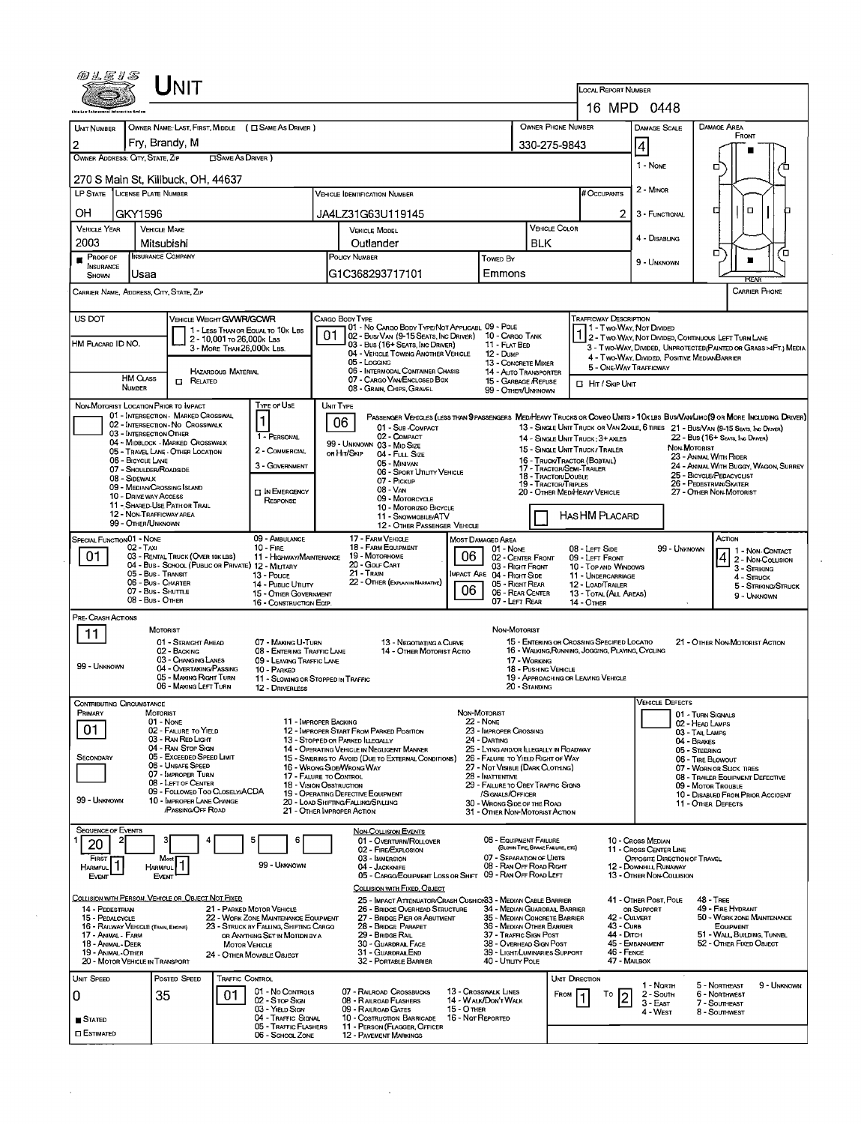|                                                                                                       |                                                                                                                                        |                                                                                                                                                                                                                                                                               |                                                                                      |                                                                                                                                                                            |                                                                                                                                                                                                                                                                                                                          |                                  |                                                                                                                                                                                                                                                                                                                             |                                                                                | LOCAL REPORT NUMBER                                                                                                                                    |                                                                                                                                                           |                                                                                                                                                          |                                                                                                                                                                                                                                                                                                                                                                                                              |
|-------------------------------------------------------------------------------------------------------|----------------------------------------------------------------------------------------------------------------------------------------|-------------------------------------------------------------------------------------------------------------------------------------------------------------------------------------------------------------------------------------------------------------------------------|--------------------------------------------------------------------------------------|----------------------------------------------------------------------------------------------------------------------------------------------------------------------------|--------------------------------------------------------------------------------------------------------------------------------------------------------------------------------------------------------------------------------------------------------------------------------------------------------------------------|----------------------------------|-----------------------------------------------------------------------------------------------------------------------------------------------------------------------------------------------------------------------------------------------------------------------------------------------------------------------------|--------------------------------------------------------------------------------|--------------------------------------------------------------------------------------------------------------------------------------------------------|-----------------------------------------------------------------------------------------------------------------------------------------------------------|----------------------------------------------------------------------------------------------------------------------------------------------------------|--------------------------------------------------------------------------------------------------------------------------------------------------------------------------------------------------------------------------------------------------------------------------------------------------------------------------------------------------------------------------------------------------------------|
|                                                                                                       |                                                                                                                                        |                                                                                                                                                                                                                                                                               |                                                                                      |                                                                                                                                                                            |                                                                                                                                                                                                                                                                                                                          |                                  |                                                                                                                                                                                                                                                                                                                             |                                                                                |                                                                                                                                                        | 16 MPD 0448                                                                                                                                               |                                                                                                                                                          |                                                                                                                                                                                                                                                                                                                                                                                                              |
| <b>UNT NUMBER</b><br>2                                                                                |                                                                                                                                        | Fry, Brandy, M                                                                                                                                                                                                                                                                |                                                                                      | OWNER NAME: LAST, FIRST, MIDDLE ( C SAME AS DRIVER )                                                                                                                       |                                                                                                                                                                                                                                                                                                                          |                                  |                                                                                                                                                                                                                                                                                                                             | OWNER PHONE NUMBER<br>330-275-9843                                             |                                                                                                                                                        | <b>DAMAGE SCALE</b><br>4                                                                                                                                  |                                                                                                                                                          | DAMAGE AREA<br>FRONT                                                                                                                                                                                                                                                                                                                                                                                         |
|                                                                                                       | OWNER ADDRESS: CITY, STATE, ZIP                                                                                                        |                                                                                                                                                                                                                                                                               | □ SAME AS DRIVER )                                                                   |                                                                                                                                                                            |                                                                                                                                                                                                                                                                                                                          |                                  |                                                                                                                                                                                                                                                                                                                             |                                                                                |                                                                                                                                                        | 1 - None                                                                                                                                                  |                                                                                                                                                          | п<br>п                                                                                                                                                                                                                                                                                                                                                                                                       |
|                                                                                                       | LP STATE LICENSE PLATE NUMBER                                                                                                          | 270 S Main St, Killbuck, OH, 44637                                                                                                                                                                                                                                            |                                                                                      |                                                                                                                                                                            | <b>VEHICLE IDENTIFICATION NUMBER</b>                                                                                                                                                                                                                                                                                     |                                  |                                                                                                                                                                                                                                                                                                                             |                                                                                | # Occupants                                                                                                                                            | 2 - Minor                                                                                                                                                 |                                                                                                                                                          |                                                                                                                                                                                                                                                                                                                                                                                                              |
| OН                                                                                                    | GKY1596                                                                                                                                |                                                                                                                                                                                                                                                                               |                                                                                      |                                                                                                                                                                            | JA4LZ31G63U119145                                                                                                                                                                                                                                                                                                        |                                  |                                                                                                                                                                                                                                                                                                                             |                                                                                | 2                                                                                                                                                      | 3 - FUNCTIONAL                                                                                                                                            |                                                                                                                                                          | о<br>α                                                                                                                                                                                                                                                                                                                                                                                                       |
| <b>VEHICLE YEAR</b>                                                                                   |                                                                                                                                        | <b>VEHICLE MAKE</b>                                                                                                                                                                                                                                                           |                                                                                      |                                                                                                                                                                            | <b>VEHICLE MODEL</b>                                                                                                                                                                                                                                                                                                     |                                  |                                                                                                                                                                                                                                                                                                                             | <b>VEHICLE COLOR</b>                                                           |                                                                                                                                                        | 4 - DISABLING                                                                                                                                             |                                                                                                                                                          |                                                                                                                                                                                                                                                                                                                                                                                                              |
| 2003<br>$P_{\text{ROOF OF}}$                                                                          |                                                                                                                                        | Mitsubishi<br><b>INSURANCE COMPANY</b>                                                                                                                                                                                                                                        |                                                                                      |                                                                                                                                                                            | Outlander<br>POUCY NUMBER                                                                                                                                                                                                                                                                                                |                                  | <b>TOWED BY</b>                                                                                                                                                                                                                                                                                                             | <b>BLK</b>                                                                     |                                                                                                                                                        | 9 - UNKNOWN                                                                                                                                               |                                                                                                                                                          | σ<br>ם<br>п                                                                                                                                                                                                                                                                                                                                                                                                  |
| INSURANCE<br>SHOWN                                                                                    | Usaa                                                                                                                                   |                                                                                                                                                                                                                                                                               |                                                                                      |                                                                                                                                                                            | G1C368293717101                                                                                                                                                                                                                                                                                                          |                                  | Emmons                                                                                                                                                                                                                                                                                                                      |                                                                                |                                                                                                                                                        |                                                                                                                                                           |                                                                                                                                                          | RFA                                                                                                                                                                                                                                                                                                                                                                                                          |
|                                                                                                       |                                                                                                                                        | Carrier Name, Address, City, State, Zip                                                                                                                                                                                                                                       |                                                                                      |                                                                                                                                                                            |                                                                                                                                                                                                                                                                                                                          |                                  |                                                                                                                                                                                                                                                                                                                             |                                                                                |                                                                                                                                                        |                                                                                                                                                           |                                                                                                                                                          | CARRIER PHONE                                                                                                                                                                                                                                                                                                                                                                                                |
| US DOT<br>HM PLACARD ID NO.                                                                           | HM CLASS<br>NUMBER                                                                                                                     | VEHICLE WEIGHT GVWR/GCWR<br>$\Box$ Related                                                                                                                                                                                                                                    | 2 - 10,001 To 26,000K LBS<br>3 - MORE THAN 26,000K LBS.<br><b>HAZARDOUS MATERIAL</b> | 1 - LESS THAN OR EQUAL TO 10K LBS                                                                                                                                          | CARGO BODY TYPE<br>01 - No CARGO BODY TYPE/NOT APPLICABL 09 - POLE<br>02 - Bus/VAN (9-15 SEATS, INC DRIVER) 10 - CARGO TANK<br>03 - Bus (16+ Seats, Inc Driver)<br>04 - VEHICLE TOWING ANOTHER VEHICLE<br>05 - Loccing<br>06 - INTERMODAL CONTAINER CHASIS<br>07 - CARGO VAN/ENCLOSED BOX<br>08 - GRAIN, CHIPS, GRAVEL   |                                  | 11 - FLAT BED<br>$12 - D$ ump<br>13 - CONCRETE MIXER<br><b>14 - AUTO TRANSPORTER</b><br>15 - GARBAGE / REFUSE<br>99 - OTHER/LINKNOWN                                                                                                                                                                                        |                                                                                | <b>TRAFFICWAY DESCRIPTION</b><br><b>El Hit / Skip Unit</b>                                                                                             | 1 - Two Way, Not Divided<br>4 - Two-Way, Divided, Positive Median Barrier<br>5 - ONE-WAY TRAFFICWAY                                                       |                                                                                                                                                          | 1 2 - Two-WAY, NOT DIVIDED, CONTINUOUS LEFT TURN LANE<br>3 - Two-Way, DIVIDED, UNPROTECTED/PAINTED OR GRASS >4FT.) MEDIA                                                                                                                                                                                                                                                                                     |
|                                                                                                       | 03 - INTERSECTION OTHER<br>06 - BICYCLE LANE<br>07 - SHOULDER/ROADSIDE<br>08 - SIDEWALK<br>10 - DRIVE WAY AccESS<br>99 - OTHER/UNKNOWN | 01 - INTERSECTION MARKED CROSSWAL<br>02 - INTERSECTION - NO CROSSWALK<br>04 - MIDBLOCK - MARKED CROSSWALK<br>05 - TRAVEL LANE - OTHER LOCATION<br>09 - MEDIAN CROSSING ISLAND<br>11 - SHARED-USE PATH OR TRAIL<br>12 - NON-TRAFFICWAY AREA                                    |                                                                                      | 1 - PERSONAL<br>2 - COMMERCIAL<br>3 - GOVERNMENT<br><b>IN EMERGENCY</b><br>RESPONSE                                                                                        | 06<br>01 - Sub-COMPACT<br>02 - COMPACT<br>99 - UNKNOWN 03 - MID SIZE<br>ов Ніт/Sкір<br>04 - Full Size<br>05 - MINIVAN<br>06 - SPORT UTILITY VEHICLE<br>07 - PICKUP<br>$08 - V_{AN}$<br>09 - MOTORCYCLE<br>10 - MOTORIZEO BICYCLE<br>11 - SNOWMOBILE/ATV<br>12 - OTHER PASSENGER VEHICLE                                  |                                  |                                                                                                                                                                                                                                                                                                                             | 17 - Tractor/Semi-Traler<br>18 - TRACTOR/DOUBLE<br><b>19 - TRACTOR/TRIPLES</b> | 14 - SINGLE UNIT TRUCK: 3+ AXLES<br>15 - SINGLE UNIT TRUCK / TRAILER<br>16 - TRUCK/TRACTOR (BOBTAIL)<br>20 - OTHER MEDIHEAVY VEHICLE<br>HAS HM PLACARD |                                                                                                                                                           | NON-MOTORIST                                                                                                                                             | PASSENGER VEHICLES (LESS THAN 9 PASSENGERS MEDIHEAVY TRUCKS OR COMBO UNITS > 1 OK LBS BUS/VAWLIMO (9 OR MORE INCLUDING DRIVER)<br>13 - SINGLE UNIT TRUCK OR VAN 2AXLE, 6 TIRES 21 - BUS/VAN (9-15 SEATS, INC DRIVER)<br>22 - Bus (16+ Seats, Inc Driver)<br>23 - ANIMAL WITH RIDER<br>24 - ANIMAL WITH BUGGY, WAGON, SURREY<br>25 - BICYCLE/PEDACYCLIST<br>26 - PEDESTRIAN SKATER<br>27 - OTHER NON-MOTORIST |
| 01                                                                                                    | SPECIAL FUNCTION01 - NONE<br>$02 - T_Ax$<br>08 - Bus - Other                                                                           | 03 - RENTAL TRUCK (OVER 10K LBS)<br>04 - Bus - SCHOOL (PUBLIC OR PRIVATE) 12 - MILITARY<br>05 - Bus - Transit<br>06 - Bus - Charter<br>07 - Bus - SHUTTLE                                                                                                                     |                                                                                      | 09 - AMBULANCE<br>$10 -$ Fire<br>11 - HIGHWAY/MAINTENANCE<br>13 - Pouce<br>14 - Pusuc Unury<br>15 - OTHER GOVERNMENT<br>16 - CONSTRUCTION EQTP.                            | 17 - FARM VEHICLE<br>18 - FARM EQUIPMENT<br>19 - Мотопноме<br>20 - GOLF CART<br>21 - TRAIN<br>22 - OTHER (EXPLAIN IN NARRATIVE)                                                                                                                                                                                          | 06<br>06                         | MOST DAMAGED AREA<br>01 - None<br>02 - CENTER FRONT<br>03 RIGHT FRONT<br>MPACT ARE 04 - RIGHT SIDE<br>05 - RIGHT REAR<br>06 - REAR CENTER<br>07 - LEFT REAR                                                                                                                                                                 |                                                                                | 08 - LEFT SIDE<br>09 - LEFT FRONT<br>10 - TOP AND WINDOWS<br>11 - UNDERCARRIAGE<br>12 - LOAD/TRAILER<br>13 - TOTAL (ALL AREAS)<br>$14 -$ OTHER         |                                                                                                                                                           | 99 - UNKNOWN                                                                                                                                             | ACTION<br>1 - Non-CONTACT<br>2 - NON-COLLISION<br>3 - STRIKING<br>$4 -$ Struck<br>5 - STRIKING/STRUCK<br>9 - UNKNOWN                                                                                                                                                                                                                                                                                         |
| Pre- Crash Actions<br>11<br>99 - UNKNOWN                                                              |                                                                                                                                        | MOTORIST<br>01 - STRAIGHT AHEAD<br>02 - BACKING<br>03 - CHANGING LANES<br>04 - OVERTAKING/PASSING<br>05 - MAKING RIGHT TURN<br>06 - MAKING LEFT TURN                                                                                                                          |                                                                                      | 07 - MAKING U-TURN<br>08 - ENTERING TRAFFIC LANE<br>09 - LEAVING TRAFFIC LANE<br>10 - PARKED<br>11 - Slowing or Stopped in Traffic<br>12 - DRIVERLESS                      | 13 - NEGOTIATING A CURVE<br>14 - OTHER MOTORIST ACTIO                                                                                                                                                                                                                                                                    |                                  | <b>NON-MOTORIST</b>                                                                                                                                                                                                                                                                                                         | 17 - WORKING<br>18 - PUSHING VEHICLE<br>20 - STANDING                          | 15 - ENTERING OR CROSSING SPECIFIED LOCATIO<br>16 - WALKING, RUNNING, JOGGING, PLAYING, CYCLING<br>19 - APPROACHING OR LEAVING VEHICLE                 |                                                                                                                                                           |                                                                                                                                                          | 21 - OTHER NON-MOTORIST ACTION                                                                                                                                                                                                                                                                                                                                                                               |
| PRIMARY<br>01<br>SECONDARY<br>99 - UNKNOWN                                                            | Contributing Circumstance                                                                                                              | Motorist<br>01 - None<br>02 - FAILURE TO YIELD<br>03 - RAN RED LIGHT<br>04 - RAN STOP SIGN<br>05 - Exceeded Speed LIMIT<br>06 - UNSAFE SPEED<br>07 - IMPROPER TURN<br>08 - LEFT OF CENTER<br>09 - FOLLOWED TOO CLOSELY/ACDA<br>10 - IMPROPER LANE CHANGE<br>/PASSING/OFF ROAD |                                                                                      | 11 - IMPROPER BACKING<br>17 - FALURE TO CONTROL<br>18 - VISION OBSTRUCTION                                                                                                 | 12 - IMPROPER START FROM PARKED POSITION<br>13 - STOPPED OR PARKED ILLEGALLY<br>14 - OPERATING VEHICLE IN NEGLIGENT MANNER<br>15 - SWERING TO AVOID (DUE TO EXTERNAL CONDITIONS)<br>16 - Wrong Side/Wrong Way<br>19 - OPERATING DEFECTIVE EQUIPMENT<br>20 - LOAD SHIFTING/FALLING/SPILLING<br>21 - OTHER IMPROPER ACTION | NON-MOTORIST                     | <b>22 - NONE</b><br>23 - IMPROPER CROSSING<br>24 - DARTING<br>25 - LYING AND/OR LLEGALLY IN ROADWAY<br>26 - FALURE TO YIELD RIGHT OF WAY<br>27 - NOT VISIBLE (DARK CLOTHING)<br>28 - INATTENTIVE<br>29 - FAILURE TO OBEY TRAFFIC SIGNS<br>/SIGNALS/OFFICER<br>30 - WRONG SIDE OF THE ROAD<br>31 - OTHER NON-MOTORIST ACTION |                                                                                |                                                                                                                                                        | Vehicle Defects                                                                                                                                           | 01 - TURN SIGNALS<br>02 - HEAD LAMPS<br>03 - TAIL LAMPS<br>04 - Brakes<br>05 - STEERING<br>06 - TIRE BLOWOUT<br>09 - MOTOR TROUBLE<br>11 - OTHER DEFECTS | 07 - WORN OR SLICK TIRES<br>08 - TRAILER EQUIPMENT DEFECTIVE<br>10 - DISABLED FROM PRIOR ACCIDENT                                                                                                                                                                                                                                                                                                            |
| <b>SEQUENCE OF EVENTS</b><br>20<br>FIRST<br><b>HARMFUL</b><br>EVENT                                   | $\vert$ 1                                                                                                                              | Most<br>HARMFUL <sup>1</sup><br>EVENT<br><u>Collision with Person, Vehicle or Object Not Fixed</u>                                                                                                                                                                            |                                                                                      | 6<br>99 - Unknown                                                                                                                                                          | <b>NON-COLLISION EVENTS</b><br>01 - OVERTURN/ROLLOVER<br>02 - FIRE/EXPLOSION<br>03 - IMMERSION<br>04 - JACKKNIFE<br>05 - CARGO/EQUIPMENT LOSS OR SHIFT 09 - RAN OFF ROAD LEFT<br>COLLISION WITH FIXED, OBJECT<br>25 - IMPACT ATTENUATOR/CRASH CUSHION33 - MEDIAN CABLE BARRIER                                           |                                  | 06 - EQUIPMENT FAILURE<br>07 - SEPARATION OF UNITS<br>08 - RAN OFF ROAD RIGHT                                                                                                                                                                                                                                               | (BLOWN TIRE, BRAKE FAILURE, ETC)                                               |                                                                                                                                                        | 10 - Cross Median<br>11 - Cross Center Line<br>OPPOSITE DIRECTION OF TRAVEL<br>12 - DOWNHILL RUNAWAY<br>13 - OTHER NON-COLLISION<br>41 - OTHER POST, POLE |                                                                                                                                                          | <b>48 - TREE</b>                                                                                                                                                                                                                                                                                                                                                                                             |
| 14 - PEDESTRIAN<br>15 - PEDALCYCLE<br>17 - Animal - Farm<br>18 - Animal - DEER<br>19 - Animal - Other | 16 - RAILWAY VEHICLE (TRAIN, ENGINE)<br>20 - MOTOR VEHICLE IN TRANSPORT                                                                |                                                                                                                                                                                                                                                                               | Мотов VEHICLE                                                                        | 21 - PARKED MOTOR VEHICLE<br>22 - WORK ZONE MAINTENANCE EQUIPMENT<br>23 - STRUCK BY FALLING, SHIFTING CARGO<br>OR ANYTHING SET IN MOTION BY A<br>24 - OTHER MOVABLE OBJECT | 26 - BRIDGE OVERHEAD STRUCTURE<br>27 - BRIDGE PIER OR ABUTMENT<br>28 - BRIDGE PARAPET<br>29 - BRIDGE RAIL<br>30 - GUARDRAL FACE<br>31 - GUARDRALEND<br>32 - PORTABLE BARRIER                                                                                                                                             |                                  | 34 - MEDIAN GUARDRAIL BARRIER<br>35 - MEDIAN CONCRETE BARRIER<br>36 - MEDIAN OTHER BARRIER<br>37 - TRAFFIC SIGN POST<br>38 - Overhead Sign Post<br>39 - LIGHT/LUMINARIES SUPPORT<br>40 - Unury Pole                                                                                                                         |                                                                                | 43 - Curb                                                                                                                                              | OR SUPPORT<br>42 - Culvert<br>44 - Олтсн<br>45 - EMBANKMENT<br>46 - FENCE<br>47 - MAILBOX                                                                 |                                                                                                                                                          | 49 - FIRE HYDRANT<br>50 - WORK ZONE MAINTENANCE<br>EQUIPMENT<br>51 - WALL, BUILDING, TUNNEL<br>52 - OTHER FIXED OBJECT                                                                                                                                                                                                                                                                                       |
| UNIT SPEED<br>0<br>STATED<br><b>O</b> ESTIMATED                                                       |                                                                                                                                        | Posted Speed<br>35                                                                                                                                                                                                                                                            | TRAFFIC CONTROL<br>01                                                                | 01 - No Controls<br>02 - Stop Sign<br>03 - Yieup Stow<br>04 - TRAFFIC SIGNAL<br>05 - TRAFFIC FLASHERS<br>06 - School Zone                                                  | 07 - RAILROAD CROSSBUCKS<br>08 - RAILROAD FLASHERS<br>09 - RAILROAD GATES<br>10 - COSTRUCTION BARRICADE<br>11 - PERSON (FLAGGER, OFFICER<br><b>12 - PAVEMENT MARKINGS</b>                                                                                                                                                | 15 - O THER<br>16 - Not Reported | <b>13 - CROSSWALK LINES</b><br>14 - WALK/DON'T WALK                                                                                                                                                                                                                                                                         | FROM                                                                           | UNIT DIRECTION<br>То<br>l2                                                                                                                             | 1 - North<br>2 - South<br>3 - East<br>4 - West                                                                                                            |                                                                                                                                                          | 5 - Northeast<br>9 - UNKNOWN<br>6 - NORTHWEST<br>7 - SOUTHEAST<br>8 - Southwest                                                                                                                                                                                                                                                                                                                              |

 $\hat{\boldsymbol{\gamma}}$ 

 $\Delta \sim 10^4$ 

 $\hat{\mathcal{A}}$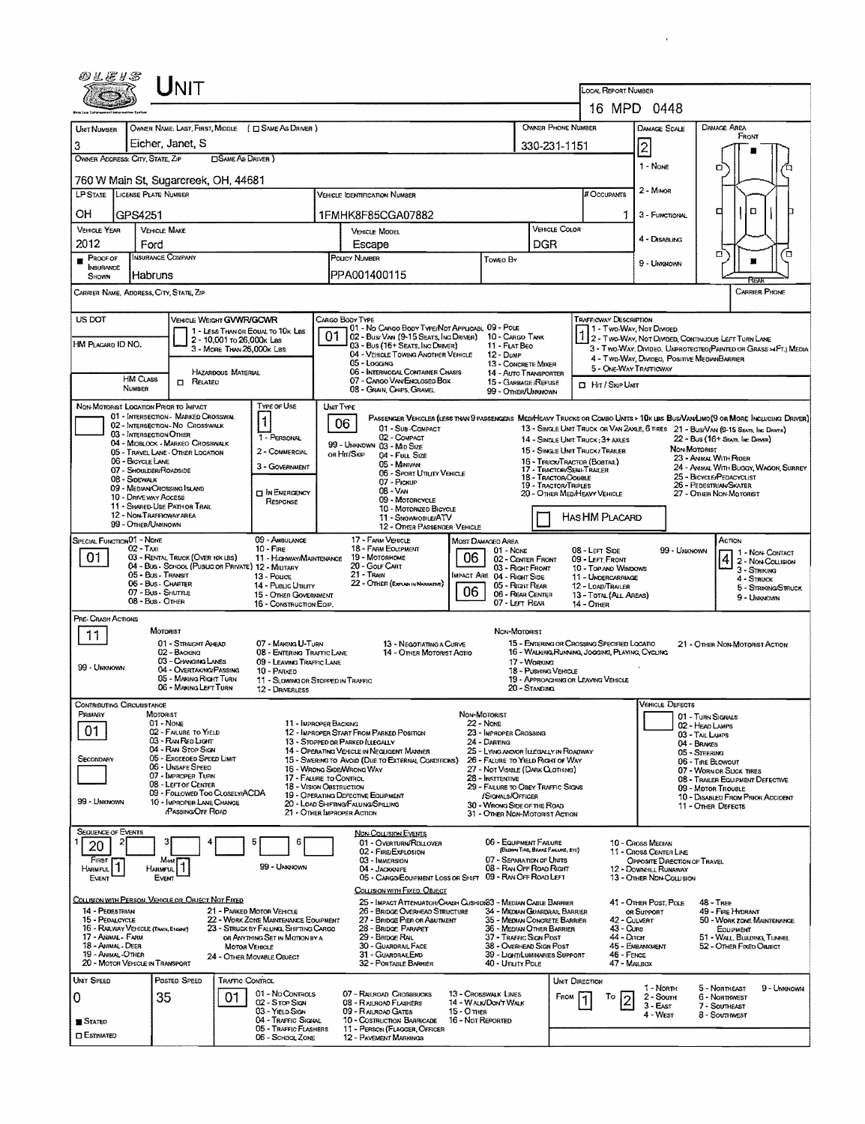|                                                                                                                                                                                           | UNIT                                                                                            |                                                                          |                                                                                                                                        |                                                                                                  |                                                                             |                                     |                                                  |                                                                |                                                        |                                                                                                                             |  |  |
|-------------------------------------------------------------------------------------------------------------------------------------------------------------------------------------------|-------------------------------------------------------------------------------------------------|--------------------------------------------------------------------------|----------------------------------------------------------------------------------------------------------------------------------------|--------------------------------------------------------------------------------------------------|-----------------------------------------------------------------------------|-------------------------------------|--------------------------------------------------|----------------------------------------------------------------|--------------------------------------------------------|-----------------------------------------------------------------------------------------------------------------------------|--|--|
|                                                                                                                                                                                           |                                                                                                 |                                                                          |                                                                                                                                        |                                                                                                  |                                                                             |                                     |                                                  | <b>LOCAL REPORT NUMBER</b><br>16 MPD 0448                      |                                                        |                                                                                                                             |  |  |
|                                                                                                                                                                                           |                                                                                                 |                                                                          |                                                                                                                                        |                                                                                                  |                                                                             |                                     | OWNER PHONE NUMBER                               |                                                                |                                                        | DAMAGE AREA                                                                                                                 |  |  |
| UNIT NUMBER<br>3                                                                                                                                                                          | OWNER NAME: LAST, FIRST, MIDDLE ( ESAME AS DRIVER )<br>Eicher, Janet, S                         |                                                                          |                                                                                                                                        |                                                                                                  |                                                                             |                                     | 330-231-1151                                     |                                                                | <b>DAMAGE SCALE</b><br> 2                              | FRONT                                                                                                                       |  |  |
| OWNER ADDRESS: CITY, STATE, ZIP                                                                                                                                                           | <b>CISAME AS DRIVER )</b>                                                                       |                                                                          |                                                                                                                                        |                                                                                                  |                                                                             |                                     |                                                  |                                                                | 1 - None                                               |                                                                                                                             |  |  |
|                                                                                                                                                                                           | 760 W Main St, Sugarcreek, OH, 44681                                                            |                                                                          |                                                                                                                                        |                                                                                                  |                                                                             |                                     |                                                  |                                                                |                                                        | n                                                                                                                           |  |  |
| <b>LP STATE LICENSE PLATE NUMBER</b>                                                                                                                                                      |                                                                                                 |                                                                          |                                                                                                                                        | VEHICLE IDENTIFICATION NUMBER                                                                    |                                                                             |                                     |                                                  | # Occupants                                                    | $2 -$ Minion                                           |                                                                                                                             |  |  |
| OН<br>GPS4251                                                                                                                                                                             |                                                                                                 |                                                                          |                                                                                                                                        | 1FMHK8F85CGA07882                                                                                |                                                                             |                                     |                                                  |                                                                | 3 - FUNCTIONAL                                         | o<br>◘                                                                                                                      |  |  |
| <b>VEHICLE YEAR</b><br>2012<br>Ford                                                                                                                                                       | <b>VEHICLE MAKE</b>                                                                             |                                                                          |                                                                                                                                        | VEHICLE MODEL<br>Escape                                                                          |                                                                             | <b>DGR</b>                          | VEHICLE COLOR                                    |                                                                | 4 - DISABLING                                          |                                                                                                                             |  |  |
| <b>PROOF OF</b>                                                                                                                                                                           | <b>INSURANCE COMPANY</b>                                                                        |                                                                          | POLICY NUMBER<br>Toweo By                                                                                                              |                                                                                                  |                                                                             |                                     |                                                  |                                                                | 9 - UNKNOWN                                            | α<br>Ω′<br>т                                                                                                                |  |  |
| INSURANCE<br>Habruns<br>SHOWN                                                                                                                                                             |                                                                                                 |                                                                          |                                                                                                                                        | PPA001400115                                                                                     |                                                                             |                                     |                                                  |                                                                |                                                        | বিয়ো                                                                                                                       |  |  |
| CARRIER NAME, ADDRESS, CITY, STATE, ZIP                                                                                                                                                   |                                                                                                 |                                                                          |                                                                                                                                        |                                                                                                  |                                                                             |                                     |                                                  |                                                                |                                                        | CARRIER PHONE                                                                                                               |  |  |
| US DOT                                                                                                                                                                                    | VEHICLE WEIGHT GVWR/GCWR                                                                        |                                                                          |                                                                                                                                        | Cargo Body Type<br>101 - No Cargo Booy Type/Not Applicabl 09 - Pole                              |                                                                             |                                     |                                                  | <b>TRAFFICWAY DESCRIPTION</b><br>1 - Two Way, Not Divided      |                                                        |                                                                                                                             |  |  |
| HM PLACARD ID NO.                                                                                                                                                                         | 1 - LESS THAN OR EQUAL TO 10K LBS<br>2 - 10,001 to 26,000x Las<br>3 - MORE THAN 26,000K LBS.    |                                                                          |                                                                                                                                        | 02 - Bus/Van (9-15 Seats, Inc Driver)<br>03 - Bus (16+ Seats, Ing Driver)                        | 10 - CARGO TANK<br>11 - FLAT BEO                                            |                                     |                                                  |                                                                |                                                        | 1 2 - TWO-WAY, NOT DIVIDED, CONTINUOUS LEFT TURN LANE<br>3 - Two-WAY, DIVIDEO, UNPROTECTEO(PAINTED OR GRASS >4FT.) MEDIA    |  |  |
|                                                                                                                                                                                           |                                                                                                 |                                                                          |                                                                                                                                        | 04 - VEHICLE TOWING ANOTHER VEHICLE<br>05 - Logging                                              | 12 - Dump<br>13 - CONCRETE MIXER                                            |                                     |                                                  | 5 - ONE-WAY TRAFFICWAY                                         | 4 - Two-Way, Divideo, Positive MedianBarrier           |                                                                                                                             |  |  |
| <b>HM CLASS</b><br><b>NUMBER</b>                                                                                                                                                          | HAZARDOUS MATERIAL<br><b>CI RELATED</b>                                                         |                                                                          |                                                                                                                                        | 06 - INTERMODAL CONTAINER CHASIS<br>07 - CARGO VAN ENCLOSED BOX                                  | 14 - AUTO TRANSPORTER<br>15 - GARBAGE /REFUSE                               |                                     |                                                  | <b>D</b> Hit / Skip Unit                                       |                                                        |                                                                                                                             |  |  |
| NON-MOTORIST LOCATION PRIOR TO IMPACT                                                                                                                                                     |                                                                                                 | Type or Use                                                              | UNIT TYPE                                                                                                                              | 08 - GRAIN, CHIPS, GRAVEL                                                                        | 99 - OTHER/UNKNOWN                                                          |                                     |                                                  |                                                                |                                                        |                                                                                                                             |  |  |
|                                                                                                                                                                                           | 01 - INTERSECTION - MARKED CROSSWAL<br>02 - INTERSECTION-NO CROSSWALK                           | $\mathbf{1}$                                                             |                                                                                                                                        | 06                                                                                               |                                                                             |                                     |                                                  |                                                                |                                                        | PASSENGER VEHICLES (LESS THAN 9 PASSENGERS MEDIHEAVY TRUCKS OR COMBO UNTS > 10K LBS BUS/VAN/LMO(9 OR MORE INCLUDING DRIVER) |  |  |
| 03 - INTERSECTION OTHER                                                                                                                                                                   | 04 - MIDBLOCK - MARKEO CROSSWALK                                                                | 1 - PERSONAL                                                             |                                                                                                                                        | 01 - Sub-COMPACT<br>02 - COMPACT<br>99 - UNKNOWN 03 - MID SIZE                                   |                                                                             |                                     |                                                  | 14 - SINGLE UNIT TRUCK: 3+ AXLES                               |                                                        | 13 - SINGLE UNIT TRUCK OR VAN 2AXLE, 6 TIRES 21 - BUS/VAN (9-15 SEATS, INC DRIVES)<br>22 - Bus (16+ Seats, Inc Driver)      |  |  |
| 06 - BICYCLE LANE                                                                                                                                                                         | 05 - TRAVEL LANE - OTHER LOCATION                                                               | 2 - COMMERCIAL                                                           |                                                                                                                                        | OR HIT/SKIP<br>04 - Full Size<br>05 - Minivan                                                    |                                                                             |                                     |                                                  | 15 - SINGLE UNIT TRUCK/TRAILER<br>16 - TRUCK/TRACTOR (BOBTAIL) |                                                        | NON-MOTORIST<br>23 - ANIMAL WITH RIDER                                                                                      |  |  |
| 07 - SHOULDER/ROADSIDE<br>08 - Sidewalk                                                                                                                                                   |                                                                                                 | 3 - GOVERNMENT                                                           |                                                                                                                                        | 06 - Sport Uttury Vehicle<br>07 - Pickup                                                         |                                                                             |                                     | 17 - TRACTOR/SEMI-TRAILER<br>18 - Tractor/Double |                                                                |                                                        | 24 - ANIMAL WITH BUGGY, WAGON, SURREY<br>25 - BICYCLE/PEDACYCLIST<br>26 - PEDESTRIAN SKATER                                 |  |  |
| 19 - TRACTOR/TRIPLES<br>09 - MEDIAN CROSSING ISLAND<br>08 - VAN<br><b>CT IN EMERGENCY</b><br>20 - OTHER MEDIHEAVY VEHICLE<br>10 - DRIVE WAY ACCESS<br>09 - Motorcycle<br>Response         |                                                                                                 |                                                                          |                                                                                                                                        |                                                                                                  |                                                                             |                                     |                                                  |                                                                |                                                        | 27 - OTHER NON-MOTORIST                                                                                                     |  |  |
| 11 - SHARED-USE PATH OR TRAIL<br>10 - MOTORIZED BICYCLE<br>12 - NON-TRAFFICWAY AREA<br>HAS HM PLACARD<br><b>11 - SNOWMOBILE/ATV</b><br>99 - OTHER/UNKNOWN<br>12 - OTHER PASSENGER VEHICLE |                                                                                                 |                                                                          |                                                                                                                                        |                                                                                                  |                                                                             |                                     |                                                  |                                                                |                                                        |                                                                                                                             |  |  |
| SPECIAL FUNCTION 01 - NONE                                                                                                                                                                |                                                                                                 | 09 - AMBULANCE                                                           |                                                                                                                                        | 17 - FARM VERICLE                                                                                | Most Damaged Area                                                           |                                     |                                                  |                                                                |                                                        | ACTION                                                                                                                      |  |  |
| 02 - Taxi<br>01                                                                                                                                                                           | 03 - RENTAL TRUCK (OVER 10K LBS)                                                                | $10 - Fme$<br>11 - HIGHWAY/MAINTENANCE                                   |                                                                                                                                        | 18 - FARM EQUIPMENT<br>19 - Мотовноме                                                            | $01 - None$<br>06                                                           | 02 - CENTER FRONT                   |                                                  | 08 - LEFT SIDE<br>09 - LEFT FRONT                              | 99 - UNKNOWN                                           | 1 - Non-Contact<br>2 - Non-Collision                                                                                        |  |  |
|                                                                                                                                                                                           | 04 - Bus - SCHOOL (PUBLIC OR PRIVATE) 12 - MILITARY<br>05 - Bus - Transit<br>06 - Bus - Charter | 13 - Pouce                                                               |                                                                                                                                        | 20 - Golf Cart<br>21 - Train<br>22 - OTHER (EXPLAIN IN NARRATIVE)                                | IMPACT ARE 04 - RIGHT SIDE                                                  | 03 - Right Front                    |                                                  | 10 - Top and Windows<br>11 - UNDERCARRIAGE                     |                                                        | 3 - Striking<br>$4 -$ Struck                                                                                                |  |  |
|                                                                                                                                                                                           | 07 - Bus - SHUTTLE<br>08 - Bus - Other                                                          | 14 - Pusuc Unury<br>15 - OTHER GOVERNMENT<br>16 - CONSTRUCTION EQIP      |                                                                                                                                        |                                                                                                  | 06<br>07 - LEFT REAR                                                        | 05 - Right REAR<br>06 - REAR CENTER |                                                  | 12 - LOAD/TRAILER<br>13 - TOTAL (ALL AREAS)<br>14 - Отнев      |                                                        | 5 - STRIKING/STRUCK<br>9 - Unknown                                                                                          |  |  |
| PRE- CRASH ACTIONS                                                                                                                                                                        |                                                                                                 |                                                                          |                                                                                                                                        |                                                                                                  |                                                                             |                                     |                                                  |                                                                |                                                        |                                                                                                                             |  |  |
| 11                                                                                                                                                                                        | MOTORIST<br>01 - STRAIGHT AHEAD                                                                 | 07 - MAKING U-TURN                                                       |                                                                                                                                        | 13 - NEGOTIATING A CURVE                                                                         | NON-MOTORIST                                                                |                                     |                                                  | 15 - ENTERING OR CROSSING SPECIFIED LOCATIO                    |                                                        | 21 - OTHER NON-MOTORIST ACTION                                                                                              |  |  |
|                                                                                                                                                                                           | 02 - BACKING<br>03 - Changing Lanes                                                             | 08 - ENTERING TRAFFIC LANE<br>09 - LEAVING TRAFFIC LANE                  |                                                                                                                                        | 14 - OTHER MOTORIST ACTIO                                                                        |                                                                             | 17 - WORKING                        |                                                  | 16 - WALKING RUNNING, JOGSING, PLAYING, CYCLING                |                                                        |                                                                                                                             |  |  |
| 99 - Unknown                                                                                                                                                                              | 04 - OVERTAKING/PASSING<br>05 - MAKING RIGHT TURN                                               | 10 - PARKFO<br>11 - SLOWING OR STOPPED IN TRAFFIC                        |                                                                                                                                        |                                                                                                  |                                                                             | 18 - Pushing Vehicle                |                                                  | 19 - APPROACHING OR LEAVING VEHICLE                            |                                                        |                                                                                                                             |  |  |
|                                                                                                                                                                                           | 06 - MAKING LEFT TURN                                                                           | 12 - DRIVERLESS                                                          |                                                                                                                                        |                                                                                                  |                                                                             | 20 - Standing                       |                                                  |                                                                | Vehicle Defects                                        |                                                                                                                             |  |  |
| Contributing Circumstance<br>Primary                                                                                                                                                      | MOTORIST<br>$01 - None$                                                                         | 11 - IMPROPER BACKING                                                    |                                                                                                                                        |                                                                                                  | NON-MOTORIST<br><b>22 - None</b>                                            |                                     |                                                  |                                                                |                                                        | 01 - TURN SIGNALS                                                                                                           |  |  |
| 01                                                                                                                                                                                        | 02 - FAILURE TO YIELD<br>03 - RAN REO LIGHT                                                     |                                                                          |                                                                                                                                        | 12 - IMPROPER START FROM PARKED POSITION<br>13 - STOPPED OR PARKED (LLEGALLY                     | 23 - IMPROPER CROSSING<br>24 - DARTING                                      |                                     |                                                  |                                                                |                                                        | 02 - HEAD LAMPS<br>03 - TAIL LAMPS<br>04 - BRAKES                                                                           |  |  |
| SECONDARY                                                                                                                                                                                 | 04 - RAN STOP SIGN<br>05 - Excesoso Speso Limit                                                 |                                                                          |                                                                                                                                        | 14 - Operating Vehicle in Negligent Manner<br>15 - SWERING TO AVOID (DUE TO EXTERNAL CONDITIONS) | 25 - LYING ANDIOR ILLEGALLY IN ROADWAY<br>26 - FALURE TO YIELD RIGHT OF WAY |                                     |                                                  |                                                                |                                                        | 05 - Steering<br>06 - TIRE BLOWOUT                                                                                          |  |  |
|                                                                                                                                                                                           | 06 - UNSAFE SPEED<br>07 - IMPROPER TURN<br>08 - LEFT OF CENTER                                  | 17 - FALURE TO CONTROL                                                   |                                                                                                                                        | 16 - WRONG SIDE/WRONG WAY                                                                        | 27 - Not Visible (DARK CLOTHING)<br>28 - INATTENTIVE                        |                                     |                                                  |                                                                |                                                        | 07 - WORN OR SLICK TIRES<br>08 - TRAILER EQUIPMENT DEFECTIVE                                                                |  |  |
| 99 - UNKNOWN                                                                                                                                                                              | 09 - FOLLOWED TOO CLOSELY/ACDA<br>10 - IMPROPER LANE CHANGE                                     | <b>18 - VISION OBSTRUCTION</b>                                           |                                                                                                                                        | 19 - OPERATING DEFECTIVE EQUIPMENT<br>20 - LOAD SHIFTING/FALLING/SPILLING                        | 29 - FAILURE TO OBEY TRAFFIC SIGNS<br>/SIGNALS/OFFICER                      |                                     |                                                  |                                                                |                                                        | 09 - Motor Trouble<br>10 - DISABLED FROM PRIOR ACCIDENT                                                                     |  |  |
|                                                                                                                                                                                           | <b>PASSING OFF ROAD</b>                                                                         |                                                                          |                                                                                                                                        | 21 - OTHER IMPROPER ACTION                                                                       | 30 - Wrong Side of the Road<br>31 - Other Non-Motorist Action               |                                     |                                                  |                                                                |                                                        | 11 - OTHER DEFECTS                                                                                                          |  |  |
| <b>SEQUENCE OF EVENTS</b>                                                                                                                                                                 |                                                                                                 |                                                                          |                                                                                                                                        | <b>NON-COLLISION EVENTS</b><br>01 - Overturn/ROLLOVER                                            | 06 - EQUIPMENT FAILURE                                                      |                                     |                                                  |                                                                | 10 - Cross Median                                      |                                                                                                                             |  |  |
| 20<br>FIRST                                                                                                                                                                               | Most                                                                                            |                                                                          |                                                                                                                                        | 02 - FIRE/EXPLOSION<br>03 - IMMERSION                                                            | 07 - SEPARATION OF UNITS                                                    | (BLOWN TIRE, BRAKE FAILURE, ETC)    |                                                  |                                                                | 11 - CROSS CENTER LINE<br>OPPOSITE DIRECTION OF TRAVEL |                                                                                                                             |  |  |
| Harmful  <br>EVENT                                                                                                                                                                        | HARMFUL <sup>1</sup><br>Event                                                                   | 99 - UNKNOWN                                                             |                                                                                                                                        | 04 - JACKKNIFE<br>05 - CARGO/EOUIPMENT LOSS OR SHIFT 09 - RAN OFF ROAD LEFT                      | 08 - RAN OFF ROAD RIGHT                                                     |                                     |                                                  |                                                                | 12 - DOWNHILL RUNAWAY<br>13 - OTHER NDN-COLLISION      |                                                                                                                             |  |  |
|                                                                                                                                                                                           | COLLISION WITH PERSON, VEHICLE OR OBJECT NOT FIXED                                              |                                                                          |                                                                                                                                        | COLLISION WITH FIXED, OBJECT<br>25 - IMPACT ATTENUATOR/CRASH CUSHION33 - MEDIAN CABLE BARRIER    |                                                                             |                                     |                                                  |                                                                | 41 - OTHER POST, POLE                                  | <b>48 - TREE</b>                                                                                                            |  |  |
| 14 - PEDESTRIAN<br>15 - PEDALCYCLE                                                                                                                                                        |                                                                                                 | 21 - PARKED MOTOR VEHICLE<br>22 - WORK ZONE MAINTENANCE EQUIPMENT        |                                                                                                                                        | 26 - BRIDGE OVERHEAD STRUCTURE<br>27 - BRIDGE PIER OR ABUTMENT                                   | 34 - MEDIAN GUARDRAIL BARRIER<br>35 - MEDIAN CONCRETE BARRIER               |                                     |                                                  | 42 - CULVERT                                                   | OR SUPPORT                                             | 49 - FIRE HYDRANT<br>50 - WORK ZONE MAINTENANCE                                                                             |  |  |
| 16 - RAILWAY VEHICLE (TRAH, ENGAG)<br>17 - Animal - Farm                                                                                                                                  |                                                                                                 | 23 - STRUCK BY FALUING, SHIFTING CARGO<br>OR ANYTHING SET IN MOTION BY A |                                                                                                                                        | 28 - Bridge Parapet<br>29 - BRIDGE RAIL                                                          | 36 - MEDIAN OTHER BARRIER<br>37 - TRAFFIC SIGN POST                         |                                     |                                                  | 43 - Curs<br>44 - Олсн                                         |                                                        | EQUIPMENT<br>51 - WALL, BUILDING, TUNNEL                                                                                    |  |  |
| 18 - Animal - Deer<br>19 - Annal CTHER                                                                                                                                                    | <b>MOTOR VEHICLE</b>                                                                            | 24 - OTHER MOVABLE OBJECT                                                |                                                                                                                                        | 30 - GUARDRAIL FACE<br>31 - GUARDRAILEMD                                                         | 38 - OVERHEAD SIGN POST<br>39 - Light/Luminaries Support                    |                                     |                                                  | 46 - FENCE                                                     | 45 - EMBANKMENT                                        | 52 - OTHER FIXED OBJECT                                                                                                     |  |  |
| 20 - MOTOR VEHICLE IN TRANSPORT<br>UNIT SPEED                                                                                                                                             | POSTED SPEED<br><b>TRAFFIC CONTROL</b>                                                          |                                                                          |                                                                                                                                        | 32 - PORTABLE BARRIER                                                                            | 40 - Unury Pole                                                             |                                     |                                                  | 47 - MAILBOX                                                   |                                                        |                                                                                                                             |  |  |
| 0                                                                                                                                                                                         | 35<br>01                                                                                        | 01 - No CONTROLS                                                         | 07 - RALROAD CROSSBUCKS<br>13 - Crosswalk Lines                                                                                        |                                                                                                  |                                                                             | UNIT DIRECTION<br>FROM<br>To<br> 2  |                                                  | 1 - North<br>2 - Soum                                          | 9 - Unknown<br>5 - Northeast<br>6 - NORTHWEST          |                                                                                                                             |  |  |
| $\blacksquare$ Stated                                                                                                                                                                     |                                                                                                 | 02 - S TOP SIGN<br>03 - YIELD SIGN<br>04 - TRAFFIC SIGNAL                | 14 - WALK/DON'T WALK<br>08 - RAILROAD FLASHERS<br>09 - RALROAD GATES<br>15 - О пнея<br>16 - Not Reported<br>10 - COSTRUCTION BARRICADE |                                                                                                  |                                                                             |                                     |                                                  |                                                                | $3 - E$ AST<br>4 - West                                | 7 - SOUTHEAST<br>8 - Southwest                                                                                              |  |  |
| <b>CI ESTIMATED</b>                                                                                                                                                                       |                                                                                                 | 11 - PERSON (FLAGGER, OFFICER<br>12 - PAVEMENT MARKINGS                  |                                                                                                                                        |                                                                                                  |                                                                             |                                     |                                                  |                                                                |                                                        |                                                                                                                             |  |  |
|                                                                                                                                                                                           |                                                                                                 | 06 - SCHOOL ZONE                                                         |                                                                                                                                        |                                                                                                  |                                                                             |                                     |                                                  |                                                                |                                                        |                                                                                                                             |  |  |

 $\mathcal{L}^{\text{max}}_{\text{max}}$  and  $\mathcal{L}^{\text{max}}_{\text{max}}$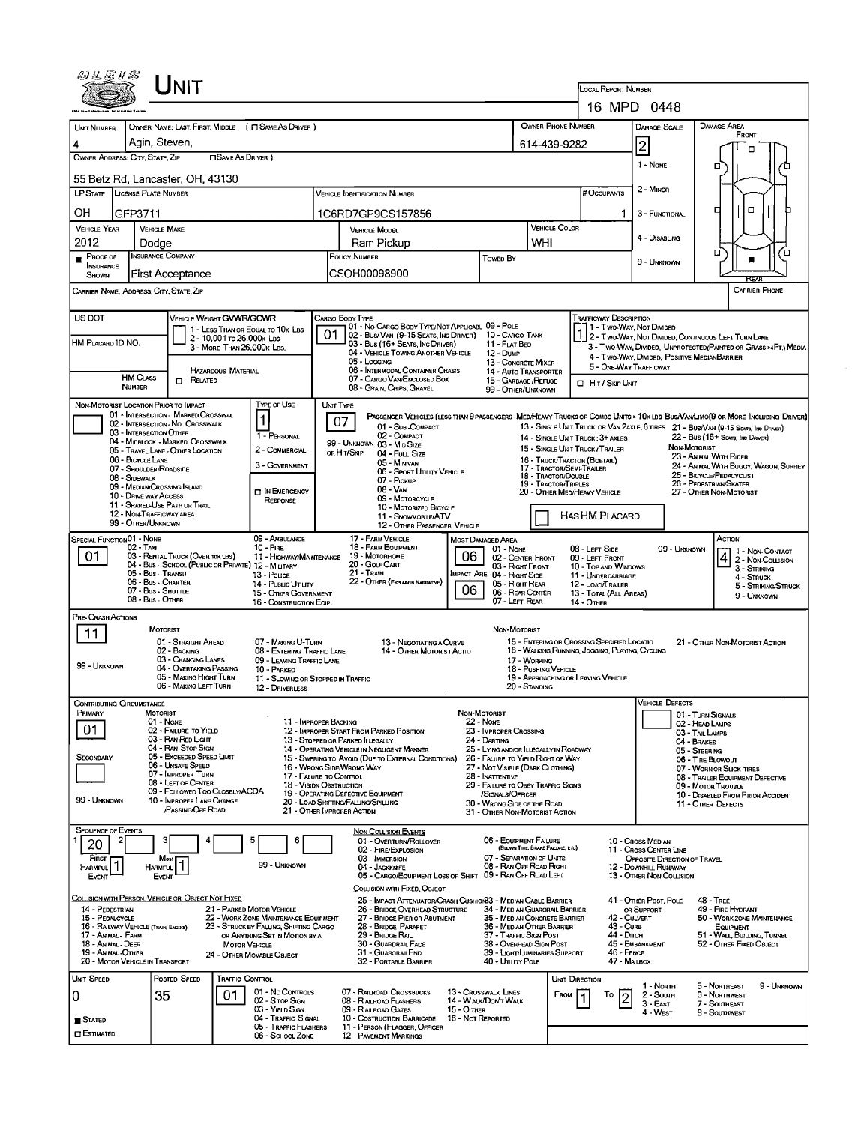| <b>LOCAL REPORT NUMBER</b><br>16 MPD 0448<br>OWNER PHONE NUMBER<br><b>DAMAGE AREA</b><br>UNT NUMBER<br>OWNER NAME: LAST, FIRST, MIDDLE ( $\Box$ SAME AS DRIVER )<br>DAMAGE SCALE<br>FRONT<br>Agin, Steven,<br>$\overline{\mathbf{c}}$<br>614-439-9282<br>п<br>OWNER ADDRESS: CITY, STATE, ZIP<br><b>CISAME AS DRIVER</b> )<br>1 - None<br>o<br>55 Betz Rd, Lancaster, OH, 43130<br>2 - Minon<br># Occupants<br>LP STATE   LICENSE PLATE NUMBER<br><b>VEHICLE IDENTIFICATION NUMBER</b><br>о<br>□<br>OН<br>GFP3711<br>1C6RD7GP9CS157856<br>3 - FUNCTIONAL<br>1.<br>VEHICLE COLOR<br><b>VEHICLE YEAR</b><br><b>VEHICLE MAKE</b><br><b>VEHICLE MODEL</b><br>4 - DISABLING<br>2012<br>WHI<br>Ram Pickup<br>Dodge<br>О<br>้อ<br><b>INSURANCE COMPANY</b><br><b>PROOF OF</b><br>INSURANCE<br><b>POLICY NUMBER</b><br><b>Towed By</b><br>9 - UNKNOWN<br>CSOH00098900<br>First Acceptance<br>SHOWN<br><b>FIFAR</b><br><b>CARRIER PHONE</b><br>CARRIER NAME, ADDRESS, CITY, STATE, ZIP<br>US DOT<br><b>VEHICLE WEIGHT GVWR/GCWR</b><br><b>TRAFFICWAY DESCRIPTION</b><br>CARGO BODY TYPE<br>01 - No CARGO BODY TYPE/NOT APPLICABL 09 - POLE<br>1 - Two-Way, Not Divided<br>1 - LESS THAN OR EOUAL TO 10K LBS<br>02 - Bus/ VAN (9-15 SEATS, INC DRIVER) 10 - CARGO TANK<br>2 - Two-WAY, NOT DIVIDED, CONTINUOUS LEFT TURN LANE<br>2 - 10,001 To 26,000K LBS<br>HM PLACARD ID NO.<br>03 - Bus (16+ Seats, Inc Driver)<br>11 - FLAT BED<br>3 - Two-WAY, DIVIDED, UNPROTECTED (PAINTED OR GRASS >4FT.) MEDIA<br>3 - MORE THAN 26,000K LBS.<br>04 - VEHICLE TOWING ANOTHER VEHICLE<br>12 - DuмP<br>4 - Two-Way, DIVIDED, POSITIVE MEDIANBARRIER<br>05 - Logging<br>13 - CONCRETE MIXER<br>5 - ONE-WAY TRAFFICWAY<br>06 - INTERMODAL CONTAINER CHASIS<br>HAZARDOUS MATERIAL<br>14 - AUTO TRANSPORTER<br><b>HM CLASS</b><br>07 - CARGO VAN ENCLOSED BOX<br>$\Box$ Related<br>15 - GARBAGE / REFUSE<br>□ Hit / Skip Unit<br><b>NUMBER</b><br>08 - GRAIN, CHIPS, GRAVEL<br>99 - OTHER/UNKNOWN<br>TYPE OF USE<br>NON-MOTORIST LOCATION PRIOR TO IMPACT<br>UNIT TYPE<br>01 - INTERSECTION - MARKED CROSSWAL<br>PASSENGER VEHICLES (LESS THAN 9 PASSENGERS MED/HEAVY TRUCKS OR COMBO UNITS > 10K LBS BUS/VAMLIMO(9 OR MORE INCLUDING DRIVER)<br>1<br>07<br>02 - INTERSECTION - NO CROSSWALK<br>01 - Sub-COMPACT<br>13 - SINGLE UNIT TRUCK OR VAN 2AXLE, 6 TIRES 21 - BUS/VAN (9-15 SEATS, INC DRIVER)<br>03 - INTERSECTION OTHER<br>1 - PERSONAL<br>02 - COMPACT<br>14 - SINGLE UNIT TRUCK; 3+ AXLES<br>22 - Bus (16+ Seats, Inc Driver)<br>04 - MIDBLOCK - MARKED CROSSWALK<br>99 - UNKNOWN 03 - MID SIZE<br>NON-MOTORIST<br>15 - SINGLE UNIT TRUCK / TRAILER<br>2 - COMMERCIAL<br>05 - TRAVEL LANE - OTHER LOCATION<br>OR HIT/SKIP<br>04 - Full Size<br>23 - ANIMAL WITH RIDER<br>06 - BICYCLE LANE<br>16 - TRUCK/TRACTOR (BOBTAIL)<br>05 - MINIVAN<br>3 - GOVERNMENT<br>24 - ANIMAL WITH BUGGY, WAGON, SURREY<br>17 - TRACTOR/SEMI-TRAILER<br>07 - Shoulder/Roadside<br>06 - SPORT UTILITY VEHICLE<br>25 - BICYCLE/PEDACYCLIST<br>18 - TRACTOR/DOUBLE<br>08 - Sidewalk<br>07 - Pickup<br>26 - PEDESTRIAN SKATER<br>19 - TRACTOR/TRIPLES<br>09 - MEDIAN CROSSING ISLAND<br>08 - VAN<br>IN EMERGENCY<br>20 - OTHER MEDIHEAVY VEHICLE<br>27 - OTHER NON-MOTORIST<br>10 - DRIVE WAY ACCESS<br>09 - MOTORCYCLE<br>RESPONSE<br>11 - SHARED-USE PATH OR TRAIL<br>10 - MOTORIZED BICYCLE<br>12 - NON-TRAFFICWAY AREA<br>HAS HM PLACARD<br>11 - SNOWMOBILE/ATV<br>99 - OTHER/UNKNOWN<br>12 - OTHER PASSENGER VEHICLE<br>SPECIAL FUNCTION 01 - NONE<br>09 - AMBULANCE<br>17 - FARM VEHICLE<br>Астом<br>MOST DAMAGED AREA<br>18 - FARM EQUIPMENT<br>02 - Tax<br>10 - FIRE<br>08 - LEFT SIDE<br>99 - Unknown<br>01 - None<br>1 1 - Non-Contact<br>06<br>01<br>03 - RENTAL TRUCK (OVER 10K LBS)<br>19 - Мотовноме<br>11 - HIGHWAY/MAINTENANCE<br>$\frac{4}{2}$ - Non-Coursion<br>02 - CENTER FRONT<br>09 - LEFT FRONT<br>04 - Bus - School (Public or Private) 12 - MILITARY<br>20 - Gour Cart<br>03 - Right Front<br>10 - Top and Windows<br>3 - STRIKING<br>21 - TRAIN<br>05 - Bus - Transit<br>MPACT ARE 04 - RIGHT SIDE<br>13 - Pouce<br>11 - UNDERCARRIAGE<br>4 - STRUCK<br>06 - Bus - Charter<br>22 - OTHER (EXPLAN IN NARRATIVE)<br>14 - Pusuc Unury<br>05 - Right Rear<br>12 - LOAD/TRAILER<br>5 - STRIKING/STRUCK<br>06<br>07 - Bus - SHUTTLE<br>06 - REAR CENTER<br>15 - OTHER GOVERNMENT<br>13 - TOTAL (ALL AREAS)<br>9 - UNKNOWN<br>08 - Bus - Other<br>07 - LEFT REAR<br>16 - CONSTRUCTION EOIP.<br>14 - OTHER<br>PRE- CRASH ACTIONS<br>MOTORIST<br>NON-MOTORIST<br>11<br>01 - STRAIGHT AHEAD<br>15 - ENTERING OR CROSSING SPECIFIED LOCATIO<br>07 - MAKING U-TURN<br>21 - OTHER NON-MOTORIST ACTION<br>13 - Negotiating a Curve<br>16 - WALKING, RUNNING, JOGGING, PLAYING, CYCLING<br>02 - BACKING<br>08 - ENTERING TRAFFIC LANE<br>14 - OTHER MOTORIST ACTIO<br>03 - CHANGING LANES<br>17 - WORKING<br>09 - LEAVING TRAFFIC LANE<br>99 - UNKNOWN<br>04 - OVERTAKING/PASSING<br>18 - PUSHING VEHICLE<br>10 - PARKEO<br>05 - MAKING RIGHT TURN<br>19 - APPROACHING OR LEAVING VEHICLE<br>11 - SLOWING OR STOPPED IN TRAFFIC<br>06 - MAKING LEFT TURN<br>20 - Standing<br>12 - DRIVERLESS<br>Contributing Circumstance<br>Vehicle Defects<br>PRIMARY<br>NON-MOTORIST<br>MOTORIST<br>01 - TURN SIGNALS<br><b>22 - None</b><br>01 - NONE<br>11 - IMPROPER BACKING<br>02 - HEAD LAMPS<br>01<br>02 - FAILURE TO YIELD<br>12 - IMPROPER START FROM PARKED POSITION<br>23 - IMPROPER CROSSING<br>03 - TAIL LAMPS<br>03 - RAN RED LIGHT<br>13 - STOPPED OR PARKED ILLEGALLY<br>24 - DARTING<br>04 - BRAKES<br>04 - RAN STOP SIGN<br>25 - LYING AND/OR ILLEGALLY IN ROADWAY<br>14 - OPERATING VEHICLE IN NEGLIGENT MANNER<br>05 - STEERING<br>05 - Exceeded Speed LIMIT<br>SECONDARY<br>15 - Swering to Avoid (Due to External Conditions)<br>26 - FALURE TO YIELD RIGHT OF WAY<br>06 - TIRE BLOWOUT<br>06 - UNSAFE SPEED<br>16 - WRONG SIDE/WRONG WAY<br>27 - NOT VISIBLE (DARK CLOTHING)<br>07 - WORN OR SLICK TIRES<br>07 - IMPROPER TURN<br>17 - FALURE TO CONTROL<br>28 - INATTENTIVE<br>08 - TRAILER EQUIPMENT DEFECTIVE<br>08 - LEFT OF CENTER<br><b>18 - VISION OBSTRUCTION</b><br>29 - FAILURE TO OBEY TRAFFIC SIGNS<br>09 - MOTOR TROUBLE<br>09 - FOLLOWED TOO CLOSELY/ACDA<br>19 - OPERATING DEFECTIVE EQUIPMENT<br>/SIGNALS/OFFICER<br>10 - DISABLED FROM PRIOR ACCIDENT<br>99 - UNKNOWN<br>10 - IMPROPER LANE CHANGE<br>20 - LOAD SHIFTING/FALLING/SPILLING<br>30 - WRONG SIDE OF THE ROAD<br>11 - Other Defects<br><b>PASSING OFF ROAD</b><br>21 - OTHER IMPROPER ACTION<br>31 - OTHER NON-MOTORIST ACTION<br><b>SEQUENCE OF EVENTS</b><br><b>NON-COLLISION EVENTS</b><br>06 - EQUIPMENT FAILURE<br>2<br>5<br>01 - OVERTURN/ROLLOVER<br>10 - Cross Median<br>Е<br>20<br>(BLOWN TIRE, BRAKE FAILIRE, ETC)<br>02 - FIRE/EXPLOSION<br>11 - Cross Center Line<br>07 - SEPARATION OF UNITS<br>03 - IMMERSION<br>FIRST<br>Most<br>OPPOSITE DIRECTION OF TRAVEL<br>HARMFUL <sup>1</sup><br>99 - Unknown<br>08 - RAN OFF ROAD RIGHT<br>04 - JACKKNIFE<br>12 - DOWNHILL RUNAWAY<br><b>HARMFUL</b><br>09 - RAN OFF ROAD LEFT<br>05 - CARGO/EQUIPMENT LOSS OR SHIFT<br>13 - OTHER NON COLLISION<br>EVENT<br>Event<br>COLLISION WITH FIXED, OBJECT<br><u>Collision with Person, Vehicle or Object Not Fixed</u><br>25 - IMPACT ATTENUATOR/CRASH CUSHION33 - MEDIAN CABLE BARRIER<br>41 - Other Post, Pole<br><b>48 - TREE</b><br>14 - PEDESTRIAN<br>21 - PARKED MOTOR VEHICLE<br>26 - Bridge Overhead Structure<br>34 - Median Guaroral Barrier<br>OR SUPPORT<br>49 - FIRE HYDRANT<br>15 - PEDALCYCLE<br>22 - WORK ZONE MAINTENANCE EQUIPMENT<br>27 - BRIDGE PIER OR ABUTMENT<br>35 - MEDIAN CONCRETE BARRIER<br>42 - CULVERT<br>50 - WORK ZONE MAINTENANCE<br>16 - RAILWAY VEHICLE (TRAIN, ENGINE)<br>23 - STRUCK BY FALLING, SHIFTING CARGO<br>28 - Bridge Parapet<br>36 - MEDIAN OTHER BARRIER<br>43 - Curb<br>EQUIPMENT<br>17 - ANIMAL - FARM<br>29 - Bridge Rail<br>37 - TRAFFIC SIGN POST<br>44 - Олсн<br>51 - WALL BUILDING TUNNEL<br>OR ANYTHING SET IN MOTION BY A<br>30 - GUARDRAIL FACE<br>45 - EMBANKMENT<br>18 - Animal - DEER<br>38 - Overhead Sign Post<br>52 - OTHER FIXED OBJECT<br><b>MOTOR VEHICLE</b><br>31 - GUARORAILEND<br>19 - Animal - Other<br>39 - LIGHT/LUMINARIES SUPPORT<br>46 - FENCE<br>24 - Отнев Моуавце Овлест<br>20 - MOTOR VEHICLE IN TRANSPORT<br>32 - PORTABLE BARRIER<br>40 - Unury Pous<br>47 MAILBOX<br>UNIT SPEED<br>POSTED SPEED<br>TRAFFIC CONTROL<br><b>UNIT DIRECTION</b><br>5 - Northeast<br>9 - UNKNOWN<br>1 - North<br>01 - No Controls<br>07 - RAILROAD CROSSBUCKS<br>13 - Crosswalk Lines<br>35<br>01<br>FROM<br>6 - NORTHWEST<br>То<br>2 - South<br>0<br>$\overline{c}$<br>14 - WALK/DON'T WALK<br>02 - Stop Sign<br>08 - RALROAD FLASHERS<br>$3 - EAST$<br>7 - SOUTHEAST<br>03 - YIELD SIGN<br>09 - RALROAD GATES<br>15 - О тиев<br>4 - West<br>8 - SOUTHWEST<br>04 - TRAFFIC SIGNAL<br>10 - Costruction Barricade<br>16 - Not Reported<br><b>B</b> Stated<br>05 - Traffic Flashers<br>11 - PERSON (FLAGGER, OFFICER<br><b>C</b> ESTIMATED<br>06 - SCHOOL ZONE<br><b>12 - PAVEMENT MARKINGS</b> |      |  |  |  |  |  |
|------------------------------------------------------------------------------------------------------------------------------------------------------------------------------------------------------------------------------------------------------------------------------------------------------------------------------------------------------------------------------------------------------------------------------------------------------------------------------------------------------------------------------------------------------------------------------------------------------------------------------------------------------------------------------------------------------------------------------------------------------------------------------------------------------------------------------------------------------------------------------------------------------------------------------------------------------------------------------------------------------------------------------------------------------------------------------------------------------------------------------------------------------------------------------------------------------------------------------------------------------------------------------------------------------------------------------------------------------------------------------------------------------------------------------------------------------------------------------------------------------------------------------------------------------------------------------------------------------------------------------------------------------------------------------------------------------------------------------------------------------------------------------------------------------------------------------------------------------------------------------------------------------------------------------------------------------------------------------------------------------------------------------------------------------------------------------------------------------------------------------------------------------------------------------------------------------------------------------------------------------------------------------------------------------------------------------------------------------------------------------------------------------------------------------------------------------------------------------------------------------------------------------------------------------------------------------------------------------------------------------------------------------------------------------------------------------------------------------------------------------------------------------------------------------------------------------------------------------------------------------------------------------------------------------------------------------------------------------------------------------------------------------------------------------------------------------------------------------------------------------------------------------------------------------------------------------------------------------------------------------------------------------------------------------------------------------------------------------------------------------------------------------------------------------------------------------------------------------------------------------------------------------------------------------------------------------------------------------------------------------------------------------------------------------------------------------------------------------------------------------------------------------------------------------------------------------------------------------------------------------------------------------------------------------------------------------------------------------------------------------------------------------------------------------------------------------------------------------------------------------------------------------------------------------------------------------------------------------------------------------------------------------------------------------------------------------------------------------------------------------------------------------------------------------------------------------------------------------------------------------------------------------------------------------------------------------------------------------------------------------------------------------------------------------------------------------------------------------------------------------------------------------------------------------------------------------------------------------------------------------------------------------------------------------------------------------------------------------------------------------------------------------------------------------------------------------------------------------------------------------------------------------------------------------------------------------------------------------------------------------------------------------------------------------------------------------------------------------------------------------------------------------------------------------------------------------------------------------------------------------------------------------------------------------------------------------------------------------------------------------------------------------------------------------------------------------------------------------------------------------------------------------------------------------------------------------------------------------------------------------------------------------------------------------------------------------------------------------------------------------------------------------------------------------------------------------------------------------------------------------------------------------------------------------------------------------------------------------------------------------------------------------------------------------------------------------------------------------------------------------------------------------------------------------------------------------------------------------------------------------------------------------------------------------------------------------------------------------------------------------------------------------------------------------------------------------------------------------------------------------------------------------------------------------------------------------------------------------------------------------------------------------------------------------------------------------------------------------------------------------------------------------------------------------------------------------------------------------------------------------------------------------------------------------------------------------------------------------------------------------------------------------------------------------------------------------------------------------------------------------------------------------------------------------------------------------------------------------------------------------------------------------------------------------------------------------------------------------------------------------------------------------------------------------------------------------------------------------------------------------------------------------------------------------------------------------------------------------------------------------------------------------------------------------------------------------------------------------------------------------------------------------------------------------------------------------------------------------------------------------------------------------------------------------------------------------------------------------------------------------------------------------------------------------------------------------------------------------------------------------------------------------------------------------------------------------------------------------------------------------------------------------------------------------------------------------------------------------------------------------------------------------------------------------------------------------------------------------------------------------------------------------------------------------------------------------------------------------------------------------------------------------------------------------------------------------------------------------------------------------------------------------------------------------------------------------------------------------------------------------|------|--|--|--|--|--|
|                                                                                                                                                                                                                                                                                                                                                                                                                                                                                                                                                                                                                                                                                                                                                                                                                                                                                                                                                                                                                                                                                                                                                                                                                                                                                                                                                                                                                                                                                                                                                                                                                                                                                                                                                                                                                                                                                                                                                                                                                                                                                                                                                                                                                                                                                                                                                                                                                                                                                                                                                                                                                                                                                                                                                                                                                                                                                                                                                                                                                                                                                                                                                                                                                                                                                                                                                                                                                                                                                                                                                                                                                                                                                                                                                                                                                                                                                                                                                                                                                                                                                                                                                                                                                                                                                                                                                                                                                                                                                                                                                                                                                                                                                                                                                                                                                                                                                                                                                                                                                                                                                                                                                                                                                                                                                                                                                                                                                                                                                                                                                                                                                                                                                                                                                                                                                                                                                                                                                                                                                                                                                                                                                                                                                                                                                                                                                                                                                                                                                                                                                                                                                                                                                                                                                                                                                                                                                                                                                                                                                                                                                                                                                                                                                                                                                                                                                                                                                                                                                                                                                                                                                                                                                                                                                                                                                                                                                                                                                                                                                                                                                                                                                                                                                                                                                                                                                                                                                                                                                                                                                                                                                                                                                                                                                                                                                                                                                                                                                                                                                                                                                                                              | UNIT |  |  |  |  |  |
|                                                                                                                                                                                                                                                                                                                                                                                                                                                                                                                                                                                                                                                                                                                                                                                                                                                                                                                                                                                                                                                                                                                                                                                                                                                                                                                                                                                                                                                                                                                                                                                                                                                                                                                                                                                                                                                                                                                                                                                                                                                                                                                                                                                                                                                                                                                                                                                                                                                                                                                                                                                                                                                                                                                                                                                                                                                                                                                                                                                                                                                                                                                                                                                                                                                                                                                                                                                                                                                                                                                                                                                                                                                                                                                                                                                                                                                                                                                                                                                                                                                                                                                                                                                                                                                                                                                                                                                                                                                                                                                                                                                                                                                                                                                                                                                                                                                                                                                                                                                                                                                                                                                                                                                                                                                                                                                                                                                                                                                                                                                                                                                                                                                                                                                                                                                                                                                                                                                                                                                                                                                                                                                                                                                                                                                                                                                                                                                                                                                                                                                                                                                                                                                                                                                                                                                                                                                                                                                                                                                                                                                                                                                                                                                                                                                                                                                                                                                                                                                                                                                                                                                                                                                                                                                                                                                                                                                                                                                                                                                                                                                                                                                                                                                                                                                                                                                                                                                                                                                                                                                                                                                                                                                                                                                                                                                                                                                                                                                                                                                                                                                                                                                              |      |  |  |  |  |  |
|                                                                                                                                                                                                                                                                                                                                                                                                                                                                                                                                                                                                                                                                                                                                                                                                                                                                                                                                                                                                                                                                                                                                                                                                                                                                                                                                                                                                                                                                                                                                                                                                                                                                                                                                                                                                                                                                                                                                                                                                                                                                                                                                                                                                                                                                                                                                                                                                                                                                                                                                                                                                                                                                                                                                                                                                                                                                                                                                                                                                                                                                                                                                                                                                                                                                                                                                                                                                                                                                                                                                                                                                                                                                                                                                                                                                                                                                                                                                                                                                                                                                                                                                                                                                                                                                                                                                                                                                                                                                                                                                                                                                                                                                                                                                                                                                                                                                                                                                                                                                                                                                                                                                                                                                                                                                                                                                                                                                                                                                                                                                                                                                                                                                                                                                                                                                                                                                                                                                                                                                                                                                                                                                                                                                                                                                                                                                                                                                                                                                                                                                                                                                                                                                                                                                                                                                                                                                                                                                                                                                                                                                                                                                                                                                                                                                                                                                                                                                                                                                                                                                                                                                                                                                                                                                                                                                                                                                                                                                                                                                                                                                                                                                                                                                                                                                                                                                                                                                                                                                                                                                                                                                                                                                                                                                                                                                                                                                                                                                                                                                                                                                                                                              |      |  |  |  |  |  |
|                                                                                                                                                                                                                                                                                                                                                                                                                                                                                                                                                                                                                                                                                                                                                                                                                                                                                                                                                                                                                                                                                                                                                                                                                                                                                                                                                                                                                                                                                                                                                                                                                                                                                                                                                                                                                                                                                                                                                                                                                                                                                                                                                                                                                                                                                                                                                                                                                                                                                                                                                                                                                                                                                                                                                                                                                                                                                                                                                                                                                                                                                                                                                                                                                                                                                                                                                                                                                                                                                                                                                                                                                                                                                                                                                                                                                                                                                                                                                                                                                                                                                                                                                                                                                                                                                                                                                                                                                                                                                                                                                                                                                                                                                                                                                                                                                                                                                                                                                                                                                                                                                                                                                                                                                                                                                                                                                                                                                                                                                                                                                                                                                                                                                                                                                                                                                                                                                                                                                                                                                                                                                                                                                                                                                                                                                                                                                                                                                                                                                                                                                                                                                                                                                                                                                                                                                                                                                                                                                                                                                                                                                                                                                                                                                                                                                                                                                                                                                                                                                                                                                                                                                                                                                                                                                                                                                                                                                                                                                                                                                                                                                                                                                                                                                                                                                                                                                                                                                                                                                                                                                                                                                                                                                                                                                                                                                                                                                                                                                                                                                                                                                                                              |      |  |  |  |  |  |
|                                                                                                                                                                                                                                                                                                                                                                                                                                                                                                                                                                                                                                                                                                                                                                                                                                                                                                                                                                                                                                                                                                                                                                                                                                                                                                                                                                                                                                                                                                                                                                                                                                                                                                                                                                                                                                                                                                                                                                                                                                                                                                                                                                                                                                                                                                                                                                                                                                                                                                                                                                                                                                                                                                                                                                                                                                                                                                                                                                                                                                                                                                                                                                                                                                                                                                                                                                                                                                                                                                                                                                                                                                                                                                                                                                                                                                                                                                                                                                                                                                                                                                                                                                                                                                                                                                                                                                                                                                                                                                                                                                                                                                                                                                                                                                                                                                                                                                                                                                                                                                                                                                                                                                                                                                                                                                                                                                                                                                                                                                                                                                                                                                                                                                                                                                                                                                                                                                                                                                                                                                                                                                                                                                                                                                                                                                                                                                                                                                                                                                                                                                                                                                                                                                                                                                                                                                                                                                                                                                                                                                                                                                                                                                                                                                                                                                                                                                                                                                                                                                                                                                                                                                                                                                                                                                                                                                                                                                                                                                                                                                                                                                                                                                                                                                                                                                                                                                                                                                                                                                                                                                                                                                                                                                                                                                                                                                                                                                                                                                                                                                                                                                                              |      |  |  |  |  |  |
|                                                                                                                                                                                                                                                                                                                                                                                                                                                                                                                                                                                                                                                                                                                                                                                                                                                                                                                                                                                                                                                                                                                                                                                                                                                                                                                                                                                                                                                                                                                                                                                                                                                                                                                                                                                                                                                                                                                                                                                                                                                                                                                                                                                                                                                                                                                                                                                                                                                                                                                                                                                                                                                                                                                                                                                                                                                                                                                                                                                                                                                                                                                                                                                                                                                                                                                                                                                                                                                                                                                                                                                                                                                                                                                                                                                                                                                                                                                                                                                                                                                                                                                                                                                                                                                                                                                                                                                                                                                                                                                                                                                                                                                                                                                                                                                                                                                                                                                                                                                                                                                                                                                                                                                                                                                                                                                                                                                                                                                                                                                                                                                                                                                                                                                                                                                                                                                                                                                                                                                                                                                                                                                                                                                                                                                                                                                                                                                                                                                                                                                                                                                                                                                                                                                                                                                                                                                                                                                                                                                                                                                                                                                                                                                                                                                                                                                                                                                                                                                                                                                                                                                                                                                                                                                                                                                                                                                                                                                                                                                                                                                                                                                                                                                                                                                                                                                                                                                                                                                                                                                                                                                                                                                                                                                                                                                                                                                                                                                                                                                                                                                                                                                              |      |  |  |  |  |  |
|                                                                                                                                                                                                                                                                                                                                                                                                                                                                                                                                                                                                                                                                                                                                                                                                                                                                                                                                                                                                                                                                                                                                                                                                                                                                                                                                                                                                                                                                                                                                                                                                                                                                                                                                                                                                                                                                                                                                                                                                                                                                                                                                                                                                                                                                                                                                                                                                                                                                                                                                                                                                                                                                                                                                                                                                                                                                                                                                                                                                                                                                                                                                                                                                                                                                                                                                                                                                                                                                                                                                                                                                                                                                                                                                                                                                                                                                                                                                                                                                                                                                                                                                                                                                                                                                                                                                                                                                                                                                                                                                                                                                                                                                                                                                                                                                                                                                                                                                                                                                                                                                                                                                                                                                                                                                                                                                                                                                                                                                                                                                                                                                                                                                                                                                                                                                                                                                                                                                                                                                                                                                                                                                                                                                                                                                                                                                                                                                                                                                                                                                                                                                                                                                                                                                                                                                                                                                                                                                                                                                                                                                                                                                                                                                                                                                                                                                                                                                                                                                                                                                                                                                                                                                                                                                                                                                                                                                                                                                                                                                                                                                                                                                                                                                                                                                                                                                                                                                                                                                                                                                                                                                                                                                                                                                                                                                                                                                                                                                                                                                                                                                                                                              |      |  |  |  |  |  |
|                                                                                                                                                                                                                                                                                                                                                                                                                                                                                                                                                                                                                                                                                                                                                                                                                                                                                                                                                                                                                                                                                                                                                                                                                                                                                                                                                                                                                                                                                                                                                                                                                                                                                                                                                                                                                                                                                                                                                                                                                                                                                                                                                                                                                                                                                                                                                                                                                                                                                                                                                                                                                                                                                                                                                                                                                                                                                                                                                                                                                                                                                                                                                                                                                                                                                                                                                                                                                                                                                                                                                                                                                                                                                                                                                                                                                                                                                                                                                                                                                                                                                                                                                                                                                                                                                                                                                                                                                                                                                                                                                                                                                                                                                                                                                                                                                                                                                                                                                                                                                                                                                                                                                                                                                                                                                                                                                                                                                                                                                                                                                                                                                                                                                                                                                                                                                                                                                                                                                                                                                                                                                                                                                                                                                                                                                                                                                                                                                                                                                                                                                                                                                                                                                                                                                                                                                                                                                                                                                                                                                                                                                                                                                                                                                                                                                                                                                                                                                                                                                                                                                                                                                                                                                                                                                                                                                                                                                                                                                                                                                                                                                                                                                                                                                                                                                                                                                                                                                                                                                                                                                                                                                                                                                                                                                                                                                                                                                                                                                                                                                                                                                                                              |      |  |  |  |  |  |
|                                                                                                                                                                                                                                                                                                                                                                                                                                                                                                                                                                                                                                                                                                                                                                                                                                                                                                                                                                                                                                                                                                                                                                                                                                                                                                                                                                                                                                                                                                                                                                                                                                                                                                                                                                                                                                                                                                                                                                                                                                                                                                                                                                                                                                                                                                                                                                                                                                                                                                                                                                                                                                                                                                                                                                                                                                                                                                                                                                                                                                                                                                                                                                                                                                                                                                                                                                                                                                                                                                                                                                                                                                                                                                                                                                                                                                                                                                                                                                                                                                                                                                                                                                                                                                                                                                                                                                                                                                                                                                                                                                                                                                                                                                                                                                                                                                                                                                                                                                                                                                                                                                                                                                                                                                                                                                                                                                                                                                                                                                                                                                                                                                                                                                                                                                                                                                                                                                                                                                                                                                                                                                                                                                                                                                                                                                                                                                                                                                                                                                                                                                                                                                                                                                                                                                                                                                                                                                                                                                                                                                                                                                                                                                                                                                                                                                                                                                                                                                                                                                                                                                                                                                                                                                                                                                                                                                                                                                                                                                                                                                                                                                                                                                                                                                                                                                                                                                                                                                                                                                                                                                                                                                                                                                                                                                                                                                                                                                                                                                                                                                                                                                                              |      |  |  |  |  |  |
|                                                                                                                                                                                                                                                                                                                                                                                                                                                                                                                                                                                                                                                                                                                                                                                                                                                                                                                                                                                                                                                                                                                                                                                                                                                                                                                                                                                                                                                                                                                                                                                                                                                                                                                                                                                                                                                                                                                                                                                                                                                                                                                                                                                                                                                                                                                                                                                                                                                                                                                                                                                                                                                                                                                                                                                                                                                                                                                                                                                                                                                                                                                                                                                                                                                                                                                                                                                                                                                                                                                                                                                                                                                                                                                                                                                                                                                                                                                                                                                                                                                                                                                                                                                                                                                                                                                                                                                                                                                                                                                                                                                                                                                                                                                                                                                                                                                                                                                                                                                                                                                                                                                                                                                                                                                                                                                                                                                                                                                                                                                                                                                                                                                                                                                                                                                                                                                                                                                                                                                                                                                                                                                                                                                                                                                                                                                                                                                                                                                                                                                                                                                                                                                                                                                                                                                                                                                                                                                                                                                                                                                                                                                                                                                                                                                                                                                                                                                                                                                                                                                                                                                                                                                                                                                                                                                                                                                                                                                                                                                                                                                                                                                                                                                                                                                                                                                                                                                                                                                                                                                                                                                                                                                                                                                                                                                                                                                                                                                                                                                                                                                                                                                              |      |  |  |  |  |  |
|                                                                                                                                                                                                                                                                                                                                                                                                                                                                                                                                                                                                                                                                                                                                                                                                                                                                                                                                                                                                                                                                                                                                                                                                                                                                                                                                                                                                                                                                                                                                                                                                                                                                                                                                                                                                                                                                                                                                                                                                                                                                                                                                                                                                                                                                                                                                                                                                                                                                                                                                                                                                                                                                                                                                                                                                                                                                                                                                                                                                                                                                                                                                                                                                                                                                                                                                                                                                                                                                                                                                                                                                                                                                                                                                                                                                                                                                                                                                                                                                                                                                                                                                                                                                                                                                                                                                                                                                                                                                                                                                                                                                                                                                                                                                                                                                                                                                                                                                                                                                                                                                                                                                                                                                                                                                                                                                                                                                                                                                                                                                                                                                                                                                                                                                                                                                                                                                                                                                                                                                                                                                                                                                                                                                                                                                                                                                                                                                                                                                                                                                                                                                                                                                                                                                                                                                                                                                                                                                                                                                                                                                                                                                                                                                                                                                                                                                                                                                                                                                                                                                                                                                                                                                                                                                                                                                                                                                                                                                                                                                                                                                                                                                                                                                                                                                                                                                                                                                                                                                                                                                                                                                                                                                                                                                                                                                                                                                                                                                                                                                                                                                                                                              |      |  |  |  |  |  |
|                                                                                                                                                                                                                                                                                                                                                                                                                                                                                                                                                                                                                                                                                                                                                                                                                                                                                                                                                                                                                                                                                                                                                                                                                                                                                                                                                                                                                                                                                                                                                                                                                                                                                                                                                                                                                                                                                                                                                                                                                                                                                                                                                                                                                                                                                                                                                                                                                                                                                                                                                                                                                                                                                                                                                                                                                                                                                                                                                                                                                                                                                                                                                                                                                                                                                                                                                                                                                                                                                                                                                                                                                                                                                                                                                                                                                                                                                                                                                                                                                                                                                                                                                                                                                                                                                                                                                                                                                                                                                                                                                                                                                                                                                                                                                                                                                                                                                                                                                                                                                                                                                                                                                                                                                                                                                                                                                                                                                                                                                                                                                                                                                                                                                                                                                                                                                                                                                                                                                                                                                                                                                                                                                                                                                                                                                                                                                                                                                                                                                                                                                                                                                                                                                                                                                                                                                                                                                                                                                                                                                                                                                                                                                                                                                                                                                                                                                                                                                                                                                                                                                                                                                                                                                                                                                                                                                                                                                                                                                                                                                                                                                                                                                                                                                                                                                                                                                                                                                                                                                                                                                                                                                                                                                                                                                                                                                                                                                                                                                                                                                                                                                                                              |      |  |  |  |  |  |
|                                                                                                                                                                                                                                                                                                                                                                                                                                                                                                                                                                                                                                                                                                                                                                                                                                                                                                                                                                                                                                                                                                                                                                                                                                                                                                                                                                                                                                                                                                                                                                                                                                                                                                                                                                                                                                                                                                                                                                                                                                                                                                                                                                                                                                                                                                                                                                                                                                                                                                                                                                                                                                                                                                                                                                                                                                                                                                                                                                                                                                                                                                                                                                                                                                                                                                                                                                                                                                                                                                                                                                                                                                                                                                                                                                                                                                                                                                                                                                                                                                                                                                                                                                                                                                                                                                                                                                                                                                                                                                                                                                                                                                                                                                                                                                                                                                                                                                                                                                                                                                                                                                                                                                                                                                                                                                                                                                                                                                                                                                                                                                                                                                                                                                                                                                                                                                                                                                                                                                                                                                                                                                                                                                                                                                                                                                                                                                                                                                                                                                                                                                                                                                                                                                                                                                                                                                                                                                                                                                                                                                                                                                                                                                                                                                                                                                                                                                                                                                                                                                                                                                                                                                                                                                                                                                                                                                                                                                                                                                                                                                                                                                                                                                                                                                                                                                                                                                                                                                                                                                                                                                                                                                                                                                                                                                                                                                                                                                                                                                                                                                                                                                                              |      |  |  |  |  |  |
|                                                                                                                                                                                                                                                                                                                                                                                                                                                                                                                                                                                                                                                                                                                                                                                                                                                                                                                                                                                                                                                                                                                                                                                                                                                                                                                                                                                                                                                                                                                                                                                                                                                                                                                                                                                                                                                                                                                                                                                                                                                                                                                                                                                                                                                                                                                                                                                                                                                                                                                                                                                                                                                                                                                                                                                                                                                                                                                                                                                                                                                                                                                                                                                                                                                                                                                                                                                                                                                                                                                                                                                                                                                                                                                                                                                                                                                                                                                                                                                                                                                                                                                                                                                                                                                                                                                                                                                                                                                                                                                                                                                                                                                                                                                                                                                                                                                                                                                                                                                                                                                                                                                                                                                                                                                                                                                                                                                                                                                                                                                                                                                                                                                                                                                                                                                                                                                                                                                                                                                                                                                                                                                                                                                                                                                                                                                                                                                                                                                                                                                                                                                                                                                                                                                                                                                                                                                                                                                                                                                                                                                                                                                                                                                                                                                                                                                                                                                                                                                                                                                                                                                                                                                                                                                                                                                                                                                                                                                                                                                                                                                                                                                                                                                                                                                                                                                                                                                                                                                                                                                                                                                                                                                                                                                                                                                                                                                                                                                                                                                                                                                                                                                              |      |  |  |  |  |  |
|                                                                                                                                                                                                                                                                                                                                                                                                                                                                                                                                                                                                                                                                                                                                                                                                                                                                                                                                                                                                                                                                                                                                                                                                                                                                                                                                                                                                                                                                                                                                                                                                                                                                                                                                                                                                                                                                                                                                                                                                                                                                                                                                                                                                                                                                                                                                                                                                                                                                                                                                                                                                                                                                                                                                                                                                                                                                                                                                                                                                                                                                                                                                                                                                                                                                                                                                                                                                                                                                                                                                                                                                                                                                                                                                                                                                                                                                                                                                                                                                                                                                                                                                                                                                                                                                                                                                                                                                                                                                                                                                                                                                                                                                                                                                                                                                                                                                                                                                                                                                                                                                                                                                                                                                                                                                                                                                                                                                                                                                                                                                                                                                                                                                                                                                                                                                                                                                                                                                                                                                                                                                                                                                                                                                                                                                                                                                                                                                                                                                                                                                                                                                                                                                                                                                                                                                                                                                                                                                                                                                                                                                                                                                                                                                                                                                                                                                                                                                                                                                                                                                                                                                                                                                                                                                                                                                                                                                                                                                                                                                                                                                                                                                                                                                                                                                                                                                                                                                                                                                                                                                                                                                                                                                                                                                                                                                                                                                                                                                                                                                                                                                                                                              |      |  |  |  |  |  |
|                                                                                                                                                                                                                                                                                                                                                                                                                                                                                                                                                                                                                                                                                                                                                                                                                                                                                                                                                                                                                                                                                                                                                                                                                                                                                                                                                                                                                                                                                                                                                                                                                                                                                                                                                                                                                                                                                                                                                                                                                                                                                                                                                                                                                                                                                                                                                                                                                                                                                                                                                                                                                                                                                                                                                                                                                                                                                                                                                                                                                                                                                                                                                                                                                                                                                                                                                                                                                                                                                                                                                                                                                                                                                                                                                                                                                                                                                                                                                                                                                                                                                                                                                                                                                                                                                                                                                                                                                                                                                                                                                                                                                                                                                                                                                                                                                                                                                                                                                                                                                                                                                                                                                                                                                                                                                                                                                                                                                                                                                                                                                                                                                                                                                                                                                                                                                                                                                                                                                                                                                                                                                                                                                                                                                                                                                                                                                                                                                                                                                                                                                                                                                                                                                                                                                                                                                                                                                                                                                                                                                                                                                                                                                                                                                                                                                                                                                                                                                                                                                                                                                                                                                                                                                                                                                                                                                                                                                                                                                                                                                                                                                                                                                                                                                                                                                                                                                                                                                                                                                                                                                                                                                                                                                                                                                                                                                                                                                                                                                                                                                                                                                                                              |      |  |  |  |  |  |
|                                                                                                                                                                                                                                                                                                                                                                                                                                                                                                                                                                                                                                                                                                                                                                                                                                                                                                                                                                                                                                                                                                                                                                                                                                                                                                                                                                                                                                                                                                                                                                                                                                                                                                                                                                                                                                                                                                                                                                                                                                                                                                                                                                                                                                                                                                                                                                                                                                                                                                                                                                                                                                                                                                                                                                                                                                                                                                                                                                                                                                                                                                                                                                                                                                                                                                                                                                                                                                                                                                                                                                                                                                                                                                                                                                                                                                                                                                                                                                                                                                                                                                                                                                                                                                                                                                                                                                                                                                                                                                                                                                                                                                                                                                                                                                                                                                                                                                                                                                                                                                                                                                                                                                                                                                                                                                                                                                                                                                                                                                                                                                                                                                                                                                                                                                                                                                                                                                                                                                                                                                                                                                                                                                                                                                                                                                                                                                                                                                                                                                                                                                                                                                                                                                                                                                                                                                                                                                                                                                                                                                                                                                                                                                                                                                                                                                                                                                                                                                                                                                                                                                                                                                                                                                                                                                                                                                                                                                                                                                                                                                                                                                                                                                                                                                                                                                                                                                                                                                                                                                                                                                                                                                                                                                                                                                                                                                                                                                                                                                                                                                                                                                                              |      |  |  |  |  |  |
|                                                                                                                                                                                                                                                                                                                                                                                                                                                                                                                                                                                                                                                                                                                                                                                                                                                                                                                                                                                                                                                                                                                                                                                                                                                                                                                                                                                                                                                                                                                                                                                                                                                                                                                                                                                                                                                                                                                                                                                                                                                                                                                                                                                                                                                                                                                                                                                                                                                                                                                                                                                                                                                                                                                                                                                                                                                                                                                                                                                                                                                                                                                                                                                                                                                                                                                                                                                                                                                                                                                                                                                                                                                                                                                                                                                                                                                                                                                                                                                                                                                                                                                                                                                                                                                                                                                                                                                                                                                                                                                                                                                                                                                                                                                                                                                                                                                                                                                                                                                                                                                                                                                                                                                                                                                                                                                                                                                                                                                                                                                                                                                                                                                                                                                                                                                                                                                                                                                                                                                                                                                                                                                                                                                                                                                                                                                                                                                                                                                                                                                                                                                                                                                                                                                                                                                                                                                                                                                                                                                                                                                                                                                                                                                                                                                                                                                                                                                                                                                                                                                                                                                                                                                                                                                                                                                                                                                                                                                                                                                                                                                                                                                                                                                                                                                                                                                                                                                                                                                                                                                                                                                                                                                                                                                                                                                                                                                                                                                                                                                                                                                                                                                              |      |  |  |  |  |  |
|                                                                                                                                                                                                                                                                                                                                                                                                                                                                                                                                                                                                                                                                                                                                                                                                                                                                                                                                                                                                                                                                                                                                                                                                                                                                                                                                                                                                                                                                                                                                                                                                                                                                                                                                                                                                                                                                                                                                                                                                                                                                                                                                                                                                                                                                                                                                                                                                                                                                                                                                                                                                                                                                                                                                                                                                                                                                                                                                                                                                                                                                                                                                                                                                                                                                                                                                                                                                                                                                                                                                                                                                                                                                                                                                                                                                                                                                                                                                                                                                                                                                                                                                                                                                                                                                                                                                                                                                                                                                                                                                                                                                                                                                                                                                                                                                                                                                                                                                                                                                                                                                                                                                                                                                                                                                                                                                                                                                                                                                                                                                                                                                                                                                                                                                                                                                                                                                                                                                                                                                                                                                                                                                                                                                                                                                                                                                                                                                                                                                                                                                                                                                                                                                                                                                                                                                                                                                                                                                                                                                                                                                                                                                                                                                                                                                                                                                                                                                                                                                                                                                                                                                                                                                                                                                                                                                                                                                                                                                                                                                                                                                                                                                                                                                                                                                                                                                                                                                                                                                                                                                                                                                                                                                                                                                                                                                                                                                                                                                                                                                                                                                                                                              |      |  |  |  |  |  |
|                                                                                                                                                                                                                                                                                                                                                                                                                                                                                                                                                                                                                                                                                                                                                                                                                                                                                                                                                                                                                                                                                                                                                                                                                                                                                                                                                                                                                                                                                                                                                                                                                                                                                                                                                                                                                                                                                                                                                                                                                                                                                                                                                                                                                                                                                                                                                                                                                                                                                                                                                                                                                                                                                                                                                                                                                                                                                                                                                                                                                                                                                                                                                                                                                                                                                                                                                                                                                                                                                                                                                                                                                                                                                                                                                                                                                                                                                                                                                                                                                                                                                                                                                                                                                                                                                                                                                                                                                                                                                                                                                                                                                                                                                                                                                                                                                                                                                                                                                                                                                                                                                                                                                                                                                                                                                                                                                                                                                                                                                                                                                                                                                                                                                                                                                                                                                                                                                                                                                                                                                                                                                                                                                                                                                                                                                                                                                                                                                                                                                                                                                                                                                                                                                                                                                                                                                                                                                                                                                                                                                                                                                                                                                                                                                                                                                                                                                                                                                                                                                                                                                                                                                                                                                                                                                                                                                                                                                                                                                                                                                                                                                                                                                                                                                                                                                                                                                                                                                                                                                                                                                                                                                                                                                                                                                                                                                                                                                                                                                                                                                                                                                                                              |      |  |  |  |  |  |
|                                                                                                                                                                                                                                                                                                                                                                                                                                                                                                                                                                                                                                                                                                                                                                                                                                                                                                                                                                                                                                                                                                                                                                                                                                                                                                                                                                                                                                                                                                                                                                                                                                                                                                                                                                                                                                                                                                                                                                                                                                                                                                                                                                                                                                                                                                                                                                                                                                                                                                                                                                                                                                                                                                                                                                                                                                                                                                                                                                                                                                                                                                                                                                                                                                                                                                                                                                                                                                                                                                                                                                                                                                                                                                                                                                                                                                                                                                                                                                                                                                                                                                                                                                                                                                                                                                                                                                                                                                                                                                                                                                                                                                                                                                                                                                                                                                                                                                                                                                                                                                                                                                                                                                                                                                                                                                                                                                                                                                                                                                                                                                                                                                                                                                                                                                                                                                                                                                                                                                                                                                                                                                                                                                                                                                                                                                                                                                                                                                                                                                                                                                                                                                                                                                                                                                                                                                                                                                                                                                                                                                                                                                                                                                                                                                                                                                                                                                                                                                                                                                                                                                                                                                                                                                                                                                                                                                                                                                                                                                                                                                                                                                                                                                                                                                                                                                                                                                                                                                                                                                                                                                                                                                                                                                                                                                                                                                                                                                                                                                                                                                                                                                                              |      |  |  |  |  |  |
|                                                                                                                                                                                                                                                                                                                                                                                                                                                                                                                                                                                                                                                                                                                                                                                                                                                                                                                                                                                                                                                                                                                                                                                                                                                                                                                                                                                                                                                                                                                                                                                                                                                                                                                                                                                                                                                                                                                                                                                                                                                                                                                                                                                                                                                                                                                                                                                                                                                                                                                                                                                                                                                                                                                                                                                                                                                                                                                                                                                                                                                                                                                                                                                                                                                                                                                                                                                                                                                                                                                                                                                                                                                                                                                                                                                                                                                                                                                                                                                                                                                                                                                                                                                                                                                                                                                                                                                                                                                                                                                                                                                                                                                                                                                                                                                                                                                                                                                                                                                                                                                                                                                                                                                                                                                                                                                                                                                                                                                                                                                                                                                                                                                                                                                                                                                                                                                                                                                                                                                                                                                                                                                                                                                                                                                                                                                                                                                                                                                                                                                                                                                                                                                                                                                                                                                                                                                                                                                                                                                                                                                                                                                                                                                                                                                                                                                                                                                                                                                                                                                                                                                                                                                                                                                                                                                                                                                                                                                                                                                                                                                                                                                                                                                                                                                                                                                                                                                                                                                                                                                                                                                                                                                                                                                                                                                                                                                                                                                                                                                                                                                                                                                              |      |  |  |  |  |  |
|                                                                                                                                                                                                                                                                                                                                                                                                                                                                                                                                                                                                                                                                                                                                                                                                                                                                                                                                                                                                                                                                                                                                                                                                                                                                                                                                                                                                                                                                                                                                                                                                                                                                                                                                                                                                                                                                                                                                                                                                                                                                                                                                                                                                                                                                                                                                                                                                                                                                                                                                                                                                                                                                                                                                                                                                                                                                                                                                                                                                                                                                                                                                                                                                                                                                                                                                                                                                                                                                                                                                                                                                                                                                                                                                                                                                                                                                                                                                                                                                                                                                                                                                                                                                                                                                                                                                                                                                                                                                                                                                                                                                                                                                                                                                                                                                                                                                                                                                                                                                                                                                                                                                                                                                                                                                                                                                                                                                                                                                                                                                                                                                                                                                                                                                                                                                                                                                                                                                                                                                                                                                                                                                                                                                                                                                                                                                                                                                                                                                                                                                                                                                                                                                                                                                                                                                                                                                                                                                                                                                                                                                                                                                                                                                                                                                                                                                                                                                                                                                                                                                                                                                                                                                                                                                                                                                                                                                                                                                                                                                                                                                                                                                                                                                                                                                                                                                                                                                                                                                                                                                                                                                                                                                                                                                                                                                                                                                                                                                                                                                                                                                                                                              |      |  |  |  |  |  |
|                                                                                                                                                                                                                                                                                                                                                                                                                                                                                                                                                                                                                                                                                                                                                                                                                                                                                                                                                                                                                                                                                                                                                                                                                                                                                                                                                                                                                                                                                                                                                                                                                                                                                                                                                                                                                                                                                                                                                                                                                                                                                                                                                                                                                                                                                                                                                                                                                                                                                                                                                                                                                                                                                                                                                                                                                                                                                                                                                                                                                                                                                                                                                                                                                                                                                                                                                                                                                                                                                                                                                                                                                                                                                                                                                                                                                                                                                                                                                                                                                                                                                                                                                                                                                                                                                                                                                                                                                                                                                                                                                                                                                                                                                                                                                                                                                                                                                                                                                                                                                                                                                                                                                                                                                                                                                                                                                                                                                                                                                                                                                                                                                                                                                                                                                                                                                                                                                                                                                                                                                                                                                                                                                                                                                                                                                                                                                                                                                                                                                                                                                                                                                                                                                                                                                                                                                                                                                                                                                                                                                                                                                                                                                                                                                                                                                                                                                                                                                                                                                                                                                                                                                                                                                                                                                                                                                                                                                                                                                                                                                                                                                                                                                                                                                                                                                                                                                                                                                                                                                                                                                                                                                                                                                                                                                                                                                                                                                                                                                                                                                                                                                                                              |      |  |  |  |  |  |
|                                                                                                                                                                                                                                                                                                                                                                                                                                                                                                                                                                                                                                                                                                                                                                                                                                                                                                                                                                                                                                                                                                                                                                                                                                                                                                                                                                                                                                                                                                                                                                                                                                                                                                                                                                                                                                                                                                                                                                                                                                                                                                                                                                                                                                                                                                                                                                                                                                                                                                                                                                                                                                                                                                                                                                                                                                                                                                                                                                                                                                                                                                                                                                                                                                                                                                                                                                                                                                                                                                                                                                                                                                                                                                                                                                                                                                                                                                                                                                                                                                                                                                                                                                                                                                                                                                                                                                                                                                                                                                                                                                                                                                                                                                                                                                                                                                                                                                                                                                                                                                                                                                                                                                                                                                                                                                                                                                                                                                                                                                                                                                                                                                                                                                                                                                                                                                                                                                                                                                                                                                                                                                                                                                                                                                                                                                                                                                                                                                                                                                                                                                                                                                                                                                                                                                                                                                                                                                                                                                                                                                                                                                                                                                                                                                                                                                                                                                                                                                                                                                                                                                                                                                                                                                                                                                                                                                                                                                                                                                                                                                                                                                                                                                                                                                                                                                                                                                                                                                                                                                                                                                                                                                                                                                                                                                                                                                                                                                                                                                                                                                                                                                                              |      |  |  |  |  |  |
|                                                                                                                                                                                                                                                                                                                                                                                                                                                                                                                                                                                                                                                                                                                                                                                                                                                                                                                                                                                                                                                                                                                                                                                                                                                                                                                                                                                                                                                                                                                                                                                                                                                                                                                                                                                                                                                                                                                                                                                                                                                                                                                                                                                                                                                                                                                                                                                                                                                                                                                                                                                                                                                                                                                                                                                                                                                                                                                                                                                                                                                                                                                                                                                                                                                                                                                                                                                                                                                                                                                                                                                                                                                                                                                                                                                                                                                                                                                                                                                                                                                                                                                                                                                                                                                                                                                                                                                                                                                                                                                                                                                                                                                                                                                                                                                                                                                                                                                                                                                                                                                                                                                                                                                                                                                                                                                                                                                                                                                                                                                                                                                                                                                                                                                                                                                                                                                                                                                                                                                                                                                                                                                                                                                                                                                                                                                                                                                                                                                                                                                                                                                                                                                                                                                                                                                                                                                                                                                                                                                                                                                                                                                                                                                                                                                                                                                                                                                                                                                                                                                                                                                                                                                                                                                                                                                                                                                                                                                                                                                                                                                                                                                                                                                                                                                                                                                                                                                                                                                                                                                                                                                                                                                                                                                                                                                                                                                                                                                                                                                                                                                                                                                              |      |  |  |  |  |  |
|                                                                                                                                                                                                                                                                                                                                                                                                                                                                                                                                                                                                                                                                                                                                                                                                                                                                                                                                                                                                                                                                                                                                                                                                                                                                                                                                                                                                                                                                                                                                                                                                                                                                                                                                                                                                                                                                                                                                                                                                                                                                                                                                                                                                                                                                                                                                                                                                                                                                                                                                                                                                                                                                                                                                                                                                                                                                                                                                                                                                                                                                                                                                                                                                                                                                                                                                                                                                                                                                                                                                                                                                                                                                                                                                                                                                                                                                                                                                                                                                                                                                                                                                                                                                                                                                                                                                                                                                                                                                                                                                                                                                                                                                                                                                                                                                                                                                                                                                                                                                                                                                                                                                                                                                                                                                                                                                                                                                                                                                                                                                                                                                                                                                                                                                                                                                                                                                                                                                                                                                                                                                                                                                                                                                                                                                                                                                                                                                                                                                                                                                                                                                                                                                                                                                                                                                                                                                                                                                                                                                                                                                                                                                                                                                                                                                                                                                                                                                                                                                                                                                                                                                                                                                                                                                                                                                                                                                                                                                                                                                                                                                                                                                                                                                                                                                                                                                                                                                                                                                                                                                                                                                                                                                                                                                                                                                                                                                                                                                                                                                                                                                                                                              |      |  |  |  |  |  |
|                                                                                                                                                                                                                                                                                                                                                                                                                                                                                                                                                                                                                                                                                                                                                                                                                                                                                                                                                                                                                                                                                                                                                                                                                                                                                                                                                                                                                                                                                                                                                                                                                                                                                                                                                                                                                                                                                                                                                                                                                                                                                                                                                                                                                                                                                                                                                                                                                                                                                                                                                                                                                                                                                                                                                                                                                                                                                                                                                                                                                                                                                                                                                                                                                                                                                                                                                                                                                                                                                                                                                                                                                                                                                                                                                                                                                                                                                                                                                                                                                                                                                                                                                                                                                                                                                                                                                                                                                                                                                                                                                                                                                                                                                                                                                                                                                                                                                                                                                                                                                                                                                                                                                                                                                                                                                                                                                                                                                                                                                                                                                                                                                                                                                                                                                                                                                                                                                                                                                                                                                                                                                                                                                                                                                                                                                                                                                                                                                                                                                                                                                                                                                                                                                                                                                                                                                                                                                                                                                                                                                                                                                                                                                                                                                                                                                                                                                                                                                                                                                                                                                                                                                                                                                                                                                                                                                                                                                                                                                                                                                                                                                                                                                                                                                                                                                                                                                                                                                                                                                                                                                                                                                                                                                                                                                                                                                                                                                                                                                                                                                                                                                                                              |      |  |  |  |  |  |
|                                                                                                                                                                                                                                                                                                                                                                                                                                                                                                                                                                                                                                                                                                                                                                                                                                                                                                                                                                                                                                                                                                                                                                                                                                                                                                                                                                                                                                                                                                                                                                                                                                                                                                                                                                                                                                                                                                                                                                                                                                                                                                                                                                                                                                                                                                                                                                                                                                                                                                                                                                                                                                                                                                                                                                                                                                                                                                                                                                                                                                                                                                                                                                                                                                                                                                                                                                                                                                                                                                                                                                                                                                                                                                                                                                                                                                                                                                                                                                                                                                                                                                                                                                                                                                                                                                                                                                                                                                                                                                                                                                                                                                                                                                                                                                                                                                                                                                                                                                                                                                                                                                                                                                                                                                                                                                                                                                                                                                                                                                                                                                                                                                                                                                                                                                                                                                                                                                                                                                                                                                                                                                                                                                                                                                                                                                                                                                                                                                                                                                                                                                                                                                                                                                                                                                                                                                                                                                                                                                                                                                                                                                                                                                                                                                                                                                                                                                                                                                                                                                                                                                                                                                                                                                                                                                                                                                                                                                                                                                                                                                                                                                                                                                                                                                                                                                                                                                                                                                                                                                                                                                                                                                                                                                                                                                                                                                                                                                                                                                                                                                                                                                                              |      |  |  |  |  |  |
|                                                                                                                                                                                                                                                                                                                                                                                                                                                                                                                                                                                                                                                                                                                                                                                                                                                                                                                                                                                                                                                                                                                                                                                                                                                                                                                                                                                                                                                                                                                                                                                                                                                                                                                                                                                                                                                                                                                                                                                                                                                                                                                                                                                                                                                                                                                                                                                                                                                                                                                                                                                                                                                                                                                                                                                                                                                                                                                                                                                                                                                                                                                                                                                                                                                                                                                                                                                                                                                                                                                                                                                                                                                                                                                                                                                                                                                                                                                                                                                                                                                                                                                                                                                                                                                                                                                                                                                                                                                                                                                                                                                                                                                                                                                                                                                                                                                                                                                                                                                                                                                                                                                                                                                                                                                                                                                                                                                                                                                                                                                                                                                                                                                                                                                                                                                                                                                                                                                                                                                                                                                                                                                                                                                                                                                                                                                                                                                                                                                                                                                                                                                                                                                                                                                                                                                                                                                                                                                                                                                                                                                                                                                                                                                                                                                                                                                                                                                                                                                                                                                                                                                                                                                                                                                                                                                                                                                                                                                                                                                                                                                                                                                                                                                                                                                                                                                                                                                                                                                                                                                                                                                                                                                                                                                                                                                                                                                                                                                                                                                                                                                                                                                              |      |  |  |  |  |  |
|                                                                                                                                                                                                                                                                                                                                                                                                                                                                                                                                                                                                                                                                                                                                                                                                                                                                                                                                                                                                                                                                                                                                                                                                                                                                                                                                                                                                                                                                                                                                                                                                                                                                                                                                                                                                                                                                                                                                                                                                                                                                                                                                                                                                                                                                                                                                                                                                                                                                                                                                                                                                                                                                                                                                                                                                                                                                                                                                                                                                                                                                                                                                                                                                                                                                                                                                                                                                                                                                                                                                                                                                                                                                                                                                                                                                                                                                                                                                                                                                                                                                                                                                                                                                                                                                                                                                                                                                                                                                                                                                                                                                                                                                                                                                                                                                                                                                                                                                                                                                                                                                                                                                                                                                                                                                                                                                                                                                                                                                                                                                                                                                                                                                                                                                                                                                                                                                                                                                                                                                                                                                                                                                                                                                                                                                                                                                                                                                                                                                                                                                                                                                                                                                                                                                                                                                                                                                                                                                                                                                                                                                                                                                                                                                                                                                                                                                                                                                                                                                                                                                                                                                                                                                                                                                                                                                                                                                                                                                                                                                                                                                                                                                                                                                                                                                                                                                                                                                                                                                                                                                                                                                                                                                                                                                                                                                                                                                                                                                                                                                                                                                                                                              |      |  |  |  |  |  |
|                                                                                                                                                                                                                                                                                                                                                                                                                                                                                                                                                                                                                                                                                                                                                                                                                                                                                                                                                                                                                                                                                                                                                                                                                                                                                                                                                                                                                                                                                                                                                                                                                                                                                                                                                                                                                                                                                                                                                                                                                                                                                                                                                                                                                                                                                                                                                                                                                                                                                                                                                                                                                                                                                                                                                                                                                                                                                                                                                                                                                                                                                                                                                                                                                                                                                                                                                                                                                                                                                                                                                                                                                                                                                                                                                                                                                                                                                                                                                                                                                                                                                                                                                                                                                                                                                                                                                                                                                                                                                                                                                                                                                                                                                                                                                                                                                                                                                                                                                                                                                                                                                                                                                                                                                                                                                                                                                                                                                                                                                                                                                                                                                                                                                                                                                                                                                                                                                                                                                                                                                                                                                                                                                                                                                                                                                                                                                                                                                                                                                                                                                                                                                                                                                                                                                                                                                                                                                                                                                                                                                                                                                                                                                                                                                                                                                                                                                                                                                                                                                                                                                                                                                                                                                                                                                                                                                                                                                                                                                                                                                                                                                                                                                                                                                                                                                                                                                                                                                                                                                                                                                                                                                                                                                                                                                                                                                                                                                                                                                                                                                                                                                                                              |      |  |  |  |  |  |
|                                                                                                                                                                                                                                                                                                                                                                                                                                                                                                                                                                                                                                                                                                                                                                                                                                                                                                                                                                                                                                                                                                                                                                                                                                                                                                                                                                                                                                                                                                                                                                                                                                                                                                                                                                                                                                                                                                                                                                                                                                                                                                                                                                                                                                                                                                                                                                                                                                                                                                                                                                                                                                                                                                                                                                                                                                                                                                                                                                                                                                                                                                                                                                                                                                                                                                                                                                                                                                                                                                                                                                                                                                                                                                                                                                                                                                                                                                                                                                                                                                                                                                                                                                                                                                                                                                                                                                                                                                                                                                                                                                                                                                                                                                                                                                                                                                                                                                                                                                                                                                                                                                                                                                                                                                                                                                                                                                                                                                                                                                                                                                                                                                                                                                                                                                                                                                                                                                                                                                                                                                                                                                                                                                                                                                                                                                                                                                                                                                                                                                                                                                                                                                                                                                                                                                                                                                                                                                                                                                                                                                                                                                                                                                                                                                                                                                                                                                                                                                                                                                                                                                                                                                                                                                                                                                                                                                                                                                                                                                                                                                                                                                                                                                                                                                                                                                                                                                                                                                                                                                                                                                                                                                                                                                                                                                                                                                                                                                                                                                                                                                                                                                                              |      |  |  |  |  |  |
|                                                                                                                                                                                                                                                                                                                                                                                                                                                                                                                                                                                                                                                                                                                                                                                                                                                                                                                                                                                                                                                                                                                                                                                                                                                                                                                                                                                                                                                                                                                                                                                                                                                                                                                                                                                                                                                                                                                                                                                                                                                                                                                                                                                                                                                                                                                                                                                                                                                                                                                                                                                                                                                                                                                                                                                                                                                                                                                                                                                                                                                                                                                                                                                                                                                                                                                                                                                                                                                                                                                                                                                                                                                                                                                                                                                                                                                                                                                                                                                                                                                                                                                                                                                                                                                                                                                                                                                                                                                                                                                                                                                                                                                                                                                                                                                                                                                                                                                                                                                                                                                                                                                                                                                                                                                                                                                                                                                                                                                                                                                                                                                                                                                                                                                                                                                                                                                                                                                                                                                                                                                                                                                                                                                                                                                                                                                                                                                                                                                                                                                                                                                                                                                                                                                                                                                                                                                                                                                                                                                                                                                                                                                                                                                                                                                                                                                                                                                                                                                                                                                                                                                                                                                                                                                                                                                                                                                                                                                                                                                                                                                                                                                                                                                                                                                                                                                                                                                                                                                                                                                                                                                                                                                                                                                                                                                                                                                                                                                                                                                                                                                                                                                              |      |  |  |  |  |  |
|                                                                                                                                                                                                                                                                                                                                                                                                                                                                                                                                                                                                                                                                                                                                                                                                                                                                                                                                                                                                                                                                                                                                                                                                                                                                                                                                                                                                                                                                                                                                                                                                                                                                                                                                                                                                                                                                                                                                                                                                                                                                                                                                                                                                                                                                                                                                                                                                                                                                                                                                                                                                                                                                                                                                                                                                                                                                                                                                                                                                                                                                                                                                                                                                                                                                                                                                                                                                                                                                                                                                                                                                                                                                                                                                                                                                                                                                                                                                                                                                                                                                                                                                                                                                                                                                                                                                                                                                                                                                                                                                                                                                                                                                                                                                                                                                                                                                                                                                                                                                                                                                                                                                                                                                                                                                                                                                                                                                                                                                                                                                                                                                                                                                                                                                                                                                                                                                                                                                                                                                                                                                                                                                                                                                                                                                                                                                                                                                                                                                                                                                                                                                                                                                                                                                                                                                                                                                                                                                                                                                                                                                                                                                                                                                                                                                                                                                                                                                                                                                                                                                                                                                                                                                                                                                                                                                                                                                                                                                                                                                                                                                                                                                                                                                                                                                                                                                                                                                                                                                                                                                                                                                                                                                                                                                                                                                                                                                                                                                                                                                                                                                                                                              |      |  |  |  |  |  |
|                                                                                                                                                                                                                                                                                                                                                                                                                                                                                                                                                                                                                                                                                                                                                                                                                                                                                                                                                                                                                                                                                                                                                                                                                                                                                                                                                                                                                                                                                                                                                                                                                                                                                                                                                                                                                                                                                                                                                                                                                                                                                                                                                                                                                                                                                                                                                                                                                                                                                                                                                                                                                                                                                                                                                                                                                                                                                                                                                                                                                                                                                                                                                                                                                                                                                                                                                                                                                                                                                                                                                                                                                                                                                                                                                                                                                                                                                                                                                                                                                                                                                                                                                                                                                                                                                                                                                                                                                                                                                                                                                                                                                                                                                                                                                                                                                                                                                                                                                                                                                                                                                                                                                                                                                                                                                                                                                                                                                                                                                                                                                                                                                                                                                                                                                                                                                                                                                                                                                                                                                                                                                                                                                                                                                                                                                                                                                                                                                                                                                                                                                                                                                                                                                                                                                                                                                                                                                                                                                                                                                                                                                                                                                                                                                                                                                                                                                                                                                                                                                                                                                                                                                                                                                                                                                                                                                                                                                                                                                                                                                                                                                                                                                                                                                                                                                                                                                                                                                                                                                                                                                                                                                                                                                                                                                                                                                                                                                                                                                                                                                                                                                                                              |      |  |  |  |  |  |
|                                                                                                                                                                                                                                                                                                                                                                                                                                                                                                                                                                                                                                                                                                                                                                                                                                                                                                                                                                                                                                                                                                                                                                                                                                                                                                                                                                                                                                                                                                                                                                                                                                                                                                                                                                                                                                                                                                                                                                                                                                                                                                                                                                                                                                                                                                                                                                                                                                                                                                                                                                                                                                                                                                                                                                                                                                                                                                                                                                                                                                                                                                                                                                                                                                                                                                                                                                                                                                                                                                                                                                                                                                                                                                                                                                                                                                                                                                                                                                                                                                                                                                                                                                                                                                                                                                                                                                                                                                                                                                                                                                                                                                                                                                                                                                                                                                                                                                                                                                                                                                                                                                                                                                                                                                                                                                                                                                                                                                                                                                                                                                                                                                                                                                                                                                                                                                                                                                                                                                                                                                                                                                                                                                                                                                                                                                                                                                                                                                                                                                                                                                                                                                                                                                                                                                                                                                                                                                                                                                                                                                                                                                                                                                                                                                                                                                                                                                                                                                                                                                                                                                                                                                                                                                                                                                                                                                                                                                                                                                                                                                                                                                                                                                                                                                                                                                                                                                                                                                                                                                                                                                                                                                                                                                                                                                                                                                                                                                                                                                                                                                                                                                                              |      |  |  |  |  |  |
|                                                                                                                                                                                                                                                                                                                                                                                                                                                                                                                                                                                                                                                                                                                                                                                                                                                                                                                                                                                                                                                                                                                                                                                                                                                                                                                                                                                                                                                                                                                                                                                                                                                                                                                                                                                                                                                                                                                                                                                                                                                                                                                                                                                                                                                                                                                                                                                                                                                                                                                                                                                                                                                                                                                                                                                                                                                                                                                                                                                                                                                                                                                                                                                                                                                                                                                                                                                                                                                                                                                                                                                                                                                                                                                                                                                                                                                                                                                                                                                                                                                                                                                                                                                                                                                                                                                                                                                                                                                                                                                                                                                                                                                                                                                                                                                                                                                                                                                                                                                                                                                                                                                                                                                                                                                                                                                                                                                                                                                                                                                                                                                                                                                                                                                                                                                                                                                                                                                                                                                                                                                                                                                                                                                                                                                                                                                                                                                                                                                                                                                                                                                                                                                                                                                                                                                                                                                                                                                                                                                                                                                                                                                                                                                                                                                                                                                                                                                                                                                                                                                                                                                                                                                                                                                                                                                                                                                                                                                                                                                                                                                                                                                                                                                                                                                                                                                                                                                                                                                                                                                                                                                                                                                                                                                                                                                                                                                                                                                                                                                                                                                                                                                              |      |  |  |  |  |  |
|                                                                                                                                                                                                                                                                                                                                                                                                                                                                                                                                                                                                                                                                                                                                                                                                                                                                                                                                                                                                                                                                                                                                                                                                                                                                                                                                                                                                                                                                                                                                                                                                                                                                                                                                                                                                                                                                                                                                                                                                                                                                                                                                                                                                                                                                                                                                                                                                                                                                                                                                                                                                                                                                                                                                                                                                                                                                                                                                                                                                                                                                                                                                                                                                                                                                                                                                                                                                                                                                                                                                                                                                                                                                                                                                                                                                                                                                                                                                                                                                                                                                                                                                                                                                                                                                                                                                                                                                                                                                                                                                                                                                                                                                                                                                                                                                                                                                                                                                                                                                                                                                                                                                                                                                                                                                                                                                                                                                                                                                                                                                                                                                                                                                                                                                                                                                                                                                                                                                                                                                                                                                                                                                                                                                                                                                                                                                                                                                                                                                                                                                                                                                                                                                                                                                                                                                                                                                                                                                                                                                                                                                                                                                                                                                                                                                                                                                                                                                                                                                                                                                                                                                                                                                                                                                                                                                                                                                                                                                                                                                                                                                                                                                                                                                                                                                                                                                                                                                                                                                                                                                                                                                                                                                                                                                                                                                                                                                                                                                                                                                                                                                                                                              |      |  |  |  |  |  |
|                                                                                                                                                                                                                                                                                                                                                                                                                                                                                                                                                                                                                                                                                                                                                                                                                                                                                                                                                                                                                                                                                                                                                                                                                                                                                                                                                                                                                                                                                                                                                                                                                                                                                                                                                                                                                                                                                                                                                                                                                                                                                                                                                                                                                                                                                                                                                                                                                                                                                                                                                                                                                                                                                                                                                                                                                                                                                                                                                                                                                                                                                                                                                                                                                                                                                                                                                                                                                                                                                                                                                                                                                                                                                                                                                                                                                                                                                                                                                                                                                                                                                                                                                                                                                                                                                                                                                                                                                                                                                                                                                                                                                                                                                                                                                                                                                                                                                                                                                                                                                                                                                                                                                                                                                                                                                                                                                                                                                                                                                                                                                                                                                                                                                                                                                                                                                                                                                                                                                                                                                                                                                                                                                                                                                                                                                                                                                                                                                                                                                                                                                                                                                                                                                                                                                                                                                                                                                                                                                                                                                                                                                                                                                                                                                                                                                                                                                                                                                                                                                                                                                                                                                                                                                                                                                                                                                                                                                                                                                                                                                                                                                                                                                                                                                                                                                                                                                                                                                                                                                                                                                                                                                                                                                                                                                                                                                                                                                                                                                                                                                                                                                                                              |      |  |  |  |  |  |
|                                                                                                                                                                                                                                                                                                                                                                                                                                                                                                                                                                                                                                                                                                                                                                                                                                                                                                                                                                                                                                                                                                                                                                                                                                                                                                                                                                                                                                                                                                                                                                                                                                                                                                                                                                                                                                                                                                                                                                                                                                                                                                                                                                                                                                                                                                                                                                                                                                                                                                                                                                                                                                                                                                                                                                                                                                                                                                                                                                                                                                                                                                                                                                                                                                                                                                                                                                                                                                                                                                                                                                                                                                                                                                                                                                                                                                                                                                                                                                                                                                                                                                                                                                                                                                                                                                                                                                                                                                                                                                                                                                                                                                                                                                                                                                                                                                                                                                                                                                                                                                                                                                                                                                                                                                                                                                                                                                                                                                                                                                                                                                                                                                                                                                                                                                                                                                                                                                                                                                                                                                                                                                                                                                                                                                                                                                                                                                                                                                                                                                                                                                                                                                                                                                                                                                                                                                                                                                                                                                                                                                                                                                                                                                                                                                                                                                                                                                                                                                                                                                                                                                                                                                                                                                                                                                                                                                                                                                                                                                                                                                                                                                                                                                                                                                                                                                                                                                                                                                                                                                                                                                                                                                                                                                                                                                                                                                                                                                                                                                                                                                                                                                                              |      |  |  |  |  |  |
|                                                                                                                                                                                                                                                                                                                                                                                                                                                                                                                                                                                                                                                                                                                                                                                                                                                                                                                                                                                                                                                                                                                                                                                                                                                                                                                                                                                                                                                                                                                                                                                                                                                                                                                                                                                                                                                                                                                                                                                                                                                                                                                                                                                                                                                                                                                                                                                                                                                                                                                                                                                                                                                                                                                                                                                                                                                                                                                                                                                                                                                                                                                                                                                                                                                                                                                                                                                                                                                                                                                                                                                                                                                                                                                                                                                                                                                                                                                                                                                                                                                                                                                                                                                                                                                                                                                                                                                                                                                                                                                                                                                                                                                                                                                                                                                                                                                                                                                                                                                                                                                                                                                                                                                                                                                                                                                                                                                                                                                                                                                                                                                                                                                                                                                                                                                                                                                                                                                                                                                                                                                                                                                                                                                                                                                                                                                                                                                                                                                                                                                                                                                                                                                                                                                                                                                                                                                                                                                                                                                                                                                                                                                                                                                                                                                                                                                                                                                                                                                                                                                                                                                                                                                                                                                                                                                                                                                                                                                                                                                                                                                                                                                                                                                                                                                                                                                                                                                                                                                                                                                                                                                                                                                                                                                                                                                                                                                                                                                                                                                                                                                                                                                              |      |  |  |  |  |  |
|                                                                                                                                                                                                                                                                                                                                                                                                                                                                                                                                                                                                                                                                                                                                                                                                                                                                                                                                                                                                                                                                                                                                                                                                                                                                                                                                                                                                                                                                                                                                                                                                                                                                                                                                                                                                                                                                                                                                                                                                                                                                                                                                                                                                                                                                                                                                                                                                                                                                                                                                                                                                                                                                                                                                                                                                                                                                                                                                                                                                                                                                                                                                                                                                                                                                                                                                                                                                                                                                                                                                                                                                                                                                                                                                                                                                                                                                                                                                                                                                                                                                                                                                                                                                                                                                                                                                                                                                                                                                                                                                                                                                                                                                                                                                                                                                                                                                                                                                                                                                                                                                                                                                                                                                                                                                                                                                                                                                                                                                                                                                                                                                                                                                                                                                                                                                                                                                                                                                                                                                                                                                                                                                                                                                                                                                                                                                                                                                                                                                                                                                                                                                                                                                                                                                                                                                                                                                                                                                                                                                                                                                                                                                                                                                                                                                                                                                                                                                                                                                                                                                                                                                                                                                                                                                                                                                                                                                                                                                                                                                                                                                                                                                                                                                                                                                                                                                                                                                                                                                                                                                                                                                                                                                                                                                                                                                                                                                                                                                                                                                                                                                                                                              |      |  |  |  |  |  |
|                                                                                                                                                                                                                                                                                                                                                                                                                                                                                                                                                                                                                                                                                                                                                                                                                                                                                                                                                                                                                                                                                                                                                                                                                                                                                                                                                                                                                                                                                                                                                                                                                                                                                                                                                                                                                                                                                                                                                                                                                                                                                                                                                                                                                                                                                                                                                                                                                                                                                                                                                                                                                                                                                                                                                                                                                                                                                                                                                                                                                                                                                                                                                                                                                                                                                                                                                                                                                                                                                                                                                                                                                                                                                                                                                                                                                                                                                                                                                                                                                                                                                                                                                                                                                                                                                                                                                                                                                                                                                                                                                                                                                                                                                                                                                                                                                                                                                                                                                                                                                                                                                                                                                                                                                                                                                                                                                                                                                                                                                                                                                                                                                                                                                                                                                                                                                                                                                                                                                                                                                                                                                                                                                                                                                                                                                                                                                                                                                                                                                                                                                                                                                                                                                                                                                                                                                                                                                                                                                                                                                                                                                                                                                                                                                                                                                                                                                                                                                                                                                                                                                                                                                                                                                                                                                                                                                                                                                                                                                                                                                                                                                                                                                                                                                                                                                                                                                                                                                                                                                                                                                                                                                                                                                                                                                                                                                                                                                                                                                                                                                                                                                                                              |      |  |  |  |  |  |
|                                                                                                                                                                                                                                                                                                                                                                                                                                                                                                                                                                                                                                                                                                                                                                                                                                                                                                                                                                                                                                                                                                                                                                                                                                                                                                                                                                                                                                                                                                                                                                                                                                                                                                                                                                                                                                                                                                                                                                                                                                                                                                                                                                                                                                                                                                                                                                                                                                                                                                                                                                                                                                                                                                                                                                                                                                                                                                                                                                                                                                                                                                                                                                                                                                                                                                                                                                                                                                                                                                                                                                                                                                                                                                                                                                                                                                                                                                                                                                                                                                                                                                                                                                                                                                                                                                                                                                                                                                                                                                                                                                                                                                                                                                                                                                                                                                                                                                                                                                                                                                                                                                                                                                                                                                                                                                                                                                                                                                                                                                                                                                                                                                                                                                                                                                                                                                                                                                                                                                                                                                                                                                                                                                                                                                                                                                                                                                                                                                                                                                                                                                                                                                                                                                                                                                                                                                                                                                                                                                                                                                                                                                                                                                                                                                                                                                                                                                                                                                                                                                                                                                                                                                                                                                                                                                                                                                                                                                                                                                                                                                                                                                                                                                                                                                                                                                                                                                                                                                                                                                                                                                                                                                                                                                                                                                                                                                                                                                                                                                                                                                                                                                                              |      |  |  |  |  |  |
|                                                                                                                                                                                                                                                                                                                                                                                                                                                                                                                                                                                                                                                                                                                                                                                                                                                                                                                                                                                                                                                                                                                                                                                                                                                                                                                                                                                                                                                                                                                                                                                                                                                                                                                                                                                                                                                                                                                                                                                                                                                                                                                                                                                                                                                                                                                                                                                                                                                                                                                                                                                                                                                                                                                                                                                                                                                                                                                                                                                                                                                                                                                                                                                                                                                                                                                                                                                                                                                                                                                                                                                                                                                                                                                                                                                                                                                                                                                                                                                                                                                                                                                                                                                                                                                                                                                                                                                                                                                                                                                                                                                                                                                                                                                                                                                                                                                                                                                                                                                                                                                                                                                                                                                                                                                                                                                                                                                                                                                                                                                                                                                                                                                                                                                                                                                                                                                                                                                                                                                                                                                                                                                                                                                                                                                                                                                                                                                                                                                                                                                                                                                                                                                                                                                                                                                                                                                                                                                                                                                                                                                                                                                                                                                                                                                                                                                                                                                                                                                                                                                                                                                                                                                                                                                                                                                                                                                                                                                                                                                                                                                                                                                                                                                                                                                                                                                                                                                                                                                                                                                                                                                                                                                                                                                                                                                                                                                                                                                                                                                                                                                                                                                              |      |  |  |  |  |  |
|                                                                                                                                                                                                                                                                                                                                                                                                                                                                                                                                                                                                                                                                                                                                                                                                                                                                                                                                                                                                                                                                                                                                                                                                                                                                                                                                                                                                                                                                                                                                                                                                                                                                                                                                                                                                                                                                                                                                                                                                                                                                                                                                                                                                                                                                                                                                                                                                                                                                                                                                                                                                                                                                                                                                                                                                                                                                                                                                                                                                                                                                                                                                                                                                                                                                                                                                                                                                                                                                                                                                                                                                                                                                                                                                                                                                                                                                                                                                                                                                                                                                                                                                                                                                                                                                                                                                                                                                                                                                                                                                                                                                                                                                                                                                                                                                                                                                                                                                                                                                                                                                                                                                                                                                                                                                                                                                                                                                                                                                                                                                                                                                                                                                                                                                                                                                                                                                                                                                                                                                                                                                                                                                                                                                                                                                                                                                                                                                                                                                                                                                                                                                                                                                                                                                                                                                                                                                                                                                                                                                                                                                                                                                                                                                                                                                                                                                                                                                                                                                                                                                                                                                                                                                                                                                                                                                                                                                                                                                                                                                                                                                                                                                                                                                                                                                                                                                                                                                                                                                                                                                                                                                                                                                                                                                                                                                                                                                                                                                                                                                                                                                                                                              |      |  |  |  |  |  |
|                                                                                                                                                                                                                                                                                                                                                                                                                                                                                                                                                                                                                                                                                                                                                                                                                                                                                                                                                                                                                                                                                                                                                                                                                                                                                                                                                                                                                                                                                                                                                                                                                                                                                                                                                                                                                                                                                                                                                                                                                                                                                                                                                                                                                                                                                                                                                                                                                                                                                                                                                                                                                                                                                                                                                                                                                                                                                                                                                                                                                                                                                                                                                                                                                                                                                                                                                                                                                                                                                                                                                                                                                                                                                                                                                                                                                                                                                                                                                                                                                                                                                                                                                                                                                                                                                                                                                                                                                                                                                                                                                                                                                                                                                                                                                                                                                                                                                                                                                                                                                                                                                                                                                                                                                                                                                                                                                                                                                                                                                                                                                                                                                                                                                                                                                                                                                                                                                                                                                                                                                                                                                                                                                                                                                                                                                                                                                                                                                                                                                                                                                                                                                                                                                                                                                                                                                                                                                                                                                                                                                                                                                                                                                                                                                                                                                                                                                                                                                                                                                                                                                                                                                                                                                                                                                                                                                                                                                                                                                                                                                                                                                                                                                                                                                                                                                                                                                                                                                                                                                                                                                                                                                                                                                                                                                                                                                                                                                                                                                                                                                                                                                                                              |      |  |  |  |  |  |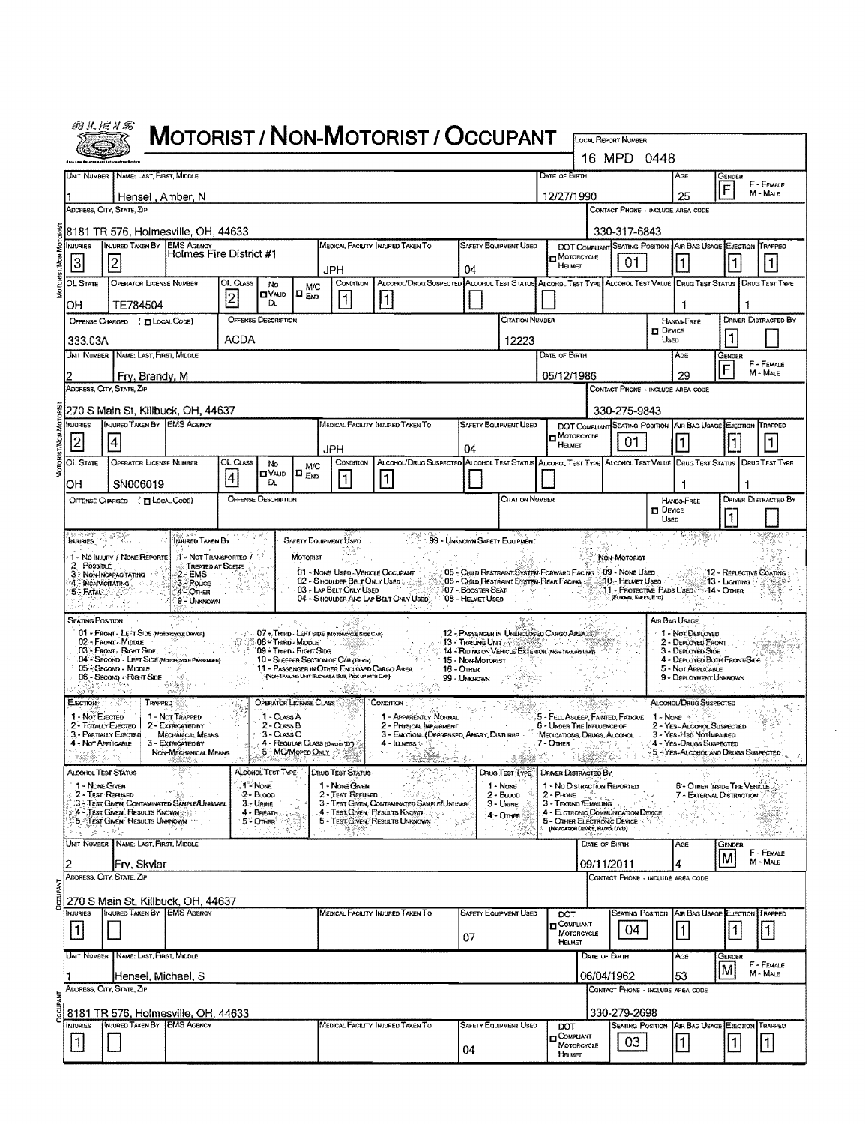|                                                                                                                                                                                              | 砂丛ビりお                                                                                                                                                                                                                                                                                                                                                                                                                                                                                                                                                                                                                                                                                                                                                                                                                                                                                                                            |                                                                                                                                                                                                                                                                             |                                                                                                       |                 |                                                                                         |                           |                                                                                                                                                                                                                                                         | <b>MOTORIST / NON-MOTORIST / OCCUPANT</b>                                                                             |                                                                                          |                                                                                                                                                                                     |                                   |                                                           |                                                |                    |                                                                                                                                                                                                        |                    |                              |
|----------------------------------------------------------------------------------------------------------------------------------------------------------------------------------------------|----------------------------------------------------------------------------------------------------------------------------------------------------------------------------------------------------------------------------------------------------------------------------------------------------------------------------------------------------------------------------------------------------------------------------------------------------------------------------------------------------------------------------------------------------------------------------------------------------------------------------------------------------------------------------------------------------------------------------------------------------------------------------------------------------------------------------------------------------------------------------------------------------------------------------------|-----------------------------------------------------------------------------------------------------------------------------------------------------------------------------------------------------------------------------------------------------------------------------|-------------------------------------------------------------------------------------------------------|-----------------|-----------------------------------------------------------------------------------------|---------------------------|---------------------------------------------------------------------------------------------------------------------------------------------------------------------------------------------------------------------------------------------------------|-----------------------------------------------------------------------------------------------------------------------|------------------------------------------------------------------------------------------|-------------------------------------------------------------------------------------------------------------------------------------------------------------------------------------|-----------------------------------|-----------------------------------------------------------|------------------------------------------------|--------------------|--------------------------------------------------------------------------------------------------------------------------------------------------------------------------------------------------------|--------------------|------------------------------|
|                                                                                                                                                                                              |                                                                                                                                                                                                                                                                                                                                                                                                                                                                                                                                                                                                                                                                                                                                                                                                                                                                                                                                  |                                                                                                                                                                                                                                                                             |                                                                                                       |                 |                                                                                         |                           |                                                                                                                                                                                                                                                         |                                                                                                                       |                                                                                          |                                                                                                                                                                                     |                                   |                                                           | <b>LOCAL REPORT NUMBER</b><br>16 MPD 0448      |                    |                                                                                                                                                                                                        |                    |                              |
|                                                                                                                                                                                              |                                                                                                                                                                                                                                                                                                                                                                                                                                                                                                                                                                                                                                                                                                                                                                                                                                                                                                                                  | Unit Number   Name: Last, First, Middle                                                                                                                                                                                                                                     |                                                                                                       |                 |                                                                                         |                           |                                                                                                                                                                                                                                                         |                                                                                                                       |                                                                                          |                                                                                                                                                                                     | DATE OF BIRTH                     |                                                           |                                                |                    | Age                                                                                                                                                                                                    | GENDER             | F - FEMALE                   |
|                                                                                                                                                                                              |                                                                                                                                                                                                                                                                                                                                                                                                                                                                                                                                                                                                                                                                                                                                                                                                                                                                                                                                  | Hensel, Amber, N                                                                                                                                                                                                                                                            |                                                                                                       |                 |                                                                                         |                           |                                                                                                                                                                                                                                                         |                                                                                                                       |                                                                                          |                                                                                                                                                                                     | 12/27/1990                        |                                                           |                                                |                    | 25                                                                                                                                                                                                     | F                  | M - MALE                     |
|                                                                                                                                                                                              |                                                                                                                                                                                                                                                                                                                                                                                                                                                                                                                                                                                                                                                                                                                                                                                                                                                                                                                                  | Address, City, State, Zip                                                                                                                                                                                                                                                   |                                                                                                       |                 |                                                                                         |                           |                                                                                                                                                                                                                                                         |                                                                                                                       |                                                                                          |                                                                                                                                                                                     |                                   |                                                           | CONTACT PHONE - INCLUDE AREA CODE              |                    |                                                                                                                                                                                                        |                    |                              |
|                                                                                                                                                                                              | <b>NJURIES</b>                                                                                                                                                                                                                                                                                                                                                                                                                                                                                                                                                                                                                                                                                                                                                                                                                                                                                                                   | 8181 TR 576, Holmesville, OH, 44633<br>INJURED TAKEN BY EMS AGENCY                                                                                                                                                                                                          |                                                                                                       |                 |                                                                                         |                           |                                                                                                                                                                                                                                                         | MEDICAL FACILITY INJURED TAKEN TO                                                                                     |                                                                                          | SAFETY EQUIPMENT USED                                                                                                                                                               |                                   |                                                           | 330-317-6843<br>DOT COMPLIANT SEATING POSITION |                    | AIR BAG USAGE EJECTION TRAPPED                                                                                                                                                                         |                    |                              |
|                                                                                                                                                                                              | 3                                                                                                                                                                                                                                                                                                                                                                                                                                                                                                                                                                                                                                                                                                                                                                                                                                                                                                                                | $\overline{2}$                                                                                                                                                                                                                                                              | Holmes Fire District #1                                                                               |                 |                                                                                         |                           |                                                                                                                                                                                                                                                         |                                                                                                                       |                                                                                          |                                                                                                                                                                                     | MOTORCYCLE<br>HELMET              |                                                           | 01                                             |                    | 1                                                                                                                                                                                                      |                    |                              |
|                                                                                                                                                                                              | OL State                                                                                                                                                                                                                                                                                                                                                                                                                                                                                                                                                                                                                                                                                                                                                                                                                                                                                                                         | <b>OPERATOR LICENSE NUMBER</b>                                                                                                                                                                                                                                              |                                                                                                       | OL CLASS        | No                                                                                      | M/C                       | JPH<br>CONDITION                                                                                                                                                                                                                                        | ALCOHOL/DRUG SUSPECTED ALCOHOL TEST STATUS ALCOHOL TEST TYPE ALCOHOL TEST VALUE DRUG TEST STATUS   DRUG TEST TYPE     | 04                                                                                       |                                                                                                                                                                                     |                                   |                                                           |                                                |                    |                                                                                                                                                                                                        |                    |                              |
|                                                                                                                                                                                              | OН                                                                                                                                                                                                                                                                                                                                                                                                                                                                                                                                                                                                                                                                                                                                                                                                                                                                                                                               | TE784504                                                                                                                                                                                                                                                                    |                                                                                                       | $\vert 2 \vert$ | OVAJD<br>Dı.                                                                            | $\mathbf{D}_{\text{EVD}}$ | $\mathbf{1}$                                                                                                                                                                                                                                            | 11                                                                                                                    |                                                                                          |                                                                                                                                                                                     |                                   |                                                           |                                                |                    | 1                                                                                                                                                                                                      |                    |                              |
|                                                                                                                                                                                              |                                                                                                                                                                                                                                                                                                                                                                                                                                                                                                                                                                                                                                                                                                                                                                                                                                                                                                                                  | OFFENSE CHARGED ( TILOCAL CODE)                                                                                                                                                                                                                                             |                                                                                                       |                 | <b>OFFENSE DESCRIPTION</b>                                                              |                           |                                                                                                                                                                                                                                                         |                                                                                                                       |                                                                                          | Citation Number                                                                                                                                                                     |                                   |                                                           |                                                | <b>HANDS FREE</b>  |                                                                                                                                                                                                        |                    | <b>DRIVER DISTRACTED BY</b>  |
|                                                                                                                                                                                              | 333.03A                                                                                                                                                                                                                                                                                                                                                                                                                                                                                                                                                                                                                                                                                                                                                                                                                                                                                                                          |                                                                                                                                                                                                                                                                             |                                                                                                       | <b>ACDA</b>     |                                                                                         |                           |                                                                                                                                                                                                                                                         |                                                                                                                       |                                                                                          | 12223                                                                                                                                                                               |                                   |                                                           |                                                | $D$ Device<br>USED |                                                                                                                                                                                                        | $\mathbf{1}$       |                              |
|                                                                                                                                                                                              |                                                                                                                                                                                                                                                                                                                                                                                                                                                                                                                                                                                                                                                                                                                                                                                                                                                                                                                                  | UNIT NUMBER NAME: LAST, FIRST, MIDDLE                                                                                                                                                                                                                                       |                                                                                                       |                 |                                                                                         |                           |                                                                                                                                                                                                                                                         |                                                                                                                       |                                                                                          |                                                                                                                                                                                     | DATE OF BIRTH                     |                                                           |                                                |                    | AGE                                                                                                                                                                                                    | Gender             | F - FEMALE                   |
|                                                                                                                                                                                              |                                                                                                                                                                                                                                                                                                                                                                                                                                                                                                                                                                                                                                                                                                                                                                                                                                                                                                                                  | Fry, Brandy, M                                                                                                                                                                                                                                                              |                                                                                                       |                 |                                                                                         |                           |                                                                                                                                                                                                                                                         |                                                                                                                       |                                                                                          |                                                                                                                                                                                     | 05/12/1986                        |                                                           |                                                |                    | 29                                                                                                                                                                                                     | F                  | M - MALE                     |
|                                                                                                                                                                                              | ADDRESS, CITY, STATE, ZIP<br>CONTACT PHONE - INCLUDE AREA CODE                                                                                                                                                                                                                                                                                                                                                                                                                                                                                                                                                                                                                                                                                                                                                                                                                                                                   |                                                                                                                                                                                                                                                                             |                                                                                                       |                 |                                                                                         |                           |                                                                                                                                                                                                                                                         |                                                                                                                       |                                                                                          |                                                                                                                                                                                     |                                   |                                                           |                                                |                    |                                                                                                                                                                                                        |                    |                              |
| 270 S Main St, Killbuck, OH, 44637<br>330-275-9843<br>INJURED TAKEN BY EMS AGENCY<br>NJURIES<br>Medical Facility Injured Taken To<br>SAFETY EQUIPMENT USED<br>DOT COMPLIANT SEATING POSITION |                                                                                                                                                                                                                                                                                                                                                                                                                                                                                                                                                                                                                                                                                                                                                                                                                                                                                                                                  |                                                                                                                                                                                                                                                                             |                                                                                                       |                 |                                                                                         |                           |                                                                                                                                                                                                                                                         |                                                                                                                       |                                                                                          |                                                                                                                                                                                     |                                   | AIR BAG USAGE EJECTION TRAPPED                            |                                                |                    |                                                                                                                                                                                                        |                    |                              |
|                                                                                                                                                                                              | 2                                                                                                                                                                                                                                                                                                                                                                                                                                                                                                                                                                                                                                                                                                                                                                                                                                                                                                                                | $\vert 4 \vert$                                                                                                                                                                                                                                                             |                                                                                                       |                 |                                                                                         |                           | <b>JPH</b>                                                                                                                                                                                                                                              |                                                                                                                       | 04                                                                                       |                                                                                                                                                                                     | $\Box$ Motorcycle<br>HELMET       |                                                           | 01                                             |                    | l1.                                                                                                                                                                                                    |                    |                              |
|                                                                                                                                                                                              | OL State                                                                                                                                                                                                                                                                                                                                                                                                                                                                                                                                                                                                                                                                                                                                                                                                                                                                                                                         | OPERATOR LICENSE NUMBER                                                                                                                                                                                                                                                     |                                                                                                       | OL CLASS        | No                                                                                      | <b>M/C</b>                | CONDITION                                                                                                                                                                                                                                               | ALCOHOL/DRUG SUSPECTED ALCOHOL TEST STATUS ALCOHOL TEST TYPE ALCOHOL TEST VALUE DRUG TEST STATUS DRUG TEST TYPE       |                                                                                          |                                                                                                                                                                                     |                                   |                                                           |                                                |                    |                                                                                                                                                                                                        |                    |                              |
|                                                                                                                                                                                              | OH                                                                                                                                                                                                                                                                                                                                                                                                                                                                                                                                                                                                                                                                                                                                                                                                                                                                                                                               | SN006019                                                                                                                                                                                                                                                                    |                                                                                                       | 4               | <b>OVAJD</b><br>Dı.                                                                     | $\Gamma_{\text{Em}}$      | $\mathbf{1}$                                                                                                                                                                                                                                            | 1                                                                                                                     |                                                                                          |                                                                                                                                                                                     |                                   |                                                           |                                                |                    | 1                                                                                                                                                                                                      |                    |                              |
|                                                                                                                                                                                              |                                                                                                                                                                                                                                                                                                                                                                                                                                                                                                                                                                                                                                                                                                                                                                                                                                                                                                                                  | OFFENSE CHARGED ( TLOCAL CODE)                                                                                                                                                                                                                                              |                                                                                                       |                 | <b>OFFENSE DESCRIPTION</b>                                                              |                           |                                                                                                                                                                                                                                                         |                                                                                                                       |                                                                                          | CITATION NUMBER                                                                                                                                                                     |                                   |                                                           |                                                |                    | HANDS-FREE<br>$D$ Device                                                                                                                                                                               |                    | <b>DRIVER DISTRACTED BY</b>  |
|                                                                                                                                                                                              |                                                                                                                                                                                                                                                                                                                                                                                                                                                                                                                                                                                                                                                                                                                                                                                                                                                                                                                                  |                                                                                                                                                                                                                                                                             |                                                                                                       |                 |                                                                                         |                           |                                                                                                                                                                                                                                                         |                                                                                                                       |                                                                                          |                                                                                                                                                                                     |                                   |                                                           |                                                | Used               |                                                                                                                                                                                                        | 1                  |                              |
|                                                                                                                                                                                              | 5 FATAL NOT<br><b>SEATING POSITION</b>                                                                                                                                                                                                                                                                                                                                                                                                                                                                                                                                                                                                                                                                                                                                                                                                                                                                                           | 4 MCAPACITATING<br>01 - FRONT - LEFT SIDE (MOTORCYCLE DRIVER)<br>02 - Front Middle<br>03 - Front - Right Side<br>04 - SECOND - LEFT SIDE (MOTOROYSLE PASSENGER)<br>05 - Second - MIDDLE<br>06 - Second - Right Side<br>(3) 평가에 인하다<br>$\delta \gamma_{\nu_0} \gamma \delta$ | 3 - Pouce<br>4 - OTHER<br>9 - UNKNOWN                                                                 |                 | 08 - Thro Middle<br>09 - Thirp - Right Sipe                                             |                           | 02 - S HOULDER BELT ONLY USED<br>03 - LAP BELT ONLY USED<br>- 07 - THIRD - LEFT SIDE (MOTORCYCLE SIDE CAR)<br>10 - SLEEPER SECTION OF CAB (TRUCK)<br>11 - Passenger in Other Enclosed Cargo Area<br>(NON-TRAINING UNIT SUCH AS A BUS, PICK UP WITH CAP) | 04 - S HOULDER AND LAP BELT ONLY USED                                                                                 | 07 - Booster Seat<br>08 - HELMET USED<br>15 - Non-Motorist<br>16 - Отнак<br>99 - Unknown | 06 - Child Restraint System-Rear Facing<br>12 - PASSENGER IN UNENCLOSED CARGO AREA<br>13 - TRAILING UNITS AND RESIDENCE AND A<br>14 - Riding on VEHICLE EXTERIOR (Non-Trusted Live) |                                   |                                                           | AO - Helmet Used -<br>(ELBOAR, KNEES, ETC)     |                    | 11 - PROTECTIVE PADS USED: 14 - OTHER<br>AIR BAG USAGE.<br>1 - Not Deployed<br>2 - DEPLOYED FRONT<br>3 - Deployed Side<br>4 - DEPLOYED BOTH FRONTISIDE<br>5 - Not Applicable<br>9 - DEPLOYMENT UNKNOWN | 13 - Liaimna P     |                              |
|                                                                                                                                                                                              | EJECTION:<br>1 - Not EJECTED<br>2 - TOTALLY EJECTED<br>4 - Not Applicable                                                                                                                                                                                                                                                                                                                                                                                                                                                                                                                                                                                                                                                                                                                                                                                                                                                        | E Korea<br>TRAPPED<br>3 - PARTIALLY EJECTED                                                                                                                                                                                                                                 | 1 - Not Trapped<br>2 - EXTRICATED BY<br>MECHANICAL MEANS<br>3 - EXTRIGATED BY<br>NON-MECHANICAL MEANS |                 | OPERATOR LICENSE CLASS<br>1 - Cuss A<br>2 - Cuss B<br>$3 - ClassC$<br>5 - MC/Mopen Only |                           | 4 - REGULAR CLASS (Oreans TOT)                                                                                                                                                                                                                          | Сомоптом<br>1 - APPARENTLY NORMAL<br>2 - PHYSICAL IMPAIRMENT<br>3 - EMOTION (DEPRESSED, ANGRY, DISTURBE -<br>4 LINESS |                                                                                          |                                                                                                                                                                                     | 7 - OTHER<br>家族 テークしやむ            | 6 - UNDER THE INFLUENCE OF<br>MEDICATIONS, DRUGS, ALCOHOL | 5 - FELL ASLEEP, FAINTED, FATIOUE              | 1 - Nove           | ALCOHOL/DRUG SUSPECTED<br>2 - Yes - Alcohol Suspected<br>3 - YES HBO NOTIMPAIRED<br>4 - Yes-Daugs Suspected<br>5 - YES-ALCOHOL AND DRUGS SUSPECTED                                                     |                    |                              |
|                                                                                                                                                                                              | ALCOHOL TEST TYPE<br><b>ALCOHOL TEST STATUS</b><br>DRUG TEST STATUS<br><b>DRUG TEST TYPE</b><br>DRIVER DISTRACTED BY<br>1 - None<br>1 - No DISTRACTION REPORTED<br>1 - Nove Given<br>1 - NONE GIVEN<br>1 - None<br>6 - OTHER INSIDE THE VEHICLE<br>2 - Test Reruseo<br>$2 - B1000$<br>2 - Test Refused<br>$2 - B$ LOOD<br>$2 -$ PHONE $\left[\begin{array}{cc} 0 & 0 \\ 0 & 0 \end{array}\right]$<br>7 - EXTERNAL DISTRACTION<br>3 - Test Given, Contaminated Sauple/Unisabl<br>3 - URINE<br>3 - TEST GIVEN, CONTAMINATED SAMPLE/UNUSABL<br>3 - TEXTING / EMAILING<br>$3 -$ URINE<br>ph,<br>4 - TEST GIVEN, RESULTS KNOWN<br>4 - BREATH<br>4 - Test Given, Results Known<br>4 - ELCTRONIC COMMUNICATION DEVICE<br>4 - Onen<br>5 - TEST GIVEN, RESULTS UNKNOWN<br>5 - TEST GIVEN, RESULTS UNKNOWN<br>5 - OTHER ELECTRONIC DEVICE<br>5 - OTHER<br>(Newsation Device, Ratio, DVD)<br>2000 E 300 A<br>in a con-<br>(동독 6장<br>S. Rome |                                                                                                                                                                                                                                                                             |                                                                                                       |                 |                                                                                         |                           |                                                                                                                                                                                                                                                         |                                                                                                                       |                                                                                          |                                                                                                                                                                                     |                                   |                                                           |                                                |                    |                                                                                                                                                                                                        |                    |                              |
|                                                                                                                                                                                              |                                                                                                                                                                                                                                                                                                                                                                                                                                                                                                                                                                                                                                                                                                                                                                                                                                                                                                                                  | UNIT NUMBER NAME: LAST, FIRST, MIDDLE<br> Fry, Skylar                                                                                                                                                                                                                       |                                                                                                       |                 |                                                                                         |                           |                                                                                                                                                                                                                                                         |                                                                                                                       |                                                                                          |                                                                                                                                                                                     |                                   | DATE OF BIRTH<br>09/11/2011                               |                                                |                    | Age                                                                                                                                                                                                    | <b>GENDER</b><br>M | F - FEMALE<br>M - MALE       |
|                                                                                                                                                                                              |                                                                                                                                                                                                                                                                                                                                                                                                                                                                                                                                                                                                                                                                                                                                                                                                                                                                                                                                  | ADDRESS, CITY, STATE, ZIP                                                                                                                                                                                                                                                   |                                                                                                       |                 |                                                                                         |                           |                                                                                                                                                                                                                                                         |                                                                                                                       |                                                                                          |                                                                                                                                                                                     |                                   |                                                           | CONTACT PHONE - INCLUDE AREA CODE              |                    |                                                                                                                                                                                                        |                    |                              |
|                                                                                                                                                                                              |                                                                                                                                                                                                                                                                                                                                                                                                                                                                                                                                                                                                                                                                                                                                                                                                                                                                                                                                  | 270 S Main St, Killbuck, OH, 44637                                                                                                                                                                                                                                          |                                                                                                       |                 |                                                                                         |                           |                                                                                                                                                                                                                                                         |                                                                                                                       |                                                                                          |                                                                                                                                                                                     |                                   |                                                           |                                                |                    |                                                                                                                                                                                                        |                    |                              |
|                                                                                                                                                                                              | <b>NJURIES</b><br>$\vert$ 1                                                                                                                                                                                                                                                                                                                                                                                                                                                                                                                                                                                                                                                                                                                                                                                                                                                                                                      | INJURED TAKEN BY EMS AGENCY                                                                                                                                                                                                                                                 |                                                                                                       |                 |                                                                                         |                           |                                                                                                                                                                                                                                                         | MEDICAL FACILITY INJURED TAKEN TO                                                                                     | 07                                                                                       | <b>SAFETY EQUIPMENT USED</b>                                                                                                                                                        | DOT<br><b>OOMPLIANT</b><br>HELMET | MOTORCYCLE                                                | <b>SEATING POSITION</b><br>04                  |                    | AIR BAG USAGE EJECTION<br> 1                                                                                                                                                                           | $\vert$ 1          | TRAPPED<br>$\vert$ 1 $\vert$ |
|                                                                                                                                                                                              |                                                                                                                                                                                                                                                                                                                                                                                                                                                                                                                                                                                                                                                                                                                                                                                                                                                                                                                                  | UNIT NUMBER NAME: LAST, FIRST, MIDDLE                                                                                                                                                                                                                                       |                                                                                                       |                 |                                                                                         |                           |                                                                                                                                                                                                                                                         |                                                                                                                       |                                                                                          |                                                                                                                                                                                     |                                   | DATE OF BIRTH                                             |                                                |                    | AGE                                                                                                                                                                                                    | Gender             | F - FEMALE                   |
|                                                                                                                                                                                              |                                                                                                                                                                                                                                                                                                                                                                                                                                                                                                                                                                                                                                                                                                                                                                                                                                                                                                                                  | [Hensel, Michael, S                                                                                                                                                                                                                                                         |                                                                                                       |                 |                                                                                         |                           |                                                                                                                                                                                                                                                         |                                                                                                                       |                                                                                          |                                                                                                                                                                                     |                                   | 06/04/1962                                                |                                                |                    | 53                                                                                                                                                                                                     | M                  | M - MALE                     |
|                                                                                                                                                                                              |                                                                                                                                                                                                                                                                                                                                                                                                                                                                                                                                                                                                                                                                                                                                                                                                                                                                                                                                  | ADDRESS, CITY, STATE, ZIP                                                                                                                                                                                                                                                   |                                                                                                       |                 |                                                                                         |                           |                                                                                                                                                                                                                                                         |                                                                                                                       |                                                                                          |                                                                                                                                                                                     |                                   |                                                           | CONTACT PHONE - INCLUDE AREA CODE              |                    |                                                                                                                                                                                                        |                    |                              |
|                                                                                                                                                                                              |                                                                                                                                                                                                                                                                                                                                                                                                                                                                                                                                                                                                                                                                                                                                                                                                                                                                                                                                  | 8181 TR 576, Holmesville, OH, 44633<br>INJURED TAKEN BY EMS AGENCY                                                                                                                                                                                                          |                                                                                                       |                 |                                                                                         |                           |                                                                                                                                                                                                                                                         |                                                                                                                       |                                                                                          |                                                                                                                                                                                     |                                   |                                                           | 330-279-2698                                   |                    |                                                                                                                                                                                                        |                    |                              |
|                                                                                                                                                                                              | <b>INJURIES</b><br>$\vert$ 1 $\vert$                                                                                                                                                                                                                                                                                                                                                                                                                                                                                                                                                                                                                                                                                                                                                                                                                                                                                             |                                                                                                                                                                                                                                                                             |                                                                                                       |                 |                                                                                         |                           |                                                                                                                                                                                                                                                         | MEDICAL FACILITY INJURED TAKEN TO                                                                                     | 04                                                                                       | SAFETY EQUIPMENT USED                                                                                                                                                               | DOT<br>COMPLIANT<br>HELMET        | MOTORCYCLE                                                | 03                                             |                    | <b>SEATING POSITION AIR BAG USAGE EJECTION TRAPPED</b><br> 1                                                                                                                                           | $\mathbf{1}$       | $\vert$ 1                    |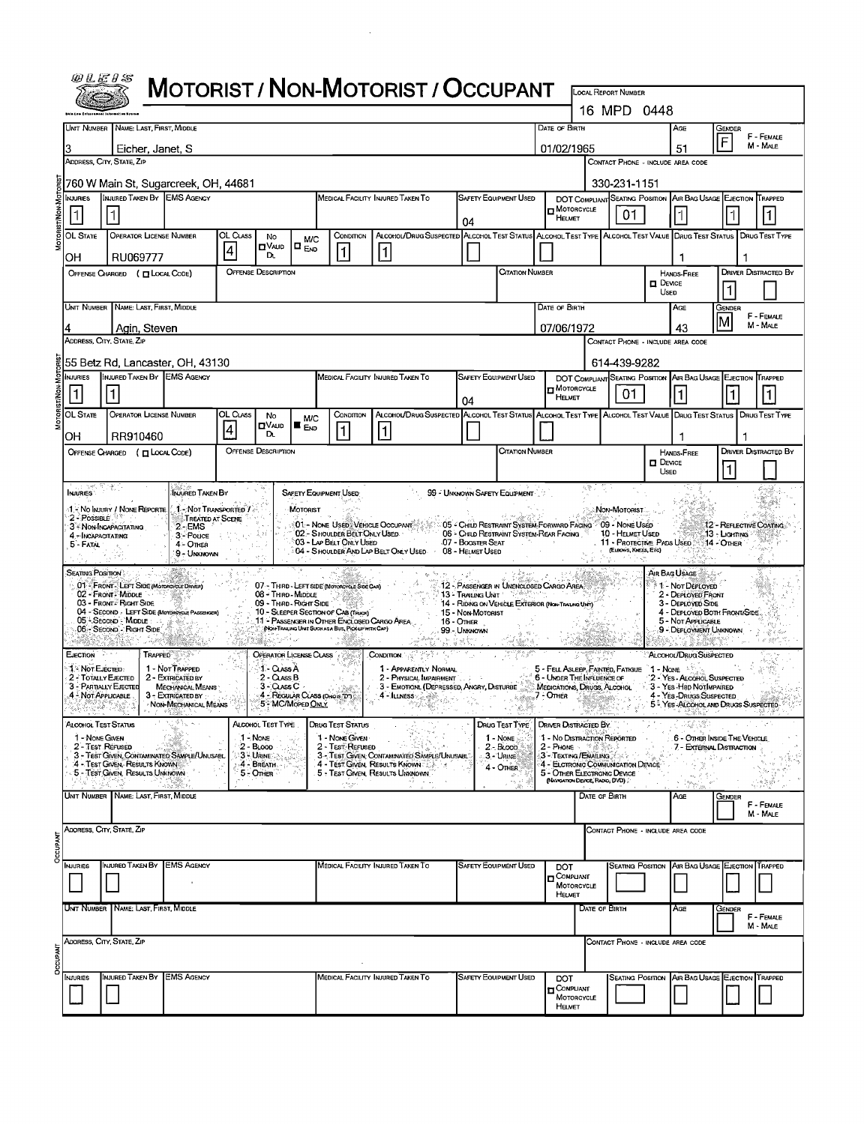|                            | WLEHS                                                                                                                                                                                       |                                                                                                  |                                                               |               |                                                         |                                            |                                                                                                   | <b>MOTORIST / NON-MOTORIST / OCCUPANT</b>                                                                       |    |                                         |                                                                                                       |                                                                                      |                        |                                                    |                       |                                                                                                       |                                          |                             |
|----------------------------|---------------------------------------------------------------------------------------------------------------------------------------------------------------------------------------------|--------------------------------------------------------------------------------------------------|---------------------------------------------------------------|---------------|---------------------------------------------------------|--------------------------------------------|---------------------------------------------------------------------------------------------------|-----------------------------------------------------------------------------------------------------------------|----|-----------------------------------------|-------------------------------------------------------------------------------------------------------|--------------------------------------------------------------------------------------|------------------------|----------------------------------------------------|-----------------------|-------------------------------------------------------------------------------------------------------|------------------------------------------|-----------------------------|
|                            |                                                                                                                                                                                             |                                                                                                  |                                                               |               |                                                         |                                            |                                                                                                   |                                                                                                                 |    |                                         |                                                                                                       |                                                                                      |                        | <b>LOCAL REPORT NUMBER</b><br>16 MPD 0448          |                       |                                                                                                       |                                          |                             |
|                            |                                                                                                                                                                                             | UNIT NUMBER   NAME: LAST, FIRST, MIDDLE                                                          |                                                               |               |                                                         |                                            |                                                                                                   |                                                                                                                 |    |                                         |                                                                                                       | DATE OF BIRTH                                                                        |                        |                                                    |                       | Age                                                                                                   | GENDER                                   |                             |
|                            |                                                                                                                                                                                             | Eicher, Janet, S                                                                                 |                                                               |               |                                                         |                                            |                                                                                                   |                                                                                                                 |    |                                         |                                                                                                       | 01/02/1965                                                                           |                        |                                                    |                       | 51                                                                                                    |                                          | F - FEMALE<br>M - MALE      |
|                            |                                                                                                                                                                                             | ADDRESS, CITY, STATE, ZIP                                                                        |                                                               |               |                                                         |                                            |                                                                                                   |                                                                                                                 |    |                                         |                                                                                                       |                                                                                      |                        |                                                    |                       | CONTACT PHONE - INCLUDE AREA CODE                                                                     |                                          |                             |
|                            | NJURIES                                                                                                                                                                                     | 1760 W Main St, Sugarcreek, OH, 44681<br>INJURED TAKEN BY EMS AGENCY                             |                                                               |               |                                                         |                                            |                                                                                                   | MEDICAL FACILITY INJURED TAKEN TO                                                                               |    |                                         | <b>SAFETY EQUIPMENT USED</b>                                                                          |                                                                                      |                        | 330-231-1151<br>DOT COMPLIANT SEATING POSITION     |                       | AIR BAG USAGE EJECTION TRAPPED                                                                        |                                          |                             |
|                            | $\vert$ 1                                                                                                                                                                                   |                                                                                                  |                                                               |               |                                                         |                                            |                                                                                                   |                                                                                                                 |    | 04                                      |                                                                                                       | $\blacksquare$ MOTORCYCLE<br>HELMET                                                  |                        | 01                                                 |                       |                                                                                                       |                                          |                             |
|                            | OL STATE<br>OН                                                                                                                                                                              | <b>OPERATOR LICENSE NUMBER</b><br>RU069777                                                       |                                                               | OL CLASS<br>4 | No<br>$\blacksquare$ VALID<br>DL.                       | <b>M/C</b><br>$\blacksquare$ $_{\sf{END}}$ | CONDITION<br>│1                                                                                   | ALCOHOL/DRUG SUSPECTED ALCOHOL TEST STATUS ALCOHOL TEST TYPE ALCOHOL TEST VALUE DRUG TEST STATUS DRUG TEST TYPE |    |                                         |                                                                                                       |                                                                                      |                        |                                                    |                       |                                                                                                       |                                          |                             |
|                            |                                                                                                                                                                                             | OFFENSE CHARGED ( TLOCAL CODE)                                                                   |                                                               |               | <b>OFFENSE DESCRIPTION</b>                              |                                            |                                                                                                   |                                                                                                                 |    |                                         | Citation Number                                                                                       |                                                                                      |                        |                                                    | $\Box$ Device         | HANDS-FREE                                                                                            |                                          | <b>DRIVER DISTRACTED BY</b> |
|                            |                                                                                                                                                                                             | UNIT NUMBER NAME: LAST, FIRST, MIDDLE                                                            |                                                               |               |                                                         |                                            |                                                                                                   |                                                                                                                 |    |                                         |                                                                                                       | DATE OF BIRTH                                                                        |                        |                                                    | Usen                  | AGE                                                                                                   | Gender                                   |                             |
| 07/06/1972<br>Agin, Steven |                                                                                                                                                                                             |                                                                                                  |                                                               |               |                                                         |                                            |                                                                                                   |                                                                                                                 |    |                                         | 43                                                                                                    | M                                                                                    | F - FEMALE<br>M - MALE |                                                    |                       |                                                                                                       |                                          |                             |
|                            |                                                                                                                                                                                             | ADDRESS, CITY, STATE, ZIP<br>55 Betz Rd, Lancaster, OH, 43130                                    |                                                               |               |                                                         |                                            |                                                                                                   |                                                                                                                 |    |                                         |                                                                                                       |                                                                                      |                        | 614-439-9282                                       |                       | CONTACT PHONE - INCLUDE AREA CODE                                                                     |                                          |                             |
|                            | <b>INJURIES</b>                                                                                                                                                                             | INJURED TAKEN BY EMS AGENCY                                                                      |                                                               |               |                                                         |                                            |                                                                                                   | MEDICAL FACILITY INJURED TAKEN TO                                                                               |    |                                         | <b>SAFETY EQUIPMENT USED</b>                                                                          |                                                                                      |                        | DOT COMPLIANT SEATING POSITION                     |                       | AIR BAG USAGE EJECTION                                                                                |                                          | TRAPPED                     |
|                            |                                                                                                                                                                                             |                                                                                                  |                                                               |               |                                                         |                                            |                                                                                                   |                                                                                                                 |    | 04                                      |                                                                                                       | <b>H</b> MOTORCYCLE<br><b>HELMET</b>                                                 |                        | 01                                                 |                       | 11                                                                                                    |                                          |                             |
|                            | OL STATE                                                                                                                                                                                    | <b>OPERATOR LICENSE NUMBER</b>                                                                   |                                                               | OL CLASS<br>4 | No<br><b>O</b> VA∪D<br>D.                               | M/C<br>I END                               | CONDITION<br>1                                                                                    | ALCOHOL/DRUG SUSPECTED ALCOHOL TEST STATUS ALCOHOL TEST TYPE ALCOHOL TEST VALUE DRUG TEST STATUS DRUG TEST TYPE |    |                                         |                                                                                                       |                                                                                      |                        |                                                    |                       |                                                                                                       |                                          |                             |
|                            | OН                                                                                                                                                                                          | RR910460<br>OFFENSE CHARGED ( Q LOCAL CODE)                                                      |                                                               |               | <b>OFFENSE DESCRIPTION</b>                              |                                            |                                                                                                   |                                                                                                                 |    |                                         | CITATION NUMBER                                                                                       |                                                                                      |                        |                                                    |                       | <b>HANDS-FREE</b>                                                                                     |                                          | <b>DRIVER DISTRACTED BY</b> |
|                            |                                                                                                                                                                                             |                                                                                                  |                                                               |               |                                                         |                                            |                                                                                                   |                                                                                                                 |    |                                         |                                                                                                       |                                                                                      |                        |                                                    | <b>DEVICE</b><br>UsED |                                                                                                       |                                          |                             |
|                            | <b>INJURED TAKEN BY</b><br>SAFETY EQUIPMENT USED:<br>99 - UMKNOWN SAFETY EQUIPMENT<br><b>NJURIES</b><br>1 - Not Transported 7<br>:1 - No Injury / None Reporte.<br>MOTORIST<br>Non-Motorist |                                                                                                  |                                                               |               |                                                         |                                            |                                                                                                   |                                                                                                                 |    |                                         |                                                                                                       |                                                                                      |                        |                                                    |                       |                                                                                                       |                                          |                             |
|                            | 2 - Possible<br>4 - Incapacitating                                                                                                                                                          | 3 <sup>"</sup> NON-MCAPACITATING                                                                 | TREATED AT SCENE<br>$2 - EMS$<br>3 - Pouce                    |               |                                                         |                                            | 02 - SHOULDER BELT ONLY USED                                                                      | O1 - NONE USED, VEHICLE OCCUPANT                                                                                |    |                                         | 05 - CHILD RESTRAINT SYSTEM FORWARD FACING 709 - NONE USED<br>06 - CHILD RESTRAINT SYSTEM-REAR FACING |                                                                                      |                        | 10 - HELMET USED                                   |                       |                                                                                                       | 12 - REFLECTIVE COATING<br>13 - Lighting |                             |
|                            | 5 - Fatal                                                                                                                                                                                   |                                                                                                  | 4 - Other<br>9 - Unknown                                      |               |                                                         |                                            | 03 - LAP BELT ONLY USED                                                                           | 04 - SHOULDER AND LAP BELT ONLY USED                                                                            |    | 07 - Booster Seat<br>08 - HELMET USED   |                                                                                                       |                                                                                      |                        | 11 - Protective Pads Used<br>(Eusons, Krezis, Etc) |                       |                                                                                                       | 14 - Оп да                               |                             |
|                            | <b>SEATING POSITION</b>                                                                                                                                                                     | 01 - FRONT - LEFT SIDE (MOTOROYCLE DRIVER)                                                       |                                                               |               |                                                         |                                            | 07 - THIRD - LEFT SIDE (MOTORCYCLE STDE CAR)                                                      |                                                                                                                 |    |                                         | 12 - PASSENGER IN UNENCLOSED CARGO AREA                                                               |                                                                                      |                        |                                                    |                       | AIR BAG USAGE<br>1 - Not Deployed                                                                     |                                          |                             |
|                            |                                                                                                                                                                                             | 02 - FRONT MIDDLE<br>03 - Front - Right Side<br>04 - SECOND - LEFT SIDE (MOTORCYCLE PASSENGER)   |                                                               |               | 08 - Third - Middle<br>09 - THIRD - RIGHT SIDE          |                                            | 10 - SLEEPER SECTION OF CAB (TRUCK)                                                               |                                                                                                                 |    | 13 - Trailing Unit<br>15 - NON-MOTORIST | 14 - RIDING ON VEHICLE EXTERIOR (NON-TRAILING UNT)                                                    |                                                                                      |                        |                                                    |                       | 2 - DEPLOYED FRONT<br>3 - DEPLOYED SIDE<br>4 - DEPLOYED BOTH FRONT/SIDE                               |                                          |                             |
|                            |                                                                                                                                                                                             | 05 - Second - MIDDLE :<br>06 - Second - Right Side                                               |                                                               |               |                                                         |                                            | 11 - PASSENGER IN OTHER ENCLOSED CARGO AREA<br>(NON-TRAILING UNIT SUCH ASA BUS, PICK-UP WITH CAP) |                                                                                                                 |    | 16 - Олнек<br>99 Unknown                |                                                                                                       |                                                                                      |                        |                                                    |                       | 5 - Not Applicable<br>9 - DEPLOYMENT UNKNOWN                                                          |                                          |                             |
|                            | EJECTION <sup>2</sup>                                                                                                                                                                       |                                                                                                  | <b>TRAPPED</b>                                                |               | OPERATOR LICENSE CLASS                                  |                                            |                                                                                                   | $\mathsf{Common}_{\mathbb{C}^1} \subseteq \mathbb{C}^1$                                                         |    |                                         |                                                                                                       |                                                                                      |                        |                                                    |                       | ALCOHOL/DRUG SUSPECTED                                                                                |                                          |                             |
|                            | 1 Not Elected:<br>2 - TOTALLY EJECTED                                                                                                                                                       |                                                                                                  | 1 - Not Trapped<br>2 - EXTRICATED BY                          |               | 1 - CLASS A<br>2 - CLASS B<br>$3 - ClassC$              |                                            |                                                                                                   | 1 - APPARENTLY NORMAL<br>2 - PHYSICAL IMPAIRMENT                                                                |    |                                         |                                                                                                       | 6 - UNDER THE INFLUENCE OF                                                           |                        | 5 - FELL ASLEEP, FAINTED, FATIGUE                  | $1 - \text{Now}$      | 2 - YES - ALCOHOL SUSPECTED                                                                           |                                          |                             |
|                            | 4 - NOT APPLICABLE<br>결혼 등장 고객이                                                                                                                                                             | 3 - PARTIALLY EJECTED                                                                            | MECHANICAL MEANS<br>3 - EXTRICATED BY<br>NON-MECHANICAL MEANS |               | 4 - Regular Class (Ohio is D.<br><b>5-MC/MOPED ONLY</b> |                                            | 79 S                                                                                              | 3 - EMOTIONL (DEPRESSED, ANGRY, DISTURBE<br>4 - ILLNESS 2 20%                                                   | Ą. | and the                                 | BA                                                                                                    | MEDICATIONS, DRUGS, ALCOHOL<br><b><i>Reflexed 7 - OTHER</i></b> And All Conservation |                        |                                                    |                       | 3 - Yes Hed NotImpaired<br>4 - YEs - DRUGS SUSPECTED<br>5 <sup>5</sup> YES-ALCOHOLAND DRUGS SUSPECTED |                                          |                             |
|                            | ALCOHOL TEST STATUS<br>1 - NONE GIVEN                                                                                                                                                       |                                                                                                  |                                                               |               | ALCOHOL TEST TYPE<br>$1 -$ None.                        |                                            | <b>DRUG TEST STATUS</b><br>1 - NONE GIVEN                                                         |                                                                                                                 |    |                                         | DRUG TEST TYPE<br>1 - NONE                                                                            | <b>DRIVER DISTRACTED BY</b><br>1 - No DISTRACTION REPORTED                           |                        |                                                    |                       | - 가장 정치<br>6 - OTHER INSIDE THE VEHICLE                                                               |                                          |                             |
|                            |                                                                                                                                                                                             | 2 - Test Refused<br>3 - TEST GIVEN, CONTAMINATED SAMPLE/UNUSABL<br>4 - TEST GIVEN, RESULTS KNOWN |                                                               |               | 2 - Bloop<br><b>3 HUANER STAR</b>                       |                                            | 2 - Testi Refused                                                                                 | tre sûsk<br>3 - TEST GIVEN, CONTAMINATED SAMPLE/UNUSABL"<br>4 - Test Given, Results Known                       |    |                                         | 2 - Broop<br>3 - Uruna                                                                                | 2-PHONE、 予意製の 3-<br>3 - TEXTING/EMAILING 30%                                         |                        | 4 - ELGTRONIC COMMUNICATION DEVICE                 |                       | 7 - EXTERNAL DISTRACTION                                                                              | 医皮肤 机分                                   |                             |
|                            |                                                                                                                                                                                             | 5 - TEST GIVEN, RESULTS UNKNOWN                                                                  |                                                               |               | $4 - B$ REATH<br>5 - Onier                              |                                            | r heger                                                                                           | 5 - TEST GIVEN, RESULTS UNKNOWN                                                                                 |    |                                         | 4 - OTHER<br>m                                                                                        | 5 - OTHER ELECTRONIC DEVICE<br>(NAVIGATION DEVICE, RADIO, DVD)                       |                        |                                                    |                       | i Mariy                                                                                               |                                          |                             |
|                            |                                                                                                                                                                                             | UNIT NUMBER NAME: LAST, FIRST, MIDDLE                                                            |                                                               |               |                                                         |                                            |                                                                                                   |                                                                                                                 |    |                                         |                                                                                                       |                                                                                      | DATE OF BIRTH          |                                                    |                       | Age                                                                                                   | GENDER                                   | F - FEMALE<br>M - MALE      |
|                            |                                                                                                                                                                                             | ADDRESS, CITY, STATE, ZIP                                                                        |                                                               |               |                                                         |                                            |                                                                                                   |                                                                                                                 |    |                                         |                                                                                                       |                                                                                      |                        | CONTACT PHONE - INCLUDE AREA CODE                  |                       |                                                                                                       |                                          |                             |
|                            | NJURIES                                                                                                                                                                                     | INJURED TAKEN BY                                                                                 | <b>EMS AGENCY</b>                                             |               |                                                         |                                            |                                                                                                   | MEDICAL FACILITY INJURED TAKEN TO                                                                               |    |                                         | <b>SAFETY EQUIPMENT USED</b>                                                                          | <b>DOT</b><br>$\blacksquare$ Compliant                                               |                        | Seating Position                                   |                       | AIR BAG USAGE EJECTION TRAPPED                                                                        |                                          |                             |
|                            |                                                                                                                                                                                             | UNIT NUMBER NAME: LAST, FIRST, MIDDLE                                                            |                                                               |               |                                                         |                                            |                                                                                                   |                                                                                                                 |    |                                         |                                                                                                       | MOTORCYCLE<br><b>HELMET</b>                                                          | DATE OF BIRTH          |                                                    |                       | AGE                                                                                                   | Gender                                   |                             |
|                            |                                                                                                                                                                                             |                                                                                                  |                                                               |               |                                                         |                                            |                                                                                                   |                                                                                                                 |    |                                         |                                                                                                       |                                                                                      |                        |                                                    |                       |                                                                                                       |                                          | F - FEMALE<br>M - MALE      |
|                            |                                                                                                                                                                                             | ADDRESS, CITY, STATE, ZIP                                                                        |                                                               |               |                                                         |                                            |                                                                                                   |                                                                                                                 |    |                                         |                                                                                                       |                                                                                      |                        |                                                    |                       | CONTACT PHONE - INCLUDE AREA CODE                                                                     |                                          |                             |
|                            | <b>NJURIES</b>                                                                                                                                                                              | INJURED TAKEN BY                                                                                 | <b>EMS AGENCY</b>                                             |               |                                                         |                                            |                                                                                                   | MEDICAL FACILITY INJURED TAKEN TO                                                                               |    |                                         | SAFETY EQUIPMENT USED                                                                                 | DOT                                                                                  |                        | Seating Position                                   |                       | AIR BAG USAGE EJECTION TRAPPED                                                                        |                                          |                             |
|                            |                                                                                                                                                                                             |                                                                                                  |                                                               |               |                                                         |                                            |                                                                                                   |                                                                                                                 |    |                                         |                                                                                                       | $\mathbf{T}$ Compliant<br>MOTORCYCLE<br>HELMET                                       |                        |                                                    |                       |                                                                                                       |                                          |                             |

 $\bar{\bar{z}}$